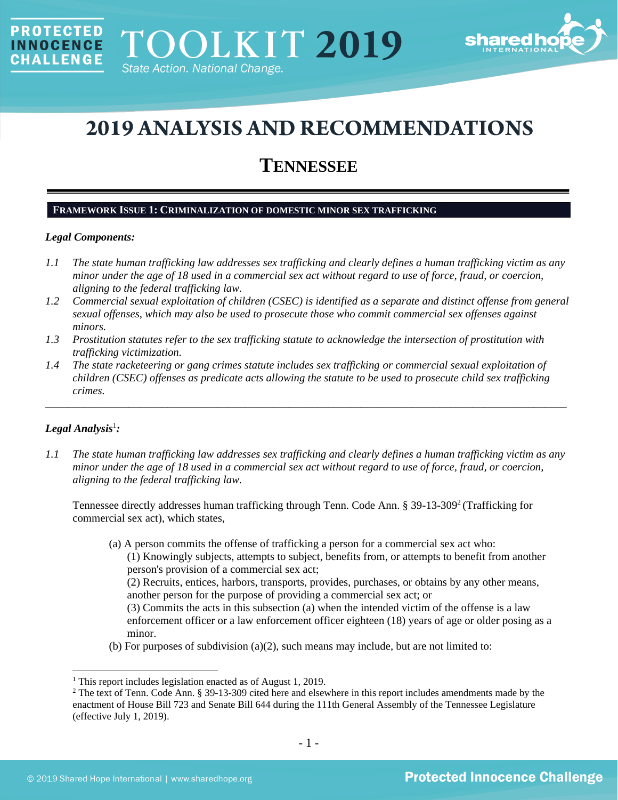

# **2019 ANALYSIS AND RECOMMENDATIONS**

# **TENNESSEE**

#### **FRAMEWORK ISSUE 1: CRIMINALIZATION OF DOMESTIC MINOR SEX TRAFFICKING**

#### *Legal Components:*

**PROTECTED** 

**INNOCENCE CHALLENGE** 

- *1.1 The state human trafficking law addresses sex trafficking and clearly defines a human trafficking victim as any minor under the age of 18 used in a commercial sex act without regard to use of force, fraud, or coercion, aligning to the federal trafficking law.*
- *1.2 Commercial sexual exploitation of children (CSEC) is identified as a separate and distinct offense from general sexual offenses, which may also be used to prosecute those who commit commercial sex offenses against minors.*
- *1.3 Prostitution statutes refer to the sex trafficking statute to acknowledge the intersection of prostitution with trafficking victimization.*
- *1.4 The state racketeering or gang crimes statute includes sex trafficking or commercial sexual exploitation of children (CSEC) offenses as predicate acts allowing the statute to be used to prosecute child sex trafficking crimes.*

\_\_\_\_\_\_\_\_\_\_\_\_\_\_\_\_\_\_\_\_\_\_\_\_\_\_\_\_\_\_\_\_\_\_\_\_\_\_\_\_\_\_\_\_\_\_\_\_\_\_\_\_\_\_\_\_\_\_\_\_\_\_\_\_\_\_\_\_\_\_\_\_\_\_\_\_\_\_\_\_\_\_\_\_\_\_\_\_\_\_\_\_\_\_

# $Legal$  Analysis<sup>1</sup>:

*1.1 The state human trafficking law addresses sex trafficking and clearly defines a human trafficking victim as any minor under the age of 18 used in a commercial sex act without regard to use of force, fraud, or coercion, aligning to the federal trafficking law.* 

Tennessee directly addresses human trafficking through Tenn. Code Ann. § 39-13-309<sup>2</sup> (Trafficking for commercial sex act), which states,

(a) A person commits the offense of trafficking a person for a commercial sex act who: (1) Knowingly subjects, attempts to subject, benefits from, or attempts to benefit from another person's provision of a commercial sex act;

<span id="page-0-0"></span>(2) Recruits, entices, harbors, transports, provides, purchases, or obtains by any other means, another person for the purpose of providing a commercial sex act; or

(3) Commits the acts in this subsection (a) when the intended victim of the offense is a law enforcement officer or a law enforcement officer eighteen (18) years of age or older posing as a minor.

(b) For purposes of subdivision  $(a)(2)$ , such means may include, but are not limited to:

<sup>&</sup>lt;sup>1</sup> This report includes legislation enacted as of August 1, 2019.

 $2$  The text of Tenn. Code Ann. § 39-13-309 cited here and elsewhere in this report includes amendments made by the enactment of House Bill 723 and Senate Bill 644 during the 111th General Assembly of the Tennessee Legislature (effective July 1, 2019).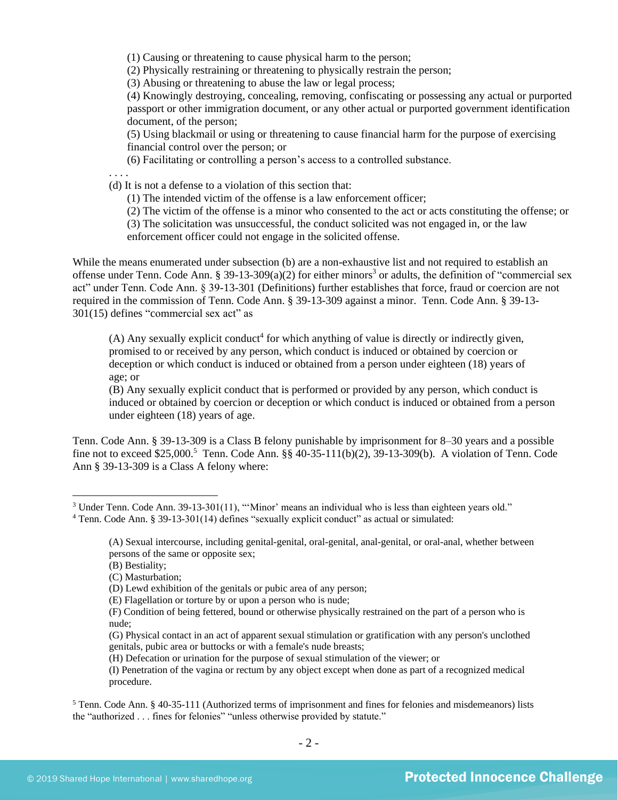(1) Causing or threatening to cause physical harm to the person;

(2) Physically restraining or threatening to physically restrain the person;

(3) Abusing or threatening to abuse the law or legal process;

(4) Knowingly destroying, concealing, removing, confiscating or possessing any actual or purported passport or other immigration document, or any other actual or purported government identification document, of the person;

(5) Using blackmail or using or threatening to cause financial harm for the purpose of exercising financial control over the person; or

(6) Facilitating or controlling a person's access to a controlled substance.

. . . .

(d) It is not a defense to a violation of this section that:

(1) The intended victim of the offense is a law enforcement officer;

(2) The victim of the offense is a minor who consented to the act or acts constituting the offense; or

(3) The solicitation was unsuccessful, the conduct solicited was not engaged in, or the law

enforcement officer could not engage in the solicited offense.

While the means enumerated under subsection (b) are a non-exhaustive list and not required to establish an offense under Tenn. Code Ann. § 39-13-309 $(a)(2)$  for either minors<sup>3</sup> or adults, the definition of "commercial sex act" under Tenn. Code Ann. § 39-13-301 (Definitions) further establishes that force, fraud or coercion are not required in the commission of Tenn. Code Ann. § 39-13-309 against a minor. Tenn. Code Ann. § 39-13- 301(15) defines "commercial sex act" as

<span id="page-1-0"></span> $(A)$  Any sexually explicit conduct<sup>4</sup> for which anything of value is directly or indirectly given, promised to or received by any person, which conduct is induced or obtained by coercion or deception or which conduct is induced or obtained from a person under eighteen (18) years of age; or

(B) Any sexually explicit conduct that is performed or provided by any person, which conduct is induced or obtained by coercion or deception or which conduct is induced or obtained from a person under eighteen (18) years of age.

Tenn. Code Ann. § 39-13-309 is a Class B felony punishable by imprisonment for 8–30 years and a possible fine not to exceed \$25,000.<sup>5</sup> Tenn. Code Ann. §§ 40-35-111(b)(2), 39-13-309(b). A violation of Tenn. Code Ann § 39-13-309 is a Class A felony where:

(H) Defecation or urination for the purpose of sexual stimulation of the viewer; or

(I) Penetration of the vagina or rectum by any object except when done as part of a recognized medical procedure.

<sup>5</sup> Tenn. Code Ann. § 40-35-111 (Authorized terms of imprisonment and fines for felonies and misdemeanors) lists the "authorized . . . fines for felonies" "unless otherwise provided by statute."

<sup>&</sup>lt;sup>3</sup> Under Tenn. Code Ann. 39-13-301(11), "'Minor' means an individual who is less than eighteen years old."

<sup>4</sup> Tenn. Code Ann. § 39-13-301(14) defines "sexually explicit conduct" as actual or simulated:

<sup>(</sup>A) Sexual intercourse, including genital-genital, oral-genital, anal-genital, or oral-anal, whether between persons of the same or opposite sex;

<sup>(</sup>B) Bestiality;

<sup>(</sup>C) Masturbation;

<sup>(</sup>D) Lewd exhibition of the genitals or pubic area of any person;

<sup>(</sup>E) Flagellation or torture by or upon a person who is nude;

<sup>(</sup>F) Condition of being fettered, bound or otherwise physically restrained on the part of a person who is nude;

<sup>(</sup>G) Physical contact in an act of apparent sexual stimulation or gratification with any person's unclothed genitals, pubic area or buttocks or with a female's nude breasts;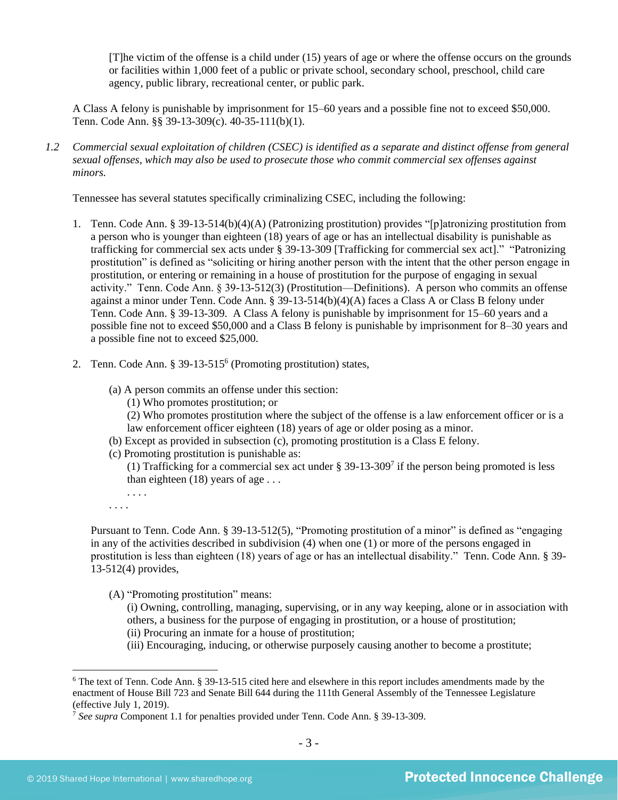[T]he victim of the offense is a child under (15) years of age or where the offense occurs on the grounds or facilities within 1,000 feet of a public or private school, secondary school, preschool, child care agency, public library, recreational center, or public park.

A Class A felony is punishable by imprisonment for 15–60 years and a possible fine not to exceed \$50,000. Tenn. Code Ann. §§ 39-13-309(c). 40-35-111(b)(1).

*1.2 Commercial sexual exploitation of children (CSEC) is identified as a separate and distinct offense from general sexual offenses, which may also be used to prosecute those who commit commercial sex offenses against minors.*

Tennessee has several statutes specifically criminalizing CSEC, including the following:

- 1. Tenn. Code Ann. § 39-13-514(b)(4)(A) (Patronizing prostitution) provides "[p]atronizing prostitution from a person who is younger than eighteen (18) years of age or has an intellectual disability is punishable as trafficking for commercial sex acts under § 39-13-309 [Trafficking for commercial sex act]." "Patronizing prostitution" is defined as "soliciting or hiring another person with the intent that the other person engage in prostitution, or entering or remaining in a house of prostitution for the purpose of engaging in sexual activity." Tenn. Code Ann. § 39-13-512(3) (Prostitution—Definitions). A person who commits an offense against a minor under Tenn. Code Ann. § 39-13-514(b)(4)(A) faces a Class A or Class B felony under Tenn. Code Ann. § 39-13-309. A Class A felony is punishable by imprisonment for 15–60 years and a possible fine not to exceed \$50,000 and a Class B felony is punishable by imprisonment for 8–30 years and a possible fine not to exceed \$25,000.
- 2. Tenn. Code Ann. § 39-13-515<sup>6</sup> (Promoting prostitution) states,
	- (a) A person commits an offense under this section:
		- (1) Who promotes prostitution; or

<span id="page-2-0"></span>(2) Who promotes prostitution where the subject of the offense is a law enforcement officer or is a law enforcement officer eighteen (18) years of age or older posing as a minor.

- (b) Except as provided in subsection (c), promoting prostitution is a Class E felony.
- (c) Promoting prostitution is punishable as:

(1) Trafficking for a commercial sex act under  $\S 39-13-309^7$  if the person being promoted is less than eighteen  $(18)$  years of age ...

. . . . . . . .

Pursuant to Tenn. Code Ann. § 39-13-512(5), "Promoting prostitution of a minor" is defined as "engaging in any of the activities described in subdivision (4) when one (1) or more of the persons engaged in prostitution is less than eighteen (18) years of age or has an intellectual disability." Tenn. Code Ann. § 39- 13-512(4) provides,

(A) "Promoting prostitution" means:

(i) Owning, controlling, managing, supervising, or in any way keeping, alone or in association with others, a business for the purpose of engaging in prostitution, or a house of prostitution;

- (ii) Procuring an inmate for a house of prostitution;
- (iii) Encouraging, inducing, or otherwise purposely causing another to become a prostitute;

<sup>6</sup> The text of Tenn. Code Ann. § 39-13-515 cited here and elsewhere in this report includes amendments made by the enactment of House Bill 723 and Senate Bill 644 during the 111th General Assembly of the Tennessee Legislature (effective July 1, 2019).

<sup>7</sup> *See supra* Component 1.1 for penalties provided under Tenn. Code Ann. § 39-13-309.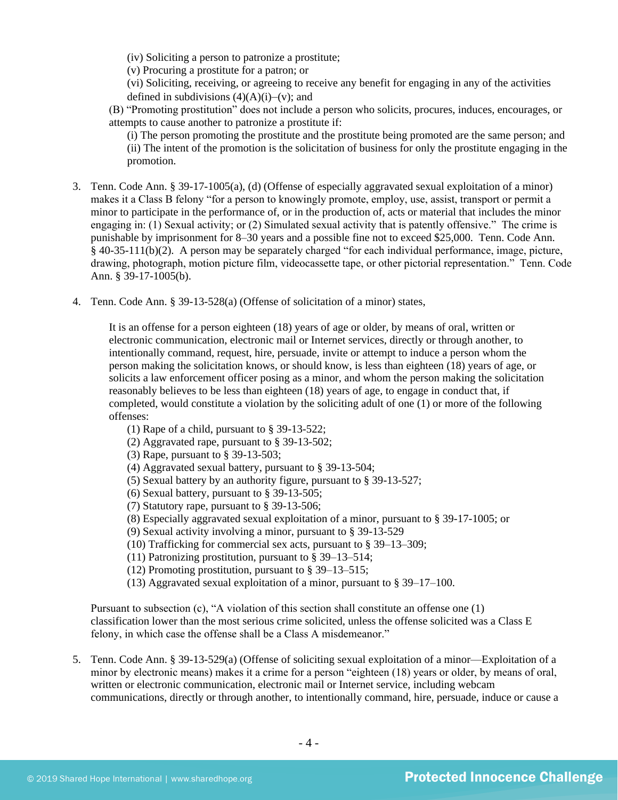(iv) Soliciting a person to patronize a prostitute;

(v) Procuring a prostitute for a patron; or

(vi) Soliciting, receiving, or agreeing to receive any benefit for engaging in any of the activities defined in subdivisions  $(4)(A)(i)$ –(v); and

(B) "Promoting prostitution" does not include a person who solicits, procures, induces, encourages, or attempts to cause another to patronize a prostitute if:

(i) The person promoting the prostitute and the prostitute being promoted are the same person; and (ii) The intent of the promotion is the solicitation of business for only the prostitute engaging in the promotion.

- 3. Tenn. Code Ann. § 39-17-1005(a), (d) (Offense of especially aggravated sexual exploitation of a minor) makes it a Class B felony "for a person to knowingly promote, employ, use, assist, transport or permit a minor to participate in the performance of, or in the production of, acts or material that includes the minor engaging in: (1) Sexual activity; or (2) Simulated sexual activity that is patently offensive." The crime is punishable by imprisonment for 8–30 years and a possible fine not to exceed \$25,000. Tenn. Code Ann. § 40-35-111(b)(2). A person may be separately charged "for each individual performance, image, picture, drawing, photograph, motion picture film, videocassette tape, or other pictorial representation." Tenn. Code Ann. § 39-17-1005(b).
- 4. Tenn. Code Ann. § 39-13-528(a) (Offense of solicitation of a minor) states,

It is an offense for a person eighteen (18) years of age or older, by means of oral, written or electronic communication, electronic mail or Internet services, directly or through another, to intentionally command, request, hire, persuade, invite or attempt to induce a person whom the person making the solicitation knows, or should know, is less than eighteen (18) years of age, or solicits a law enforcement officer posing as a minor, and whom the person making the solicitation reasonably believes to be less than eighteen (18) years of age, to engage in conduct that, if completed, would constitute a violation by the soliciting adult of one (1) or more of the following offenses:

- (1) Rape of a child, pursuant to § 39-13-522;
- (2) Aggravated rape, pursuant to § 39-13-502;
- (3) Rape, pursuant to § 39-13-503;
- (4) Aggravated sexual battery, pursuant to § 39-13-504;
- (5) Sexual battery by an authority figure, pursuant to § 39-13-527;
- (6) Sexual battery, pursuant to § 39-13-505;
- (7) Statutory rape, pursuant to § 39-13-506;
- (8) Especially aggravated sexual exploitation of a minor, pursuant to § 39-17-1005; or
- (9) Sexual activity involving a minor, pursuant to § 39-13-529
- (10) Trafficking for commercial sex acts, pursuant to § 39–13–309;
- (11) Patronizing prostitution, pursuant to § 39–13–514;
- (12) Promoting prostitution, pursuant to § 39–13–515;
- (13) Aggravated sexual exploitation of a minor, pursuant to § 39–17–100.

Pursuant to subsection (c), "A violation of this section shall constitute an offense one (1) classification lower than the most serious crime solicited, unless the offense solicited was a Class E felony, in which case the offense shall be a Class A misdemeanor."

5. Tenn. Code Ann. § 39-13-529(a) (Offense of soliciting sexual exploitation of a minor—Exploitation of a minor by electronic means) makes it a crime for a person "eighteen (18) years or older, by means of oral, written or electronic communication, electronic mail or Internet service, including webcam communications, directly or through another, to intentionally command, hire, persuade, induce or cause a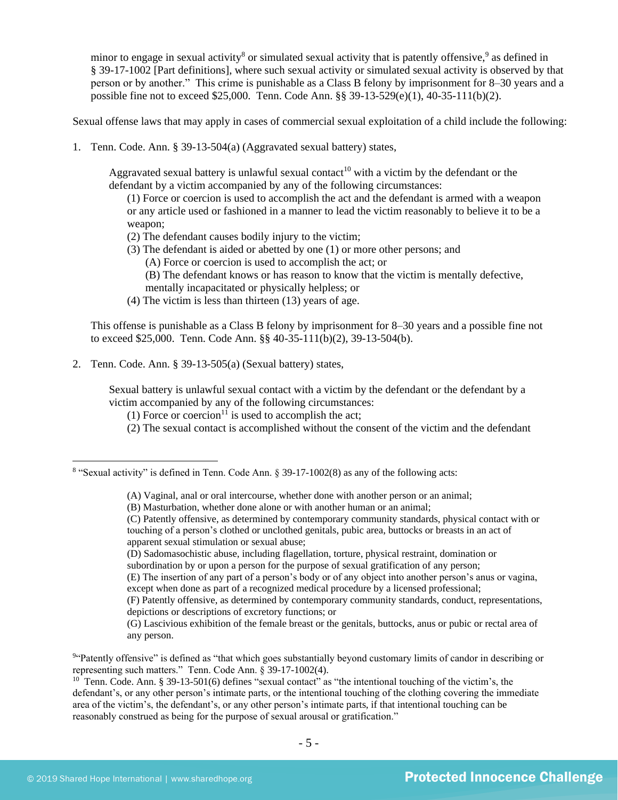minor to engage in sexual activity<sup>8</sup> or simulated sexual activity that is patently offensive, <sup>9</sup> as defined in § 39-17-1002 [Part definitions], where such sexual activity or simulated sexual activity is observed by that person or by another." This crime is punishable as a Class B felony by imprisonment for 8–30 years and a possible fine not to exceed \$25,000. Tenn. Code Ann. §§ 39-13-529(e)(1), 40-35-111(b)(2).

Sexual offense laws that may apply in cases of commercial sexual exploitation of a child include the following:

1. Tenn. Code. Ann. § 39-13-504(a) (Aggravated sexual battery) states,

Aggravated sexual battery is unlawful sexual contact<sup>10</sup> with a victim by the defendant or the defendant by a victim accompanied by any of the following circumstances:

<span id="page-4-0"></span>(1) Force or coercion is used to accomplish the act and the defendant is armed with a weapon or any article used or fashioned in a manner to lead the victim reasonably to believe it to be a weapon;

- (2) The defendant causes bodily injury to the victim;
- (3) The defendant is aided or abetted by one (1) or more other persons; and
	- (A) Force or coercion is used to accomplish the act; or
	- (B) The defendant knows or has reason to know that the victim is mentally defective, mentally incapacitated or physically helpless; or
- (4) The victim is less than thirteen (13) years of age.

This offense is punishable as a Class B felony by imprisonment for 8–30 years and a possible fine not to exceed \$25,000. Tenn. Code Ann. §§ 40-35-111(b)(2), 39-13-504(b).

2. Tenn. Code. Ann. § 39-13-505(a) (Sexual battery) states,

Sexual battery is unlawful sexual contact with a victim by the defendant or the defendant by a victim accompanied by any of the following circumstances:

- (1) Force or coercion<sup>11</sup> is used to accomplish the act;
- (2) The sexual contact is accomplished without the consent of the victim and the defendant

(D) Sadomasochistic abuse, including flagellation, torture, physical restraint, domination or subordination by or upon a person for the purpose of sexual gratification of any person;

<sup>&</sup>lt;sup>8</sup> "Sexual activity" is defined in Tenn. Code Ann. § 39-17-1002(8) as any of the following acts:

<sup>(</sup>A) Vaginal, anal or oral intercourse, whether done with another person or an animal;

<sup>(</sup>B) Masturbation, whether done alone or with another human or an animal;

<sup>(</sup>C) Patently offensive, as determined by contemporary community standards, physical contact with or touching of a person's clothed or unclothed genitals, pubic area, buttocks or breasts in an act of apparent sexual stimulation or sexual abuse;

<sup>(</sup>E) The insertion of any part of a person's body or of any object into another person's anus or vagina, except when done as part of a recognized medical procedure by a licensed professional;

<sup>(</sup>F) Patently offensive, as determined by contemporary community standards, conduct, representations, depictions or descriptions of excretory functions; or

<sup>(</sup>G) Lascivious exhibition of the female breast or the genitals, buttocks, anus or pubic or rectal area of any person.

<sup>&</sup>lt;sup>94</sup> Patently offensive" is defined as "that which goes substantially beyond customary limits of candor in describing or representing such matters." Tenn. Code Ann. § 39-17-1002(4).

<sup>&</sup>lt;sup>10</sup> Tenn. Code. Ann. § 39-13-501(6) defines "sexual contact" as "the intentional touching of the victim's, the defendant's, or any other person's intimate parts, or the intentional touching of the clothing covering the immediate area of the victim's, the defendant's, or any other person's intimate parts, if that intentional touching can be reasonably construed as being for the purpose of sexual arousal or gratification."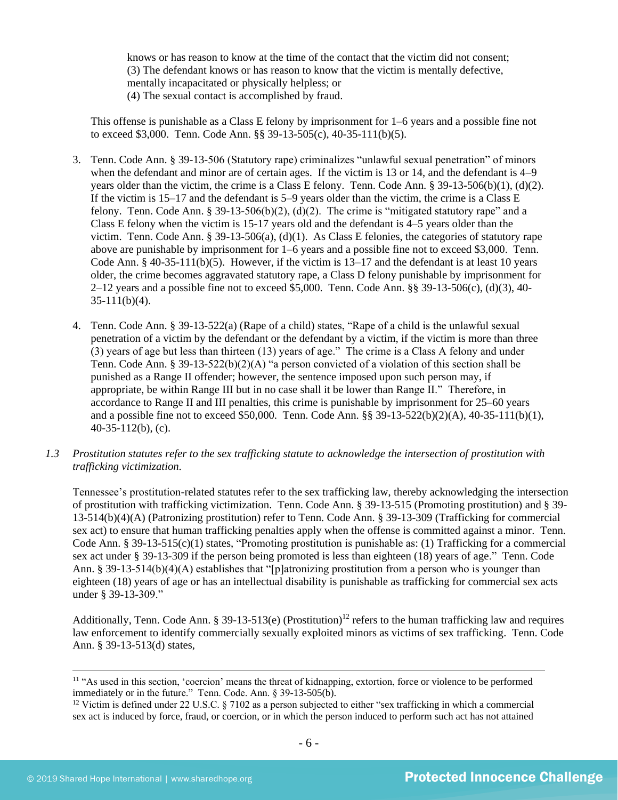knows or has reason to know at the time of the contact that the victim did not consent; (3) The defendant knows or has reason to know that the victim is mentally defective, mentally incapacitated or physically helpless; or (4) The sexual contact is accomplished by fraud.

This offense is punishable as a Class E felony by imprisonment for 1–6 years and a possible fine not to exceed \$3,000. Tenn. Code Ann. §§ 39-13-505(c), 40-35-111(b)(5).

- 3. Tenn. Code Ann. § 39-13-506 (Statutory rape) criminalizes "unlawful sexual penetration" of minors when the defendant and minor are of certain ages. If the victim is 13 or 14, and the defendant is 4–9 years older than the victim, the crime is a Class E felony. Tenn. Code Ann. § 39-13-506(b)(1), (d)(2). If the victim is 15–17 and the defendant is 5–9 years older than the victim, the crime is a Class E felony. Tenn. Code Ann. § 39-13-506(b)(2), (d)(2). The crime is "mitigated statutory rape" and a Class E felony when the victim is 15-17 years old and the defendant is 4–5 years older than the victim. Tenn. Code Ann. § 39-13-506(a), (d)(1). As Class E felonies, the categories of statutory rape above are punishable by imprisonment for 1–6 years and a possible fine not to exceed \$3,000. Tenn. Code Ann. § 40-35-111(b)(5). However, if the victim is  $13-17$  and the defendant is at least 10 years older, the crime becomes aggravated statutory rape, a Class D felony punishable by imprisonment for 2–12 years and a possible fine not to exceed \$5,000. Tenn. Code Ann. §§ 39-13-506(c), (d)(3), 40-  $35-111(b)(4)$ .
- 4. Tenn. Code Ann. § 39-13-522(a) (Rape of a child) states, "Rape of a child is the unlawful sexual penetration of a victim by the defendant or the defendant by a victim, if the victim is more than three (3) years of age but less than thirteen (13) years of age." The crime is a Class A felony and under Tenn. Code Ann. § 39-13-522(b)(2)(A) "a person convicted of a violation of this section shall be punished as a Range II offender; however, the sentence imposed upon such person may, if appropriate, be within Range III but in no case shall it be lower than Range II." Therefore, in accordance to Range II and III penalties, this crime is punishable by imprisonment for 25–60 years and a possible fine not to exceed \$50,000. Tenn. Code Ann. §§ 39-13-522(b)(2)(A), 40-35-111(b)(1), 40-35-112(b), (c).
- *1.3 Prostitution statutes refer to the sex trafficking statute to acknowledge the intersection of prostitution with trafficking victimization.*

Tennessee's prostitution-related statutes refer to the sex trafficking law, thereby acknowledging the intersection of prostitution with trafficking victimization. Tenn. Code Ann. § 39-13-515 (Promoting prostitution) and § 39- 13-514(b)(4)(A) (Patronizing prostitution) refer to Tenn. Code Ann. § 39-13-309 (Trafficking for commercial sex act) to ensure that human trafficking penalties apply when the offense is committed against a minor. Tenn. Code Ann. §  $39-13-515(c)(1)$  states, "Promoting prostitution is punishable as: (1) Trafficking for a commercial sex act under § 39-13-309 if the person being promoted is less than eighteen (18) years of age." Tenn. Code Ann. § 39-13-514(b)(4)(A) establishes that "[p]atronizing prostitution from a person who is younger than eighteen (18) years of age or has an intellectual disability is punishable as trafficking for commercial sex acts under § 39-13-309."

Additionally, Tenn. Code Ann. § 39-13-513(e) (Prostitution)<sup>12</sup> refers to the human trafficking law and requires law enforcement to identify commercially sexually exploited minors as victims of sex trafficking. Tenn. Code Ann. § 39-13-513(d) states,

<sup>&</sup>lt;sup>11</sup> "As used in this section, 'coercion' means the threat of kidnapping, extortion, force or violence to be performed immediately or in the future." Tenn. Code. Ann. § 39-13-505(b).

<sup>&</sup>lt;sup>12</sup> Victim is defined under 22 U.S.C. § 7102 as a person subjected to either "sex trafficking in which a commercial sex act is induced by force, fraud, or coercion, or in which the person induced to perform such act has not attained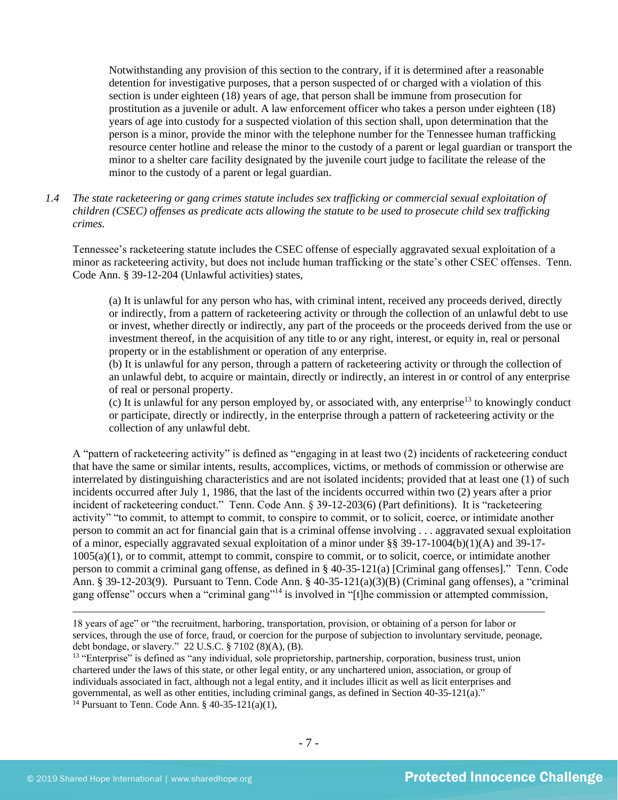Notwithstanding any provision of this section to the contrary, if it is determined after a reasonable detention for investigative purposes, that a person suspected of or charged with a violation of this section is under eighteen (18) years of age, that person shall be immune from prosecution for prostitution as a juvenile or adult. A law enforcement officer who takes a person under eighteen (18) years of age into custody for a suspected violation of this section shall, upon determination that the person is a minor, provide the minor with the telephone number for the Tennessee human trafficking resource center hotline and release the minor to the custody of a parent or legal guardian or transport the minor to a shelter care facility designated by the juvenile court judge to facilitate the release of the minor to the custody of a parent or legal guardian.

*1.4 The state racketeering or gang crimes statute includes sex trafficking or commercial sexual exploitation of children (CSEC) offenses as predicate acts allowing the statute to be used to prosecute child sex trafficking crimes.* 

Tennessee's racketeering statute includes the CSEC offense of especially aggravated sexual exploitation of a minor as racketeering activity, but does not include human trafficking or the state's other CSEC offenses. Tenn. Code Ann. § 39-12-204 (Unlawful activities) states,

(a) It is unlawful for any person who has, with criminal intent, received any proceeds derived, directly or indirectly, from a pattern of racketeering activity or through the collection of an unlawful debt to use or invest, whether directly or indirectly, any part of the proceeds or the proceeds derived from the use or investment thereof, in the acquisition of any title to or any right, interest, or equity in, real or personal property or in the establishment or operation of any enterprise.

(b) It is unlawful for any person, through a pattern of racketeering activity or through the collection of an unlawful debt, to acquire or maintain, directly or indirectly, an interest in or control of any enterprise of real or personal property.

(c) It is unlawful for any person employed by, or associated with, any enterprise<sup>13</sup> to knowingly conduct or participate, directly or indirectly, in the enterprise through a pattern of racketeering activity or the collection of any unlawful debt.

A "pattern of racketeering activity" is defined as "engaging in at least two (2) incidents of racketeering conduct that have the same or similar intents, results, accomplices, victims, or methods of commission or otherwise are interrelated by distinguishing characteristics and are not isolated incidents; provided that at least one (1) of such incidents occurred after July 1, 1986, that the last of the incidents occurred within two (2) years after a prior incident of racketeering conduct." Tenn. Code Ann. § 39-12-203(6) (Part definitions). It is "racketeering activity" "to commit, to attempt to commit, to conspire to commit, or to solicit, coerce, or intimidate another person to commit an act for financial gain that is a criminal offense involving . . . aggravated sexual exploitation of a minor, especially aggravated sexual exploitation of a minor under §§ 39-17-1004(b)(1)(A) and 39-17- 1005(a)(1), or to commit, attempt to commit, conspire to commit, or to solicit, coerce, or intimidate another person to commit a criminal gang offense, as defined in § 40-35-121(a) [Criminal gang offenses]." Tenn. Code Ann. § 39-12-203(9). Pursuant to Tenn. Code Ann. § 40-35-121(a)(3)(B) (Criminal gang offenses), a "criminal gang offense" occurs when a "criminal gang"<sup>14</sup> is involved in "[t]he commission or attempted commission,

- 7 -

<sup>18</sup> years of age" or "the recruitment, harboring, transportation, provision, or obtaining of a person for labor or services, through the use of force, fraud, or coercion for the purpose of subjection to involuntary servitude, peonage, debt bondage, or slavery." 22 U.S.C. § 7102 (8)(A), (B).

<sup>&</sup>lt;sup>13</sup> "Enterprise" is defined as "any individual, sole proprietorship, partnership, corporation, business trust, union chartered under the laws of this state, or other legal entity, or any unchartered union, association, or group of individuals associated in fact, although not a legal entity, and it includes illicit as well as licit enterprises and governmental, as well as other entities, including criminal gangs, as defined in Section 40-35-121(a)." <sup>14</sup> Pursuant to Tenn. Code Ann. § 40-35-121(a)(1),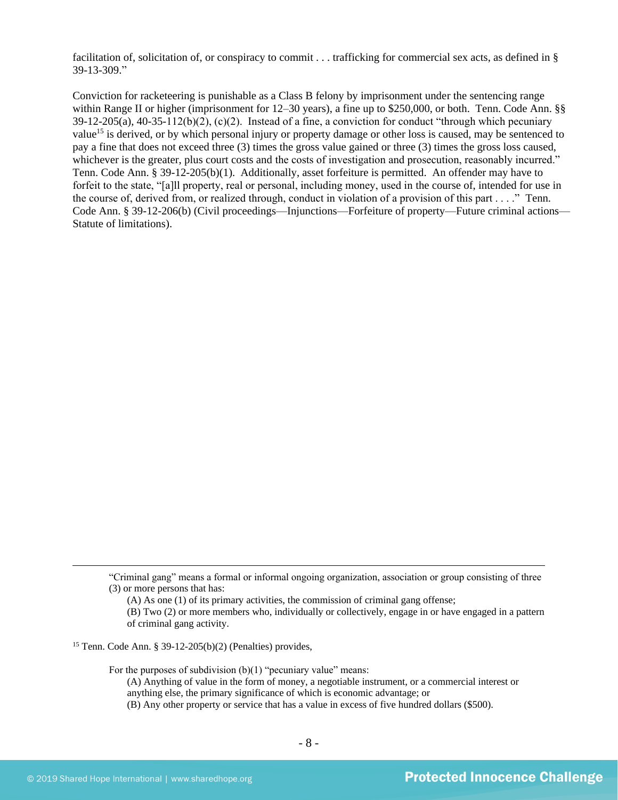facilitation of, solicitation of, or conspiracy to commit . . . trafficking for commercial sex acts, as defined in § 39-13-309."

Conviction for racketeering is punishable as a Class B felony by imprisonment under the sentencing range within Range II or higher (imprisonment for 12–30 years), a fine up to \$250,000, or both. Tenn. Code Ann. §§  $39-12-205(a)$ ,  $40-35-112(b)(2)$ , (c)(2). Instead of a fine, a conviction for conduct "through which pecuniary value<sup>15</sup> is derived, or by which personal injury or property damage or other loss is caused, may be sentenced to pay a fine that does not exceed three (3) times the gross value gained or three (3) times the gross loss caused, whichever is the greater, plus court costs and the costs of investigation and prosecution, reasonably incurred." Tenn. Code Ann. § 39-12-205(b)(1). Additionally, asset forfeiture is permitted. An offender may have to forfeit to the state, "[a]ll property, real or personal, including money, used in the course of, intended for use in the course of, derived from, or realized through, conduct in violation of a provision of this part . . . ." Tenn. Code Ann. § 39-12-206(b) (Civil proceedings—Injunctions—Forfeiture of property—Future criminal actions— Statute of limitations).

(A) As one (1) of its primary activities, the commission of criminal gang offense;

For the purposes of subdivision  $(b)(1)$  "pecuniary value" means:

(A) Anything of value in the form of money, a negotiable instrument, or a commercial interest or anything else, the primary significance of which is economic advantage; or

(B) Any other property or service that has a value in excess of five hundred dollars (\$500).

<sup>&</sup>quot;Criminal gang" means a formal or informal ongoing organization, association or group consisting of three (3) or more persons that has:

<sup>(</sup>B) Two (2) or more members who, individually or collectively, engage in or have engaged in a pattern of criminal gang activity.

<sup>15</sup> Tenn. Code Ann. § 39-12-205(b)(2) (Penalties) provides,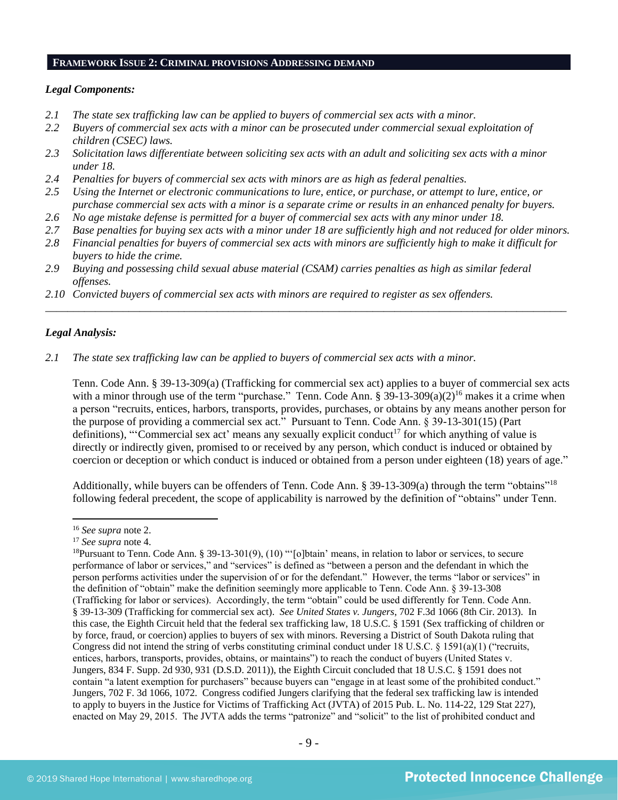#### **FRAMEWORK ISSUE 2: CRIMINAL PROVISIONS ADDRESSING DEMAND**

#### *Legal Components:*

- *2.1 The state sex trafficking law can be applied to buyers of commercial sex acts with a minor.*
- *2.2 Buyers of commercial sex acts with a minor can be prosecuted under commercial sexual exploitation of children (CSEC) laws.*
- *2.3 Solicitation laws differentiate between soliciting sex acts with an adult and soliciting sex acts with a minor under 18.*
- *2.4 Penalties for buyers of commercial sex acts with minors are as high as federal penalties.*
- *2.5 Using the Internet or electronic communications to lure, entice, or purchase, or attempt to lure, entice, or purchase commercial sex acts with a minor is a separate crime or results in an enhanced penalty for buyers.*
- *2.6 No age mistake defense is permitted for a buyer of commercial sex acts with any minor under 18.*
- *2.7 Base penalties for buying sex acts with a minor under 18 are sufficiently high and not reduced for older minors.*
- *2.8 Financial penalties for buyers of commercial sex acts with minors are sufficiently high to make it difficult for buyers to hide the crime.*

\_\_\_\_\_\_\_\_\_\_\_\_\_\_\_\_\_\_\_\_\_\_\_\_\_\_\_\_\_\_\_\_\_\_\_\_\_\_\_\_\_\_\_\_\_\_\_\_\_\_\_\_\_\_\_\_\_\_\_\_\_\_\_\_\_\_\_\_\_\_\_\_\_\_\_\_\_\_\_\_\_\_\_\_\_\_\_\_\_\_\_\_\_\_

- *2.9 Buying and possessing child sexual abuse material (CSAM) carries penalties as high as similar federal offenses.*
- *2.10 Convicted buyers of commercial sex acts with minors are required to register as sex offenders.*

# *Legal Analysis:*

*2.1 The state sex trafficking law can be applied to buyers of commercial sex acts with a minor.*

Tenn. Code Ann. § 39-13-309(a) (Trafficking for commercial sex act) applies to a buyer of commercial sex acts with a minor through use of the term "purchase." Tenn. Code Ann. §  $39-13-309(a)(2)^{16}$  makes it a crime when a person "recruits, entices, harbors, transports, provides, purchases, or obtains by any means another person for the purpose of providing a commercial sex act." Pursuant to Tenn. Code Ann. § 39-13-301(15) (Part definitions), "'Commercial sex act' means any sexually explicit conduct<sup>17</sup> for which anything of value is directly or indirectly given, promised to or received by any person, which conduct is induced or obtained by coercion or deception or which conduct is induced or obtained from a person under eighteen (18) years of age."

Additionally, while buyers can be offenders of Tenn. Code Ann. § 39-13-309(a) through the term "obtains"<sup>18</sup> following federal precedent, the scope of applicability is narrowed by the definition of "obtains" under Tenn.

<sup>16</sup> *See supra* note [2.](#page-0-0)

<sup>17</sup> *See supra* note [4.](#page-1-0)

<sup>&</sup>lt;sup>18</sup>Pursuant to Tenn. Code Ann. § 39-13-301(9), (10) "'[o]btain' means, in relation to labor or services, to secure performance of labor or services," and "services" is defined as "between a person and the defendant in which the person performs activities under the supervision of or for the defendant." However, the terms "labor or services" in the definition of "obtain" make the definition seemingly more applicable to Tenn. Code Ann. § 39-13-308 (Trafficking for labor or services). Accordingly, the term "obtain" could be used differently for Tenn. Code Ann. § 39-13-309 (Trafficking for commercial sex act). *See United States v. Jungers*, 702 F.3d 1066 (8th Cir. 2013). In this case, the Eighth Circuit held that the federal sex trafficking law, 18 U.S.C. § 1591 (Sex trafficking of children or by force, fraud, or coercion) applies to buyers of sex with minors. Reversing a District of South Dakota ruling that Congress did not intend the string of verbs constituting criminal conduct under 18 U.S.C. § 1591(a)(1) ("recruits, entices, harbors, transports, provides, obtains, or maintains") to reach the conduct of buyers (United States v. Jungers, 834 F. Supp. 2d 930, 931 (D.S.D. 2011)), the Eighth Circuit concluded that 18 U.S.C. § 1591 does not contain "a latent exemption for purchasers" because buyers can "engage in at least some of the prohibited conduct." Jungers, 702 F. 3d 1066, 1072. Congress codified Jungers clarifying that the federal sex trafficking law is intended to apply to buyers in the Justice for Victims of Trafficking Act (JVTA) of 2015 Pub. L. No. 114-22, 129 Stat 227), enacted on May 29, 2015. The JVTA adds the terms "patronize" and "solicit" to the list of prohibited conduct and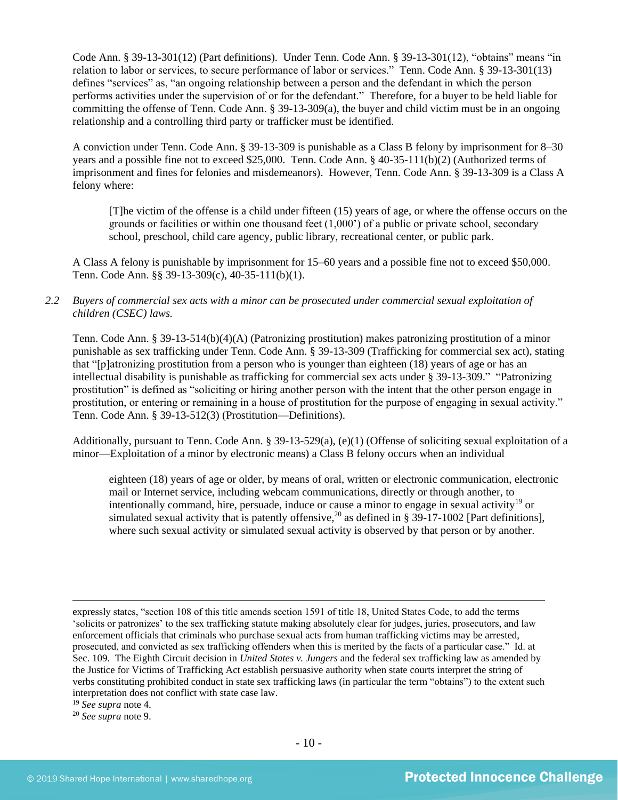Code Ann. § 39-13-301(12) (Part definitions). Under Tenn. Code Ann. § 39-13-301(12), "obtains" means "in relation to labor or services, to secure performance of labor or services." Tenn. Code Ann. § 39-13-301(13) defines "services" as, "an ongoing relationship between a person and the defendant in which the person performs activities under the supervision of or for the defendant." Therefore, for a buyer to be held liable for committing the offense of Tenn. Code Ann.  $\S$  39-13-309(a), the buyer and child victim must be in an ongoing relationship and a controlling third party or trafficker must be identified.

A conviction under Tenn. Code Ann. § 39-13-309 is punishable as a Class B felony by imprisonment for 8–30 years and a possible fine not to exceed \$25,000. Tenn. Code Ann. § 40-35-111(b)(2) (Authorized terms of imprisonment and fines for felonies and misdemeanors). However, Tenn. Code Ann. § 39-13-309 is a Class A felony where:

[T]he victim of the offense is a child under fifteen (15) years of age, or where the offense occurs on the grounds or facilities or within one thousand feet (1,000') of a public or private school, secondary school, preschool, child care agency, public library, recreational center, or public park.

A Class A felony is punishable by imprisonment for 15–60 years and a possible fine not to exceed \$50,000. Tenn. Code Ann. §§ 39-13-309(c), 40-35-111(b)(1).

*2.2 Buyers of commercial sex acts with a minor can be prosecuted under commercial sexual exploitation of children (CSEC) laws.*

Tenn. Code Ann. § 39-13-514(b)(4)(A) (Patronizing prostitution) makes patronizing prostitution of a minor punishable as sex trafficking under Tenn. Code Ann. § 39-13-309 (Trafficking for commercial sex act), stating that "[p]atronizing prostitution from a person who is younger than eighteen (18) years of age or has an intellectual disability is punishable as trafficking for commercial sex acts under § 39-13-309." "Patronizing prostitution" is defined as "soliciting or hiring another person with the intent that the other person engage in prostitution, or entering or remaining in a house of prostitution for the purpose of engaging in sexual activity." Tenn. Code Ann. § 39-13-512(3) (Prostitution—Definitions).

Additionally, pursuant to Tenn. Code Ann. § 39-13-529(a), (e)(1) (Offense of soliciting sexual exploitation of a minor—Exploitation of a minor by electronic means) a Class B felony occurs when an individual

eighteen (18) years of age or older, by means of oral, written or electronic communication, electronic mail or Internet service, including webcam communications, directly or through another, to intentionally command, hire, persuade, induce or cause a minor to engage in sexual activity<sup>19</sup> or simulated sexual activity that is patently offensive,<sup>20</sup> as defined in § 39-17-1002 [Part definitions], where such sexual activity or simulated sexual activity is observed by that person or by another.

<sup>19</sup> *See supra* note [4.](#page-1-0)

<sup>20</sup> *See supra* note [9.](#page-4-0)

expressly states, "section 108 of this title amends section 1591 of title 18, United States Code, to add the terms 'solicits or patronizes' to the sex trafficking statute making absolutely clear for judges, juries, prosecutors, and law enforcement officials that criminals who purchase sexual acts from human trafficking victims may be arrested, prosecuted, and convicted as sex trafficking offenders when this is merited by the facts of a particular case." Id. at Sec. 109. The Eighth Circuit decision in *United States v. Jungers* and the federal sex trafficking law as amended by the Justice for Victims of Trafficking Act establish persuasive authority when state courts interpret the string of verbs constituting prohibited conduct in state sex trafficking laws (in particular the term "obtains") to the extent such interpretation does not conflict with state case law.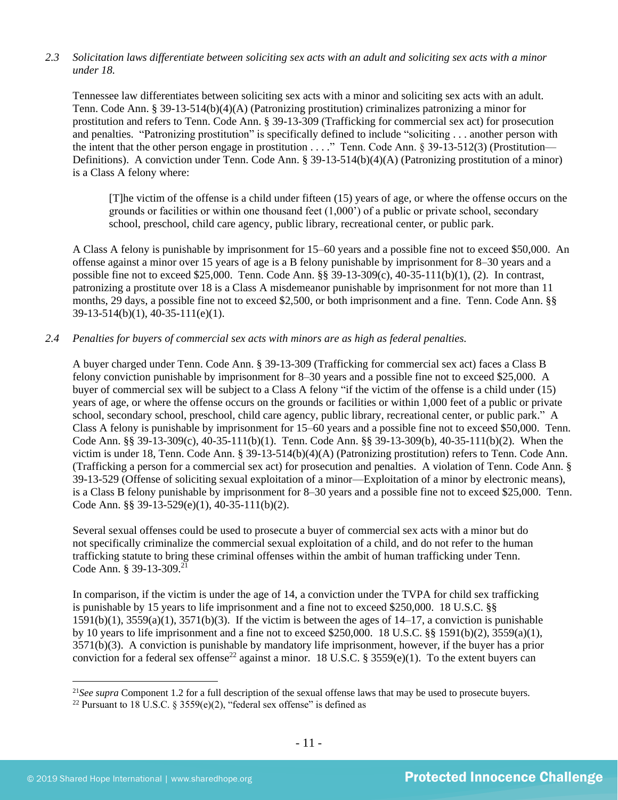# *2.3 Solicitation laws differentiate between soliciting sex acts with an adult and soliciting sex acts with a minor under 18.*

Tennessee law differentiates between soliciting sex acts with a minor and soliciting sex acts with an adult. Tenn. Code Ann. § 39-13-514(b)(4)(A) (Patronizing prostitution) criminalizes patronizing a minor for prostitution and refers to Tenn. Code Ann. § 39-13-309 (Trafficking for commercial sex act) for prosecution and penalties. "Patronizing prostitution" is specifically defined to include "soliciting . . . another person with the intent that the other person engage in prostitution . . . ." Tenn. Code Ann. § 39-13-512(3) (Prostitution— Definitions). A conviction under Tenn. Code Ann. § 39-13-514(b)(4)(A) (Patronizing prostitution of a minor) is a Class A felony where:

[T]he victim of the offense is a child under fifteen (15) years of age, or where the offense occurs on the grounds or facilities or within one thousand feet (1,000') of a public or private school, secondary school, preschool, child care agency, public library, recreational center, or public park.

A Class A felony is punishable by imprisonment for 15–60 years and a possible fine not to exceed \$50,000. An offense against a minor over 15 years of age is a B felony punishable by imprisonment for 8–30 years and a possible fine not to exceed \$25,000. Tenn. Code Ann. §§ 39-13-309(c), 40-35-111(b)(1), (2). In contrast, patronizing a prostitute over 18 is a Class A misdemeanor punishable by imprisonment for not more than 11 months, 29 days, a possible fine not to exceed \$2,500, or both imprisonment and a fine. Tenn. Code Ann. §§ 39-13-514(b)(1), 40-35-111(e)(1).

# *2.4 Penalties for buyers of commercial sex acts with minors are as high as federal penalties.*

A buyer charged under Tenn. Code Ann. § 39-13-309 (Trafficking for commercial sex act) faces a Class B felony conviction punishable by imprisonment for 8–30 years and a possible fine not to exceed \$25,000. A buyer of commercial sex will be subject to a Class A felony "if the victim of the offense is a child under (15) years of age, or where the offense occurs on the grounds or facilities or within 1,000 feet of a public or private school, secondary school, preschool, child care agency, public library, recreational center, or public park." A Class A felony is punishable by imprisonment for 15–60 years and a possible fine not to exceed \$50,000. Tenn. Code Ann. §§ 39-13-309(c), 40-35-111(b)(1). Tenn. Code Ann. §§ 39-13-309(b), 40-35-111(b)(2). When the victim is under 18, Tenn. Code Ann. § 39-13-514(b)(4)(A) (Patronizing prostitution) refers to Tenn. Code Ann. (Trafficking a person for a commercial sex act) for prosecution and penalties. A violation of Tenn. Code Ann. § 39-13-529 (Offense of soliciting sexual exploitation of a minor—Exploitation of a minor by electronic means), is a Class B felony punishable by imprisonment for 8–30 years and a possible fine not to exceed \$25,000. Tenn. Code Ann. §§ 39-13-529(e)(1), 40-35-111(b)(2).

Several sexual offenses could be used to prosecute a buyer of commercial sex acts with a minor but do not specifically criminalize the commercial sexual exploitation of a child, and do not refer to the human trafficking statute to bring these criminal offenses within the ambit of human trafficking under Tenn. Code Ann. § 39-13-309.<sup>21</sup>

<span id="page-10-0"></span>In comparison, if the victim is under the age of 14, a conviction under the TVPA for child sex trafficking is punishable by 15 years to life imprisonment and a fine not to exceed \$250,000. 18 U.S.C. §§  $1591(b)(1)$ ,  $3559(a)(1)$ ,  $3571(b)(3)$ . If the victim is between the ages of  $14-17$ , a conviction is punishable by 10 years to life imprisonment and a fine not to exceed \$250,000. 18 U.S.C. §§ 1591(b)(2), 3559(a)(1), 3571(b)(3). A conviction is punishable by mandatory life imprisonment, however, if the buyer has a prior conviction for a federal sex offense<sup>22</sup> against a minor. 18 U.S.C. § 3559(e)(1). To the extent buyers can

<span id="page-10-1"></span><sup>21</sup>*See supra* Component 1.2 for a full description of the sexual offense laws that may be used to prosecute buyers.

<sup>&</sup>lt;sup>22</sup> Pursuant to 18 U.S.C. § 3559(e)(2), "federal sex offense" is defined as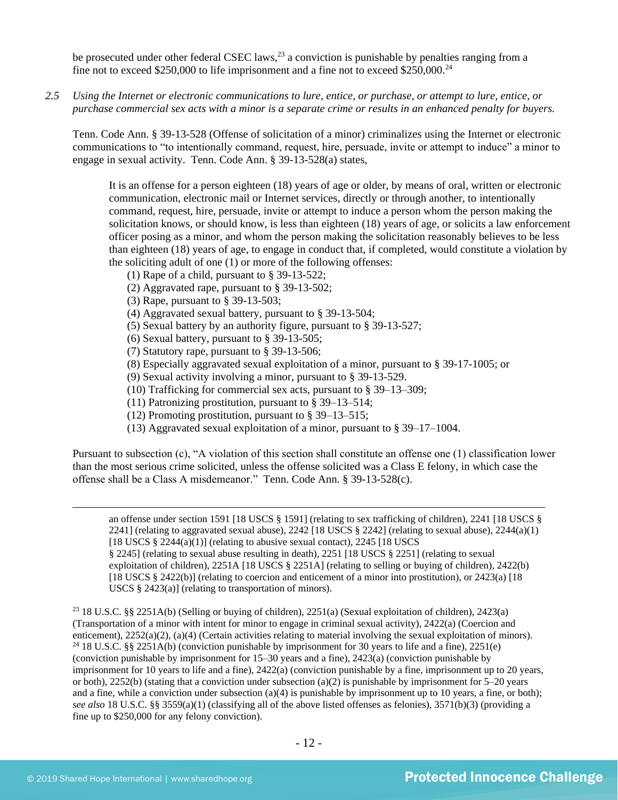be prosecuted under other federal CSEC laws,  $^{23}$  a conviction is punishable by penalties ranging from a fine not to exceed \$250,000 to life imprisonment and a fine not to exceed \$250,000.<sup>24</sup>

*2.5 Using the Internet or electronic communications to lure, entice, or purchase, or attempt to lure, entice, or purchase commercial sex acts with a minor is a separate crime or results in an enhanced penalty for buyers.*

Tenn. Code Ann. § 39-13-528 (Offense of solicitation of a minor) criminalizes using the Internet or electronic communications to "to intentionally command, request, hire, persuade, invite or attempt to induce" a minor to engage in sexual activity. Tenn. Code Ann. § 39-13-528(a) states,

It is an offense for a person eighteen (18) years of age or older, by means of oral, written or electronic communication, electronic mail or Internet services, directly or through another, to intentionally command, request, hire, persuade, invite or attempt to induce a person whom the person making the solicitation knows, or should know, is less than eighteen (18) years of age, or solicits a law enforcement officer posing as a minor, and whom the person making the solicitation reasonably believes to be less than eighteen (18) years of age, to engage in conduct that, if completed, would constitute a violation by the soliciting adult of one (1) or more of the following offenses:

- (1) Rape of a child, pursuant to [§ 39-13-522;](https://a.next.westlaw.com/Link/Document/FullText?findType=L&pubNum=1000039&cite=TNSTS39-13-522&originatingDoc=N61AFE9D1CCE411DB8F04FB3E68C8F4C5&refType=LQ&originationContext=document&transitionType=DocumentItem&contextData=(sc.UserEnteredCitation))
- (2) Aggravated rape, pursuant to [§ 39-13-502;](https://a.next.westlaw.com/Link/Document/FullText?findType=L&pubNum=1000039&cite=TNSTS39-13-502&originatingDoc=N61AFE9D1CCE411DB8F04FB3E68C8F4C5&refType=LQ&originationContext=document&transitionType=DocumentItem&contextData=(sc.UserEnteredCitation))
- (3) Rape, pursuant to [§ 39-13-503;](https://a.next.westlaw.com/Link/Document/FullText?findType=L&pubNum=1000039&cite=TNSTS39-13-503&originatingDoc=N61AFE9D1CCE411DB8F04FB3E68C8F4C5&refType=LQ&originationContext=document&transitionType=DocumentItem&contextData=(sc.UserEnteredCitation))
- (4) Aggravated sexual battery, pursuant to [§ 39-13-504;](https://a.next.westlaw.com/Link/Document/FullText?findType=L&pubNum=1000039&cite=TNSTS39-13-504&originatingDoc=N61AFE9D1CCE411DB8F04FB3E68C8F4C5&refType=LQ&originationContext=document&transitionType=DocumentItem&contextData=(sc.UserEnteredCitation))
- (5) Sexual battery by an authority figure, pursuant to [§ 39-13-527;](https://a.next.westlaw.com/Link/Document/FullText?findType=L&pubNum=1000039&cite=TNSTS39-13-527&originatingDoc=N61AFE9D1CCE411DB8F04FB3E68C8F4C5&refType=LQ&originationContext=document&transitionType=DocumentItem&contextData=(sc.UserEnteredCitation))
- (6) Sexual battery, pursuant to [§ 39-13-505;](https://a.next.westlaw.com/Link/Document/FullText?findType=L&pubNum=1000039&cite=TNSTS39-13-505&originatingDoc=N61AFE9D1CCE411DB8F04FB3E68C8F4C5&refType=LQ&originationContext=document&transitionType=DocumentItem&contextData=(sc.UserEnteredCitation))
- (7) Statutory rape, pursuant to [§ 39-13-506;](https://a.next.westlaw.com/Link/Document/FullText?findType=L&pubNum=1000039&cite=TNSTS39-13-506&originatingDoc=N61AFE9D1CCE411DB8F04FB3E68C8F4C5&refType=LQ&originationContext=document&transitionType=DocumentItem&contextData=(sc.UserEnteredCitation))
- (8) Especially aggravated sexual exploitation of a minor, pursuant to [§ 39-17-1005;](https://a.next.westlaw.com/Link/Document/FullText?findType=L&pubNum=1000039&cite=TNSTS39-17-1005&originatingDoc=N61AFE9D1CCE411DB8F04FB3E68C8F4C5&refType=LQ&originationContext=document&transitionType=DocumentItem&contextData=(sc.UserEnteredCitation)) or
- (9) Sexual activity involving a minor, pursuant to [§ 39-13-529.](https://a.next.westlaw.com/Link/Document/FullText?findType=L&pubNum=1000039&cite=TNSTS39-13-529&originatingDoc=N61AFE9D1CCE411DB8F04FB3E68C8F4C5&refType=LQ&originationContext=document&transitionType=DocumentItem&contextData=(sc.UserEnteredCitation))
- (10) Trafficking for commercial sex acts, pursuant to § 39–13–309;
- (11) Patronizing prostitution, pursuant to § 39–13–514;
- (12) Promoting prostitution, pursuant to § 39–13–515;
- (13) Aggravated sexual exploitation of a minor, pursuant to § 39–17–1004.

Pursuant to subsection (c), "A violation of this section shall constitute an offense one (1) classification lower than the most serious crime solicited, unless the offense solicited was a Class E felony, in which case the offense shall be a Class A misdemeanor." Tenn. Code Ann. § 39-13-528(c).

an offense under section 1591 [18 USCS § 1591] (relating to sex trafficking of children), 2241 [18 USCS § 2241] (relating to aggravated sexual abuse), 2242 [18 USCS  $\S$  2242] (relating to sexual abuse), 2244(a)(1) [18 USCS  $\S$  2244(a)(1)] (relating to abusive sexual contact), 2245 [18 USCS] § 2245] (relating to sexual abuse resulting in death), 2251 [18 USCS § 2251] (relating to sexual exploitation of children), 2251A [18 USCS § 2251A] (relating to selling or buying of children), 2422(b) [18 USCS § 2422(b)] (relating to coercion and enticement of a minor into prostitution), or 2423(a) [18

USCS § 2423(a)] (relating to transportation of minors).

<sup>23</sup> 18 U.S.C. §§ 2251A(b) (Selling or buying of children), 2251(a) (Sexual exploitation of children), 2423(a) (Transportation of a minor with intent for minor to engage in criminal sexual activity), 2422(a) (Coercion and enticement), 2252(a)(2), (a)(4) (Certain activities relating to material involving the sexual exploitation of minors). <sup>24</sup> 18 U.S.C. §§ 2251A(b) (conviction punishable by imprisonment for 30 years to life and a fine), 2251(e) (conviction punishable by imprisonment for 15–30 years and a fine), 2423(a) (conviction punishable by imprisonment for 10 years to life and a fine), 2422(a) (conviction punishable by a fine, imprisonment up to 20 years, or both), 2252(b) (stating that a conviction under subsection (a)(2) is punishable by imprisonment for  $5-20$  years and a fine, while a conviction under subsection (a)(4) is punishable by imprisonment up to 10 years, a fine, or both); *see also* 18 U.S.C. §§ 3559(a)(1) (classifying all of the above listed offenses as felonies), 3571(b)(3) (providing a fine up to \$250,000 for any felony conviction).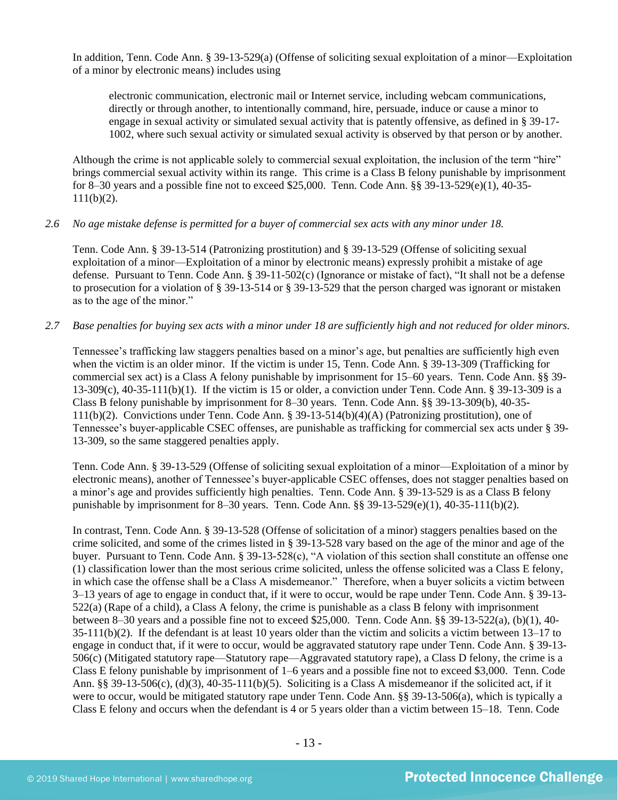In addition, Tenn. Code Ann. § 39-13-529(a) (Offense of soliciting sexual exploitation of a minor—Exploitation of a minor by electronic means) includes using

electronic communication, electronic mail or Internet service, including webcam communications, directly or through another, to intentionally command, hire, persuade, induce or cause a minor to engage in sexual activity or simulated sexual activity that is patently offensive, as defined in § 39-17- 1002, where such sexual activity or simulated sexual activity is observed by that person or by another.

Although the crime is not applicable solely to commercial sexual exploitation, the inclusion of the term "hire" brings commercial sexual activity within its range. This crime is a Class B felony punishable by imprisonment for 8–30 years and a possible fine not to exceed \$25,000. Tenn. Code Ann. §§ 39-13-529(e)(1), 40-35-  $111(b)(2)$ .

#### *2.6 No age mistake defense is permitted for a buyer of commercial sex acts with any minor under 18.*

Tenn. Code Ann. § 39-13-514 (Patronizing prostitution) and § 39-13-529 (Offense of soliciting sexual exploitation of a minor—Exploitation of a minor by electronic means) expressly prohibit a mistake of age defense. Pursuant to Tenn. Code Ann. § 39-11-502(c) (Ignorance or mistake of fact), "It shall not be a defense to prosecution for a violation of § 39-13-514 or § 39-13-529 that the person charged was ignorant or mistaken as to the age of the minor."

#### *2.7 Base penalties for buying sex acts with a minor under 18 are sufficiently high and not reduced for older minors.*

Tennessee's trafficking law staggers penalties based on a minor's age, but penalties are sufficiently high even when the victim is an older minor. If the victim is under 15, Tenn. Code Ann. § 39-13-309 (Trafficking for commercial sex act) is a Class A felony punishable by imprisonment for 15–60 years. Tenn. Code Ann. §§ 39-  $13-309(c)$ ,  $40-35-111(b)(1)$ . If the victim is 15 or older, a conviction under Tenn. Code Ann. § 39-13-309 is a Class B felony punishable by imprisonment for 8–30 years. Tenn. Code Ann. §§ 39-13-309(b), 40-35- 111(b)(2). Convictions under Tenn. Code Ann. § 39-13-514(b)(4)(A) (Patronizing prostitution), one of Tennessee's buyer-applicable CSEC offenses, are punishable as trafficking for commercial sex acts under § 39- 13-309, so the same staggered penalties apply.

Tenn. Code Ann. § 39-13-529 (Offense of soliciting sexual exploitation of a minor—Exploitation of a minor by electronic means), another of Tennessee's buyer-applicable CSEC offenses, does not stagger penalties based on a minor's age and provides sufficiently high penalties. Tenn. Code Ann. § 39-13-529 is as a Class B felony punishable by imprisonment for 8–30 years. Tenn. Code Ann.  $\S$ § 39-13-529(e)(1), 40-35-111(b)(2).

In contrast, Tenn. Code Ann. § 39-13-528 (Offense of solicitation of a minor) staggers penalties based on the crime solicited, and some of the crimes listed in § 39-13-528 vary based on the age of the minor and age of the buyer. Pursuant to Tenn. Code Ann. § 39-13-528(c), "A violation of this section shall constitute an offense one (1) classification lower than the most serious crime solicited, unless the offense solicited was a Class E felony, in which case the offense shall be a Class A misdemeanor." Therefore, when a buyer solicits a victim between 3–13 years of age to engage in conduct that, if it were to occur, would be rape under Tenn. Code Ann. § 39-13- 522(a) (Rape of a child), a Class A felony, the crime is punishable as a class B felony with imprisonment between 8–30 years and a possible fine not to exceed \$25,000. Tenn. Code Ann. §§ 39-13-522(a), (b)(1), 40- 35-111(b)(2). If the defendant is at least 10 years older than the victim and solicits a victim between 13–17 to engage in conduct that, if it were to occur, would be aggravated statutory rape under Tenn. Code Ann. § 39-13- 506(c) (Mitigated statutory rape—Statutory rape—Aggravated statutory rape), a Class D felony, the crime is a Class E felony punishable by imprisonment of 1–6 years and a possible fine not to exceed \$3,000. Tenn. Code Ann. §§ 39-13-506(c), (d)(3), 40-35-111(b)(5). Soliciting is a Class A misdemeanor if the solicited act, if it were to occur, would be mitigated statutory rape under Tenn. Code Ann. §§ 39-13-506(a), which is typically a Class E felony and occurs when the defendant is 4 or 5 years older than a victim between 15–18. Tenn. Code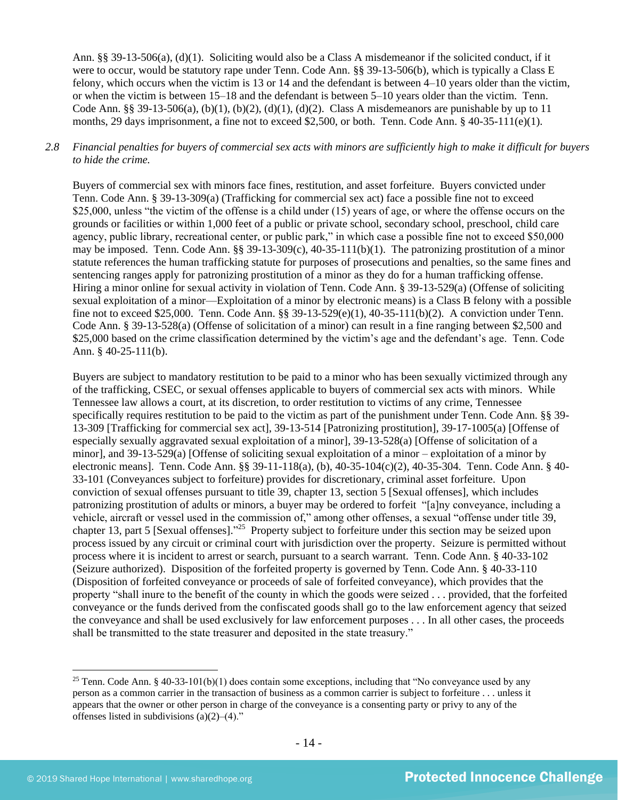Ann. §§ 39-13-506(a), (d)(1). Soliciting would also be a Class A misdemeanor if the solicited conduct, if it were to occur, would be statutory rape under Tenn. Code Ann. §§ 39-13-506(b), which is typically a Class E felony, which occurs when the victim is 13 or 14 and the defendant is between 4–10 years older than the victim, or when the victim is between 15–18 and the defendant is between 5–10 years older than the victim. Tenn. Code Ann. §§ 39-13-506(a), (b)(1), (b)(2), (d)(1), (d)(2). Class A misdemeanors are punishable by up to 11 months, 29 days imprisonment, a fine not to exceed \$2,500, or both. Tenn. Code Ann. § 40-35-111(e)(1).

# *2.8 Financial penalties for buyers of commercial sex acts with minors are sufficiently high to make it difficult for buyers to hide the crime.*

Buyers of commercial sex with minors face fines, restitution, and asset forfeiture. Buyers convicted under Tenn. Code Ann. § 39-13-309(a) (Trafficking for commercial sex act) face a possible fine not to exceed \$25,000, unless "the victim of the offense is a child under (15) years of age, or where the offense occurs on the grounds or facilities or within 1,000 feet of a public or private school, secondary school, preschool, child care agency, public library, recreational center, or public park," in which case a possible fine not to exceed \$50,000 may be imposed. Tenn. Code Ann. §§ 39-13-309(c), 40-35-111(b)(1). The patronizing prostitution of a minor statute references the human trafficking statute for purposes of prosecutions and penalties, so the same fines and sentencing ranges apply for patronizing prostitution of a minor as they do for a human trafficking offense. Hiring a minor online for sexual activity in violation of Tenn. Code Ann. § 39-13-529(a) (Offense of soliciting sexual exploitation of a minor—Exploitation of a minor by electronic means) is a Class B felony with a possible fine not to exceed \$25,000. Tenn. Code Ann. §§ 39-13-529(e)(1), 40-35-111(b)(2). A conviction under Tenn. Code Ann. § 39-13-528(a) (Offense of solicitation of a minor) can result in a fine ranging between \$2,500 and \$25,000 based on the crime classification determined by the victim's age and the defendant's age. Tenn. Code Ann. § 40-25-111(b).

Buyers are subject to mandatory restitution to be paid to a minor who has been sexually victimized through any of the trafficking, CSEC, or sexual offenses applicable to buyers of commercial sex acts with minors. While Tennessee law allows a court, at its discretion, to order restitution to victims of any crime, Tennessee specifically requires restitution to be paid to the victim as part of the punishment under Tenn. Code Ann. §§ 39-13-309 [Trafficking for commercial sex act], 39-13-514 [Patronizing prostitution], 39-17-1005(a) [Offense of especially sexually aggravated sexual exploitation of a minor], 39-13-528(a) [Offense of solicitation of a minor], and 39-13-529(a) [Offense of soliciting sexual exploitation of a minor – exploitation of a minor by electronic means]. Tenn. Code Ann. §§ 39-11-118(a), (b), 40-35-104(c)(2), 40-35-304. Tenn. Code Ann. § 40- 33-101 (Conveyances subject to forfeiture) provides for discretionary, criminal asset forfeiture. Upon conviction of sexual offenses pursuant to title 39, chapter 13, section 5 [Sexual offenses], which includes patronizing prostitution of adults or minors, a buyer may be ordered to forfeit "[a]ny conveyance, including a vehicle, aircraft or vessel used in the commission of," among other offenses, a sexual "offense under title 39, chapter 13, part 5 [Sexual offenses].<sup>325</sup> Property subject to forfeiture under this section may be seized upon process issued by any circuit or criminal court with jurisdiction over the property. Seizure is permitted without process where it is incident to arrest or search, pursuant to a search warrant. Tenn. Code Ann. § 40-33-102 (Seizure authorized). Disposition of the forfeited property is governed by Tenn. Code Ann. § 40-33-110 (Disposition of forfeited conveyance or proceeds of sale of forfeited conveyance), which provides that the property "shall inure to the benefit of the county in which the goods were seized . . . provided, that the forfeited conveyance or the funds derived from the confiscated goods shall go to the law enforcement agency that seized the conveyance and shall be used exclusively for law enforcement purposes . . . In all other cases, the proceeds shall be transmitted to the state treasurer and deposited in the state treasury."

<sup>&</sup>lt;sup>25</sup> Tenn. Code Ann. § 40-33-101(b)(1) does contain some exceptions, including that "No conveyance used by any person as a common carrier in the transaction of business as a common carrier is subject to forfeiture . . . unless it appears that the owner or other person in charge of the conveyance is a consenting party or privy to any of the offenses listed in subdivisions  $(a)(2)$ – $(4)$ ."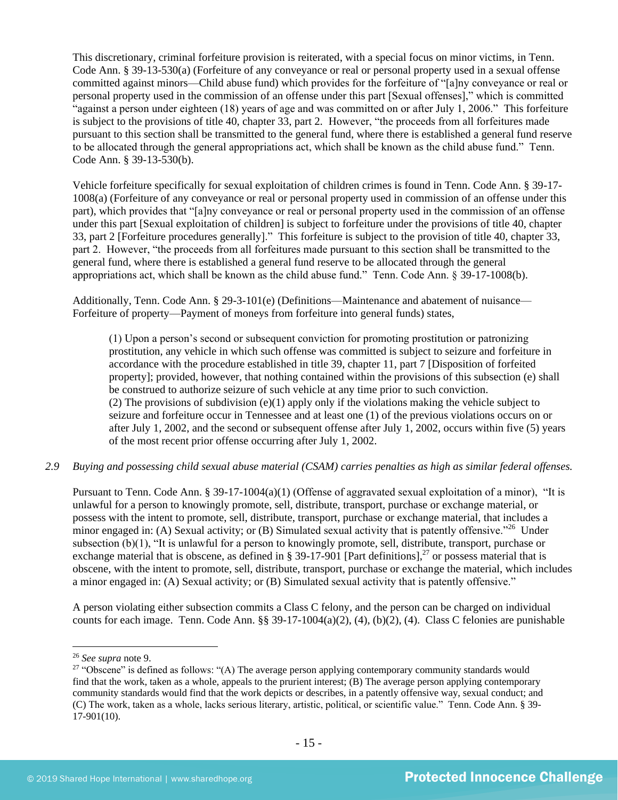This discretionary, criminal forfeiture provision is reiterated, with a special focus on minor victims, in Tenn. Code Ann. § 39-13-530(a) (Forfeiture of any conveyance or real or personal property used in a sexual offense committed against minors—Child abuse fund) which provides for the forfeiture of "[a]ny conveyance or real or personal property used in the commission of an offense under this part [Sexual offenses]," which is committed "against a person under eighteen (18) years of age and was committed on or after July 1, 2006." This forfeiture is subject to the provisions of title 40, chapter 33, part 2. However, "the proceeds from all forfeitures made pursuant to this section shall be transmitted to the general fund, where there is established a general fund reserve to be allocated through the general appropriations act, which shall be known as the child abuse fund." Tenn. Code Ann. § 39-13-530(b).

Vehicle forfeiture specifically for sexual exploitation of children crimes is found in Tenn. Code Ann. § 39-17- 1008(a) (Forfeiture of any conveyance or real or personal property used in commission of an offense under this part), which provides that "[a]ny conveyance or real or personal property used in the commission of an offense under this part [Sexual exploitation of children] is subject to forfeiture under the provisions of title 40, chapter 33, part 2 [Forfeiture procedures generally]." This forfeiture is subject to the provision of title 40, chapter 33, part 2. However, "the proceeds from all forfeitures made pursuant to this section shall be transmitted to the general fund, where there is established a general fund reserve to be allocated through the general appropriations act, which shall be known as the child abuse fund." Tenn. Code Ann. § 39-17-1008(b).

Additionally, Tenn. Code Ann. § 29-3-101(e) (Definitions—Maintenance and abatement of nuisance— Forfeiture of property—Payment of moneys from forfeiture into general funds) states,

(1) Upon a person's second or subsequent conviction for promoting prostitution or patronizing prostitution, any vehicle in which such offense was committed is subject to seizure and forfeiture in accordance with the procedure established in title 39, chapter 11, part 7 [Disposition of forfeited property]; provided, however, that nothing contained within the provisions of this subsection (e) shall be construed to authorize seizure of such vehicle at any time prior to such conviction. (2) The provisions of subdivision (e)(1) apply only if the violations making the vehicle subject to seizure and forfeiture occur in Tennessee and at least one (1) of the previous violations occurs on or after July 1, 2002, and the second or subsequent offense after July 1, 2002, occurs within five (5) years of the most recent prior offense occurring after July 1, 2002.

*2.9 Buying and possessing child sexual abuse material (CSAM) carries penalties as high as similar federal offenses.*

Pursuant to Tenn. Code Ann. § 39-17-1004(a)(1) (Offense of aggravated sexual exploitation of a minor), "It is unlawful for a person to knowingly promote, sell, distribute, transport, purchase or exchange material, or possess with the intent to promote, sell, distribute, transport, purchase or exchange material, that includes a minor engaged in: (A) Sexual activity; or (B) Simulated sexual activity that is patently offensive."<sup>26</sup> Under subsection (b)(1), "It is unlawful for a person to knowingly promote, sell, distribute, transport, purchase or exchange material that is obscene, as defined in § 39-17-901 [Part definitions],<sup>27</sup> or possess material that is obscene, with the intent to promote, sell, distribute, transport, purchase or exchange the material, which includes a minor engaged in: (A) Sexual activity; or (B) Simulated sexual activity that is patently offensive."

<span id="page-14-0"></span>A person violating either subsection commits a Class C felony, and the person can be charged on individual counts for each image. Tenn. Code Ann. §§ 39-17-1004(a)(2), (4), (b)(2), (4). Class C felonies are punishable

<sup>26</sup> *See supra* note [9.](#page-4-0)

<sup>&</sup>lt;sup>27</sup> "Obscene" is defined as follows: "(A) The average person applying contemporary community standards would find that the work, taken as a whole, appeals to the prurient interest; (B) The average person applying contemporary community standards would find that the work depicts or describes, in a patently offensive way, sexual conduct; and (C) The work, taken as a whole, lacks serious literary, artistic, political, or scientific value." Tenn. Code Ann. § 39- 17-901(10).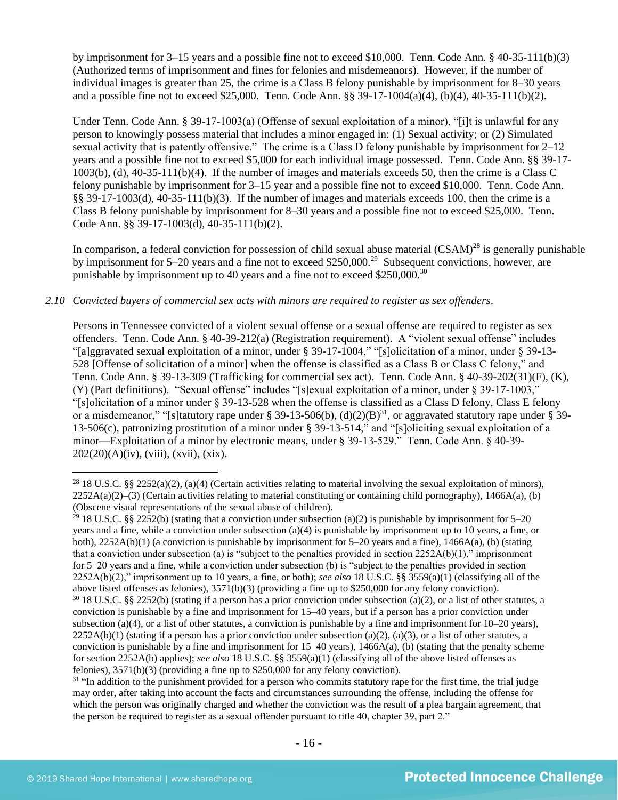by imprisonment for 3–15 years and a possible fine not to exceed \$10,000. Tenn. Code Ann. § 40-35-111(b)(3) (Authorized terms of imprisonment and fines for felonies and misdemeanors). However, if the number of individual images is greater than 25, the crime is a Class B felony punishable by imprisonment for 8–30 years and a possible fine not to exceed \$25,000. Tenn. Code Ann. §§ 39-17-1004(a)(4), (b)(4), 40-35-111(b)(2).

Under Tenn. Code Ann. § 39-17-1003(a) (Offense of sexual exploitation of a minor), "[i]t is unlawful for any person to knowingly possess material that includes a minor engaged in: (1) Sexual activity; or (2) Simulated sexual activity that is patently offensive." The crime is a Class D felony punishable by imprisonment for 2–12 years and a possible fine not to exceed \$5,000 for each individual image possessed. Tenn. Code Ann. §§ 39-17- 1003(b), (d), 40-35-111(b)(4). If the number of images and materials exceeds 50, then the crime is a Class C felony punishable by imprisonment for 3–15 year and a possible fine not to exceed \$10,000. Tenn. Code Ann. §§ 39-17-1003(d), 40-35-111(b)(3). If the number of images and materials exceeds 100, then the crime is a Class B felony punishable by imprisonment for 8–30 years and a possible fine not to exceed \$25,000. Tenn. Code Ann. §§ 39-17-1003(d), 40-35-111(b)(2).

In comparison, a federal conviction for possession of child sexual abuse material (CSAM)<sup>28</sup> is generally punishable by imprisonment for 5–20 years and a fine not to exceed \$250,000.<sup>29</sup> Subsequent convictions, however, are punishable by imprisonment up to 40 years and a fine not to exceed  $$250,000.<sup>30</sup>$ 

#### *2.10 Convicted buyers of commercial sex acts with minors are required to register as sex offenders*.

Persons in Tennessee convicted of a violent sexual offense or a sexual offense are required to register as sex offenders. Tenn. Code Ann. § 40-39-212(a) (Registration requirement). A "violent sexual offense" includes "[a]ggravated sexual exploitation of a minor, under § 39-17-1004," "[s]olicitation of a minor, under § 39-13- 528 [Offense of solicitation of a minor] when the offense is classified as a Class B or Class C felony," and Tenn. Code Ann. § 39-13-309 (Trafficking for commercial sex act). Tenn. Code Ann. § 40-39-202(31)(F), (K), (Y) (Part definitions). "Sexual offense" includes "[s]exual exploitation of a minor, under § 39-17-1003," "[s]olicitation of a minor under § 39-13-528 when the offense is classified as a Class D felony, Class E felony or a misdemeanor," "[s]tatutory rape under § 39-13-506(b),  $(d)(2)(B)^{31}$ , or aggravated statutory rape under § 39-13-506(c), patronizing prostitution of a minor under § 39-13-514," and "[s]oliciting sexual exploitation of a minor—Exploitation of a minor by electronic means, under § 39-13-529." Tenn. Code Ann. § 40-39-  $202(20)(A)(iv)$ , (viii), (xvii), (xix).

<sup>29</sup> 18 U.S.C. §§ 2252(b) (stating that a conviction under subsection (a)(2) is punishable by imprisonment for 5–20 years and a fine, while a conviction under subsection (a)(4) is punishable by imprisonment up to 10 years, a fine, or both),  $2252A(b)(1)$  (a conviction is punishable by imprisonment for 5–20 years and a fine),  $1466A(a)$ , (b) (stating that a conviction under subsection (a) is "subject to the penalties provided in section  $2252A(b)(1)$ ," imprisonment for 5–20 years and a fine, while a conviction under subsection (b) is "subject to the penalties provided in section 2252A(b)(2)," imprisonment up to 10 years, a fine, or both); *see also* 18 U.S.C. §§ 3559(a)(1) (classifying all of the above listed offenses as felonies), 3571(b)(3) (providing a fine up to \$250,000 for any felony conviction). <sup>30</sup> 18 U.S.C. §§ 2252(b) (stating if a person has a prior conviction under subsection (a)(2), or a list of other statutes, a conviction is punishable by a fine and imprisonment for 15–40 years, but if a person has a prior conviction under subsection (a)(4), or a list of other statutes, a conviction is punishable by a fine and imprisonment for  $10-20$  years),  $2252A(b)(1)$  (stating if a person has a prior conviction under subsection (a)(2), (a)(3), or a list of other statutes, a conviction is punishable by a fine and imprisonment for  $15-40$  years),  $1466A(a)$ , (b) (stating that the penalty scheme for section 2252A(b) applies); *see also* 18 U.S.C. §§ 3559(a)(1) (classifying all of the above listed offenses as felonies), 3571(b)(3) (providing a fine up to \$250,000 for any felony conviction).

<sup>31</sup> "In addition to the punishment provided for a person who commits statutory rape for the first time, the trial judge may order, after taking into account the facts and circumstances surrounding the offense, including the offense for which the person was originally charged and whether the conviction was the result of a plea bargain agreement, that the person be required to register as a sexual offender pursuant to title 40, chapter 39, part 2."

<sup>&</sup>lt;sup>28</sup> 18 U.S.C. §§ 2252(a)(2), (a)(4) (Certain activities relating to material involving the sexual exploitation of minors),  $2252A(a)(2)$ –(3) (Certain activities relating to material constituting or containing child pornography), 1466A(a), (b) (Obscene visual representations of the sexual abuse of children).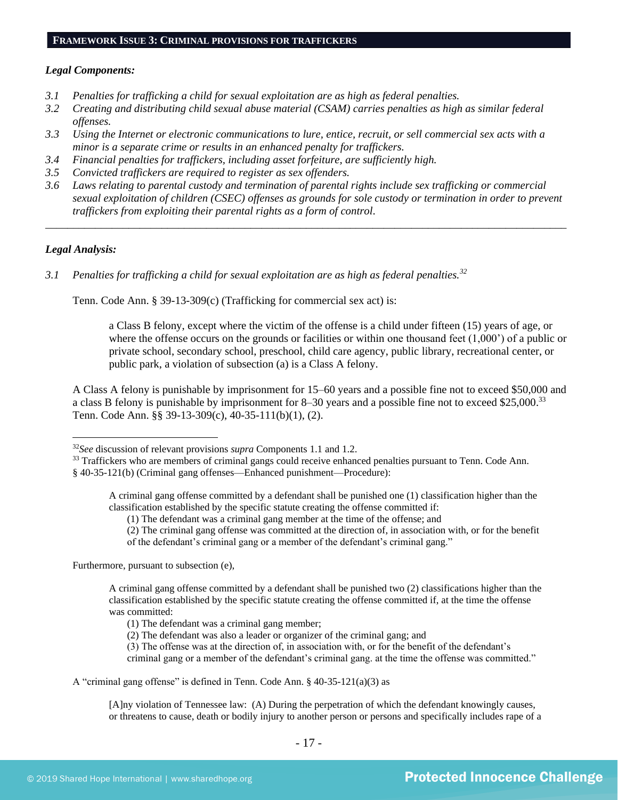#### *Legal Components:*

- *3.1 Penalties for trafficking a child for sexual exploitation are as high as federal penalties.*
- *3.2 Creating and distributing child sexual abuse material (CSAM) carries penalties as high as similar federal offenses.*
- *3.3 Using the Internet or electronic communications to lure, entice, recruit, or sell commercial sex acts with a minor is a separate crime or results in an enhanced penalty for traffickers.*
- *3.4 Financial penalties for traffickers, including asset forfeiture, are sufficiently high.*
- *3.5 Convicted traffickers are required to register as sex offenders.*
- *3.6 Laws relating to parental custody and termination of parental rights include sex trafficking or commercial sexual exploitation of children (CSEC) offenses as grounds for sole custody or termination in order to prevent traffickers from exploiting their parental rights as a form of control.*

*\_\_\_\_\_\_\_\_\_\_\_\_\_\_\_\_\_\_\_\_\_\_\_\_\_\_\_\_\_\_\_\_\_\_\_\_\_\_\_\_\_\_\_\_\_\_\_\_\_\_\_\_\_\_\_\_\_\_\_\_\_\_\_\_\_\_\_\_\_\_\_\_\_\_\_\_\_\_\_\_\_\_\_\_\_\_\_\_\_\_\_\_\_\_*

# *Legal Analysis:*

*3.1 Penalties for trafficking a child for sexual exploitation are as high as federal penalties.<sup>32</sup>*

Tenn. Code Ann. § 39-13-309(c) (Trafficking for commercial sex act) is:

a Class B felony, except where the victim of the offense is a child under fifteen (15) years of age, or where the offense occurs on the grounds or facilities or within one thousand feet  $(1,000)$  of a public or private school, secondary school, preschool, child care agency, public library, recreational center, or public park, a violation of subsection (a) is a Class A felony.

A Class A felony is punishable by imprisonment for 15–60 years and a possible fine not to exceed \$50,000 and a class B felony is punishable by imprisonment for 8–30 years and a possible fine not to exceed \$25,000.<sup>33</sup> Tenn. Code Ann. §§ 39-13-309(c), 40-35-111(b)(1), (2).

A criminal gang offense committed by a defendant shall be punished one (1) classification higher than the classification established by the specific statute creating the offense committed if:

(1) The defendant was a criminal gang member at the time of the offense; and

(2) The criminal gang offense was committed at the direction of, in association with, or for the benefit of the defendant's criminal gang or a member of the defendant's criminal gang."

Furthermore, pursuant to subsection (e),

A criminal gang offense committed by a defendant shall be punished two (2) classifications higher than the classification established by the specific statute creating the offense committed if, at the time the offense was committed:

- (1) The defendant was a criminal gang member;
- (2) The defendant was also a leader or organizer of the criminal gang; and
- (3) The offense was at the direction of, in association with, or for the benefit of the defendant's criminal gang or a member of the defendant's criminal gang. at the time the offense was committed."
- A "criminal gang offense" is defined in Tenn. Code Ann. § 40-35-121(a)(3) as

[A]ny violation of Tennessee law: (A) During the perpetration of which the defendant knowingly causes, or threatens to cause, death or bodily injury to another person or persons and specifically includes rape of a

<sup>32</sup>*See* discussion of relevant provisions *supra* Components 1.1 and 1.2.

<sup>&</sup>lt;sup>33</sup> Traffickers who are members of criminal gangs could receive enhanced penalties pursuant to Tenn. Code Ann. § 40-35-121(b) (Criminal gang offenses—Enhanced punishment—Procedure):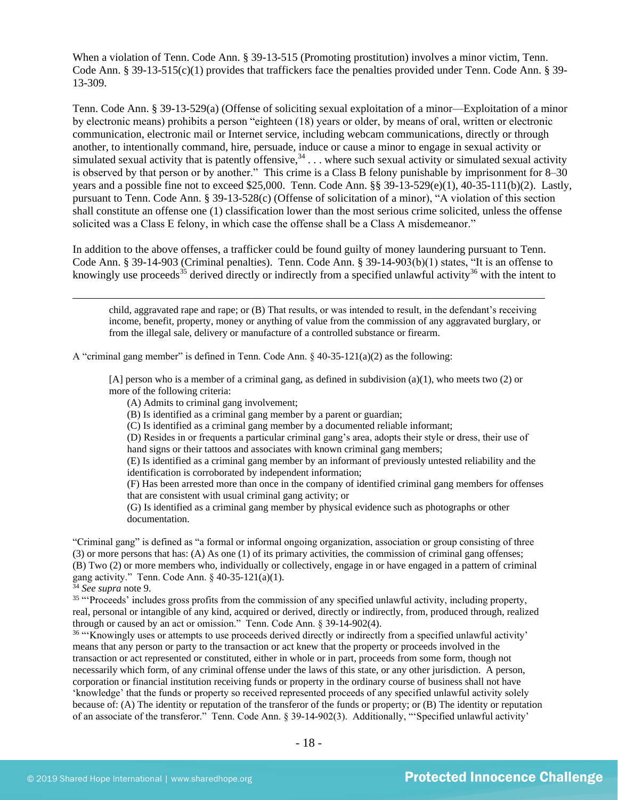When a violation of Tenn. Code Ann. § 39-13-515 (Promoting prostitution) involves a minor victim, Tenn. Code Ann. § 39-13-515(c)(1) provides that traffickers face the penalties provided under Tenn. Code Ann. § 39- 13-309.

Tenn. Code Ann. § 39-13-529(a) (Offense of soliciting sexual exploitation of a minor—Exploitation of a minor by electronic means) prohibits a person "eighteen (18) years or older, by means of oral, written or electronic communication, electronic mail or Internet service, including webcam communications, directly or through another, to intentionally command, hire, persuade, induce or cause a minor to engage in sexual activity or simulated sexual activity that is patently offensive,  $34$ ... where such sexual activity or simulated sexual activity is observed by that person or by another." This crime is a Class B felony punishable by imprisonment for 8–30 years and a possible fine not to exceed \$25,000. Tenn. Code Ann. §§ 39-13-529(e)(1), 40-35-111(b)(2). Lastly, pursuant to Tenn. Code Ann. § 39-13-528(c) (Offense of solicitation of a minor), "A violation of this section shall constitute an offense one (1) classification lower than the most serious crime solicited, unless the offense solicited was a Class E felony, in which case the offense shall be a Class A misdemeanor."

In addition to the above offenses, a trafficker could be found guilty of money laundering pursuant to Tenn. Code Ann. § 39-14-903 (Criminal penalties). Tenn. Code Ann. § 39-14-903(b)(1) states, "It is an offense to knowingly use proceeds<sup>35</sup> derived directly or indirectly from a specified unlawful activity<sup>36</sup> with the intent to

<span id="page-17-1"></span><span id="page-17-0"></span>child, aggravated rape and rape; or (B) That results, or was intended to result, in the defendant's receiving income, benefit, property, money or anything of value from the commission of any aggravated burglary, or from the illegal sale, delivery or manufacture of a controlled substance or firearm.

A "criminal gang member" is defined in Tenn. Code Ann.  $\S$  40-35-121(a)(2) as the following:

[A] person who is a member of a criminal gang, as defined in subdivision  $(a)(1)$ , who meets two  $(2)$  or more of the following criteria:

- (A) Admits to criminal gang involvement;
- (B) Is identified as a criminal gang member by a parent or guardian;
- (C) Is identified as a criminal gang member by a documented reliable informant;

(D) Resides in or frequents a particular criminal gang's area, adopts their style or dress, their use of hand signs or their tattoos and associates with known criminal gang members;

(E) Is identified as a criminal gang member by an informant of previously untested reliability and the identification is corroborated by independent information;

(F) Has been arrested more than once in the company of identified criminal gang members for offenses that are consistent with usual criminal gang activity; or

(G) Is identified as a criminal gang member by physical evidence such as photographs or other documentation.

"Criminal gang" is defined as "a formal or informal ongoing organization, association or group consisting of three (3) or more persons that has: (A) As one (1) of its primary activities, the commission of criminal gang offenses; (B) Two (2) or more members who, individually or collectively, engage in or have engaged in a pattern of criminal gang activity." Tenn. Code Ann. § 40-35-121(a)(1).

<sup>34</sup> *See supra* note [9.](#page-4-0)

<sup>35</sup> "Proceeds' includes gross profits from the commission of any specified unlawful activity, including property, real, personal or intangible of any kind, acquired or derived, directly or indirectly, from, produced through, realized through or caused by an act or omission." Tenn. Code Ann. § 39-14-902(4).

<sup>36</sup> "Knowingly uses or attempts to use proceeds derived directly or indirectly from a specified unlawful activity' means that any person or party to the transaction or act knew that the property or proceeds involved in the transaction or act represented or constituted, either in whole or in part, proceeds from some form, though not necessarily which form, of any criminal offense under the laws of this state, or any other jurisdiction. A person, corporation or financial institution receiving funds or property in the ordinary course of business shall not have 'knowledge' that the funds or property so received represented proceeds of any specified unlawful activity solely because of: (A) The identity or reputation of the transferor of the funds or property; or (B) The identity or reputation of an associate of the transferor." Tenn. Code Ann. § 39-14-902(3). Additionally, "'Specified unlawful activity'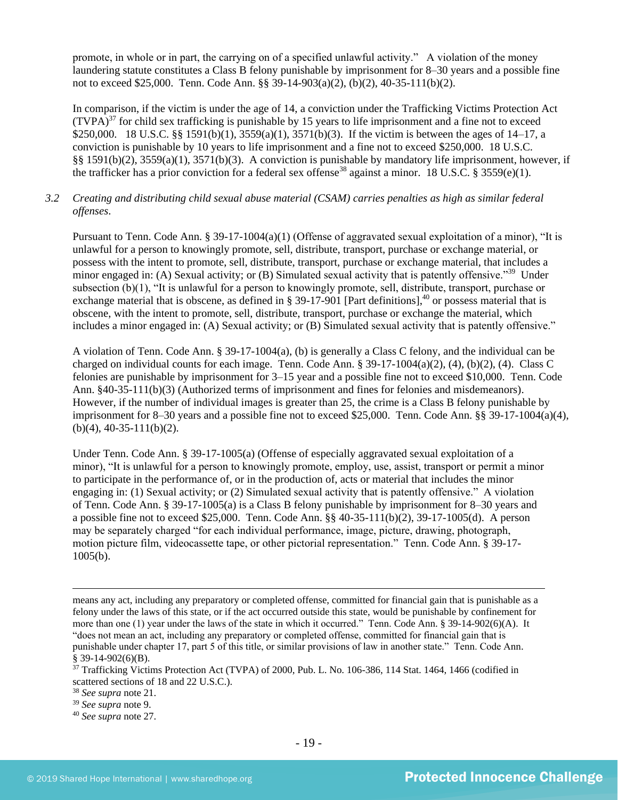promote, in whole or in part, the carrying on of a specified unlawful activity." A violation of the money laundering statute constitutes a Class B felony punishable by imprisonment for 8–30 years and a possible fine not to exceed \$25,000. Tenn. Code Ann. §§ 39-14-903(a)(2), (b)(2), 40-35-111(b)(2).

In comparison, if the victim is under the age of 14, a conviction under the Trafficking Victims Protection Act  $(TVPA)<sup>37</sup>$  for child sex trafficking is punishable by 15 years to life imprisonment and a fine not to exceed \$250,000. 18 U.S.C. §§ 1591(b)(1), 3559(a)(1), 3571(b)(3). If the victim is between the ages of 14–17, a conviction is punishable by 10 years to life imprisonment and a fine not to exceed \$250,000. 18 U.S.C. §§ 1591(b)(2), 3559(a)(1), 3571(b)(3). A conviction is punishable by mandatory life imprisonment, however, if the trafficker has a prior conviction for a federal sex offense<sup>38</sup> against a minor. 18 U.S.C. § 3559(e)(1).

# *3.2 Creating and distributing child sexual abuse material (CSAM) carries penalties as high as similar federal offenses*.

Pursuant to Tenn. Code Ann. § 39-17-1004(a)(1) (Offense of aggravated sexual exploitation of a minor), "It is unlawful for a person to knowingly promote, sell, distribute, transport, purchase or exchange material, or possess with the intent to promote, sell, distribute, transport, purchase or exchange material, that includes a minor engaged in: (A) Sexual activity; or (B) Simulated sexual activity that is patently offensive."<sup>39</sup> Under subsection (b)(1), "It is unlawful for a person to knowingly promote, sell, distribute, transport, purchase or exchange material that is obscene, as defined in § 39-17-901 [Part definitions],<sup>40</sup> or possess material that is obscene, with the intent to promote, sell, distribute, transport, purchase or exchange the material, which includes a minor engaged in: (A) Sexual activity; or (B) Simulated sexual activity that is patently offensive."

A violation of Tenn. Code Ann. § 39-17-1004(a), (b) is generally a Class C felony, and the individual can be charged on individual counts for each image. Tenn. Code Ann. §  $39-17-1004(a)(2)$ ,  $(4)$ ,  $(b)(2)$ ,  $(4)$ . Class C felonies are punishable by imprisonment for 3–15 year and a possible fine not to exceed \$10,000. Tenn. Code Ann. §40-35-111(b)(3) (Authorized terms of imprisonment and fines for felonies and misdemeanors). However, if the number of individual images is greater than 25, the crime is a Class B felony punishable by imprisonment for 8–30 years and a possible fine not to exceed \$25,000. Tenn. Code Ann.  $\S$ § 39-17-1004(a)(4),  $(b)(4)$ , 40-35-111(b)(2).

Under Tenn. Code Ann. § 39-17-1005(a) (Offense of especially aggravated sexual exploitation of a minor), "It is unlawful for a person to knowingly promote, employ, use, assist, transport or permit a minor to participate in the performance of, or in the production of, acts or material that includes the minor engaging in: (1) Sexual activity; or (2) Simulated sexual activity that is patently offensive." A violation of Tenn. Code Ann. § 39-17-1005(a) is a Class B felony punishable by imprisonment for 8–30 years and a possible fine not to exceed \$25,000. Tenn. Code Ann.  $\S$ § 40-35-111(b)(2), 39-17-1005(d). A person may be separately charged "for each individual performance, image, picture, drawing, photograph, motion picture film, videocassette tape, or other pictorial representation." Tenn. Code Ann. § 39-17- 1005(b).

means any act, including any preparatory or completed offense, committed for financial gain that is punishable as a felony under the laws of this state, or if the act occurred outside this state, would be punishable by confinement for more than one (1) year under the laws of the state in which it occurred." Tenn. Code Ann. § 39-14-902(6)(A). It "does not mean an act, including any preparatory or completed offense, committed for financial gain that is punishable under chapter 17, part 5 of this title, or similar provisions of law in another state." Tenn. Code Ann. § 39-14-902(6)(B).

<sup>37</sup> Trafficking Victims Protection Act (TVPA) of 2000, Pub. L. No. 106-386, 114 Stat. 1464, 1466 (codified in scattered sections of 18 and 22 U.S.C.).

<sup>38</sup> *See supra* note [21.](#page-10-0) 

<sup>39</sup> *See supra* note [9.](#page-4-0)

<sup>40</sup> *See supra* note [27.](#page-14-0)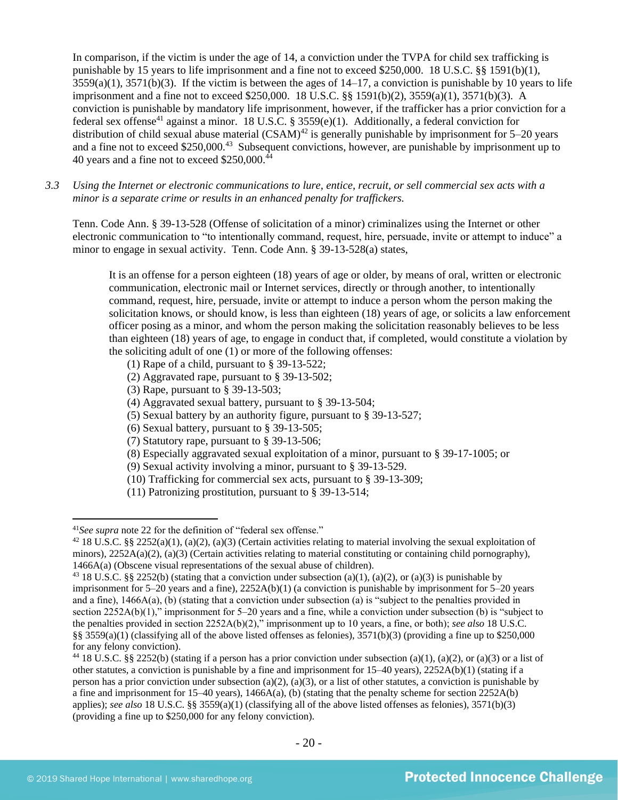In comparison, if the victim is under the age of 14, a conviction under the TVPA for child sex trafficking is punishable by 15 years to life imprisonment and a fine not to exceed \$250,000. 18 U.S.C. §§ 1591(b)(1),  $3559(a)(1)$ ,  $3571(b)(3)$ . If the victim is between the ages of  $14-17$ , a conviction is punishable by 10 years to life imprisonment and a fine not to exceed \$250,000. 18 U.S.C. §§ 1591(b)(2), 3559(a)(1), 3571(b)(3). A conviction is punishable by mandatory life imprisonment, however, if the trafficker has a prior conviction for a federal sex offense<sup>41</sup> against a minor. 18 U.S.C. § 3559(e)(1). Additionally, a federal conviction for distribution of child sexual abuse material  $(CSAM)^{42}$  is generally punishable by imprisonment for 5–20 years and a fine not to exceed \$250,000.<sup>43</sup> Subsequent convictions, however, are punishable by imprisonment up to 40 years and a fine not to exceed  $$250,000.<sup>44</sup>$ 

*3.3 Using the Internet or electronic communications to lure, entice, recruit, or sell commercial sex acts with a minor is a separate crime or results in an enhanced penalty for traffickers.*

Tenn. Code Ann. § 39-13-528 (Offense of solicitation of a minor) criminalizes using the Internet or other electronic communication to "to intentionally command, request, hire, persuade, invite or attempt to induce" a minor to engage in sexual activity. Tenn. Code Ann. § 39-13-528(a) states,

It is an offense for a person eighteen (18) years of age or older, by means of oral, written or electronic communication, electronic mail or Internet services, directly or through another, to intentionally command, request, hire, persuade, invite or attempt to induce a person whom the person making the solicitation knows, or should know, is less than eighteen (18) years of age, or solicits a law enforcement officer posing as a minor, and whom the person making the solicitation reasonably believes to be less than eighteen (18) years of age, to engage in conduct that, if completed, would constitute a violation by the soliciting adult of one (1) or more of the following offenses:

- (1) Rape of a child, pursuant to [§ 39-13-522;](https://a.next.westlaw.com/Link/Document/FullText?findType=L&pubNum=1000039&cite=TNSTS39-13-522&originatingDoc=N61AFE9D1CCE411DB8F04FB3E68C8F4C5&refType=LQ&originationContext=document&transitionType=DocumentItem&contextData=(sc.UserEnteredCitation))
- (2) Aggravated rape, pursuant to [§ 39-13-502;](https://a.next.westlaw.com/Link/Document/FullText?findType=L&pubNum=1000039&cite=TNSTS39-13-502&originatingDoc=N61AFE9D1CCE411DB8F04FB3E68C8F4C5&refType=LQ&originationContext=document&transitionType=DocumentItem&contextData=(sc.UserEnteredCitation))
- (3) Rape, pursuant to [§ 39-13-503;](https://a.next.westlaw.com/Link/Document/FullText?findType=L&pubNum=1000039&cite=TNSTS39-13-503&originatingDoc=N61AFE9D1CCE411DB8F04FB3E68C8F4C5&refType=LQ&originationContext=document&transitionType=DocumentItem&contextData=(sc.UserEnteredCitation))
- (4) Aggravated sexual battery, pursuant to [§ 39-13-504;](https://a.next.westlaw.com/Link/Document/FullText?findType=L&pubNum=1000039&cite=TNSTS39-13-504&originatingDoc=N61AFE9D1CCE411DB8F04FB3E68C8F4C5&refType=LQ&originationContext=document&transitionType=DocumentItem&contextData=(sc.UserEnteredCitation))
- (5) Sexual battery by an authority figure, pursuant to [§ 39-13-527;](https://a.next.westlaw.com/Link/Document/FullText?findType=L&pubNum=1000039&cite=TNSTS39-13-527&originatingDoc=N61AFE9D1CCE411DB8F04FB3E68C8F4C5&refType=LQ&originationContext=document&transitionType=DocumentItem&contextData=(sc.UserEnteredCitation))
- (6) Sexual battery, pursuant to [§ 39-13-505;](https://a.next.westlaw.com/Link/Document/FullText?findType=L&pubNum=1000039&cite=TNSTS39-13-505&originatingDoc=N61AFE9D1CCE411DB8F04FB3E68C8F4C5&refType=LQ&originationContext=document&transitionType=DocumentItem&contextData=(sc.UserEnteredCitation))
- (7) Statutory rape, pursuant to [§ 39-13-506;](https://a.next.westlaw.com/Link/Document/FullText?findType=L&pubNum=1000039&cite=TNSTS39-13-506&originatingDoc=N61AFE9D1CCE411DB8F04FB3E68C8F4C5&refType=LQ&originationContext=document&transitionType=DocumentItem&contextData=(sc.UserEnteredCitation))
- (8) Especially aggravated sexual exploitation of a minor, pursuant to [§ 39-17-1005;](https://a.next.westlaw.com/Link/Document/FullText?findType=L&pubNum=1000039&cite=TNSTS39-17-1005&originatingDoc=N61AFE9D1CCE411DB8F04FB3E68C8F4C5&refType=LQ&originationContext=document&transitionType=DocumentItem&contextData=(sc.UserEnteredCitation)) or
- (9) Sexual activity involving a minor, pursuant to [§ 39-13-529.](https://a.next.westlaw.com/Link/Document/FullText?findType=L&pubNum=1000039&cite=TNSTS39-13-529&originatingDoc=N61AFE9D1CCE411DB8F04FB3E68C8F4C5&refType=LQ&originationContext=document&transitionType=DocumentItem&contextData=(sc.UserEnteredCitation))
- (10) Trafficking for commercial sex acts, pursuant to § 39-13-309;
- (11) Patronizing prostitution, pursuant to § 39-13-514;

<sup>41</sup>*See supra* note [22](#page-10-1) for the definition of "federal sex offense."

<sup>&</sup>lt;sup>42</sup> 18 U.S.C. §§ 2252(a)(1), (a)(2), (a)(3) (Certain activities relating to material involving the sexual exploitation of minors),  $2252A(a)(2)$ , (a)(3) (Certain activities relating to material constituting or containing child pornography), 1466A(a) (Obscene visual representations of the sexual abuse of children).

<sup>&</sup>lt;sup>43</sup> 18 U.S.C. §§ 2252(b) (stating that a conviction under subsection (a)(1), (a)(2), or (a)(3) is punishable by imprisonment for 5–20 years and a fine), 2252A(b)(1) (a conviction is punishable by imprisonment for 5–20 years and a fine), 1466A(a), (b) (stating that a conviction under subsection (a) is "subject to the penalties provided in section 2252A(b)(1)," imprisonment for 5–20 years and a fine, while a conviction under subsection (b) is "subject to the penalties provided in section 2252A(b)(2)," imprisonment up to 10 years, a fine, or both); *see also* 18 U.S.C. §§ 3559(a)(1) (classifying all of the above listed offenses as felonies),  $3571(b)(3)$  (providing a fine up to \$250,000 for any felony conviction).

<sup>&</sup>lt;sup>44</sup> 18 U.S.C. §§ 2252(b) (stating if a person has a prior conviction under subsection (a)(1), (a)(2), or (a)(3) or a list of other statutes, a conviction is punishable by a fine and imprisonment for 15–40 years), 2252A(b)(1) (stating if a person has a prior conviction under subsection (a)(2), (a)(3), or a list of other statutes, a conviction is punishable by a fine and imprisonment for  $15-40$  years),  $1466A(a)$ , (b) (stating that the penalty scheme for section  $2252A(b)$ applies); *see also* 18 U.S.C. §§ 3559(a)(1) (classifying all of the above listed offenses as felonies), 3571(b)(3) (providing a fine up to \$250,000 for any felony conviction).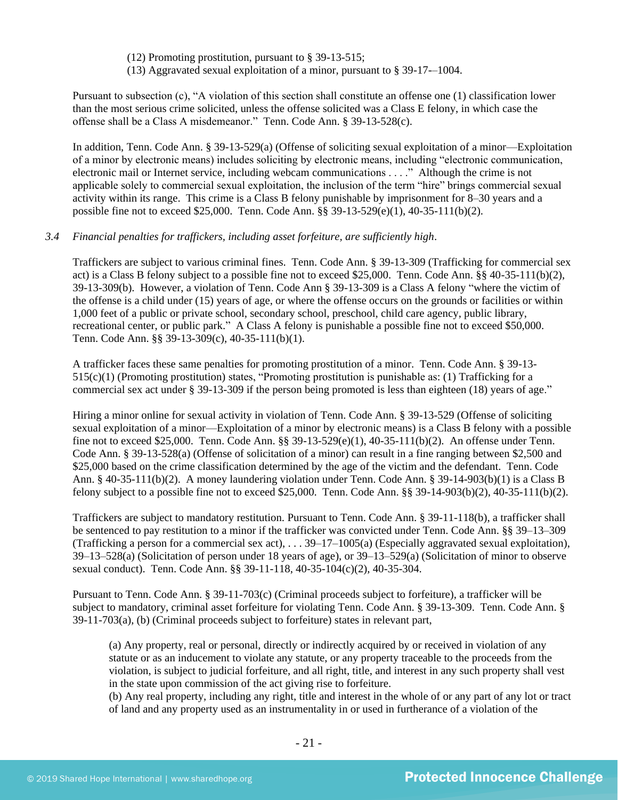(12) Promoting prostitution, pursuant to § 39-13-515;

(13) Aggravated sexual exploitation of a minor, pursuant to § 39-17-–1004.

Pursuant to subsection (c), "A violation of this section shall constitute an offense one (1) classification lower than the most serious crime solicited, unless the offense solicited was a Class E felony, in which case the offense shall be a Class A misdemeanor." Tenn. Code Ann. § 39-13-528(c).

In addition, Tenn. Code Ann. § 39-13-529(a) (Offense of soliciting sexual exploitation of a minor—Exploitation of a minor by electronic means) includes soliciting by electronic means, including "electronic communication, electronic mail or Internet service, including webcam communications . . . ." Although the crime is not applicable solely to commercial sexual exploitation, the inclusion of the term "hire" brings commercial sexual activity within its range. This crime is a Class B felony punishable by imprisonment for 8–30 years and a possible fine not to exceed \$25,000. Tenn. Code Ann. §§ 39-13-529(e)(1), 40-35-111(b)(2).

# *3.4 Financial penalties for traffickers, including asset forfeiture, are sufficiently high*.

Traffickers are subject to various criminal fines. Tenn. Code Ann. § 39-13-309 (Trafficking for commercial sex act) is a Class B felony subject to a possible fine not to exceed \$25,000. Tenn. Code Ann. §§ 40-35-111(b)(2), 39-13-309(b). However, a violation of Tenn. Code Ann § 39-13-309 is a Class A felony "where the victim of the offense is a child under (15) years of age, or where the offense occurs on the grounds or facilities or within 1,000 feet of a public or private school, secondary school, preschool, child care agency, public library, recreational center, or public park." A Class A felony is punishable a possible fine not to exceed \$50,000. Tenn. Code Ann. §§ 39-13-309(c), 40-35-111(b)(1).

A trafficker faces these same penalties for promoting prostitution of a minor. Tenn. Code Ann. § 39-13-  $515(c)(1)$  (Promoting prostitution) states, "Promoting prostitution is punishable as: (1) Trafficking for a commercial sex act under § 39-13-309 if the person being promoted is less than eighteen (18) years of age."

Hiring a minor online for sexual activity in violation of Tenn. Code Ann. § 39-13-529 (Offense of soliciting sexual exploitation of a minor—Exploitation of a minor by electronic means) is a Class B felony with a possible fine not to exceed \$25,000. Tenn. Code Ann. §§ 39-13-529(e)(1), 40-35-111(b)(2). An offense under Tenn. Code Ann. § 39-13-528(a) (Offense of solicitation of a minor) can result in a fine ranging between \$2,500 and \$25,000 based on the crime classification determined by the age of the victim and the defendant. Tenn. Code Ann. § 40-35-111(b)(2). A money laundering violation under Tenn. Code Ann. § 39-14-903(b)(1) is a Class B felony subject to a possible fine not to exceed \$25,000. Tenn. Code Ann. §§ 39-14-903(b)(2), 40-35-111(b)(2).

Traffickers are subject to mandatory restitution. Pursuant to Tenn. Code Ann. § 39-11-118(b), a trafficker shall be sentenced to pay restitution to a minor if the trafficker was convicted under Tenn. Code Ann. §§ 39–13–309 (Trafficking a person for a commercial sex act), . . . 39–17–1005(a) (Especially aggravated sexual exploitation), 39–13–528(a) (Solicitation of person under 18 years of age), or 39–13–529(a) (Solicitation of minor to observe sexual conduct). Tenn. Code Ann. §§ 39-11-118, 40-35-104(c)(2), 40-35-304.

Pursuant to Tenn. Code Ann. § 39-11-703(c) (Criminal proceeds subject to forfeiture), a trafficker will be subject to mandatory, criminal asset forfeiture for violating Tenn. Code Ann. § 39-13-309. Tenn. Code Ann. § 39-11-703(a), (b) (Criminal proceeds subject to forfeiture) states in relevant part,

(a) Any property, real or personal, directly or indirectly acquired by or received in violation of any statute or as an inducement to violate any statute, or any property traceable to the proceeds from the violation, is subject to judicial forfeiture, and all right, title, and interest in any such property shall vest in the state upon commission of the act giving rise to forfeiture.

(b) Any real property, including any right, title and interest in the whole of or any part of any lot or tract of land and any property used as an instrumentality in or used in furtherance of a violation of the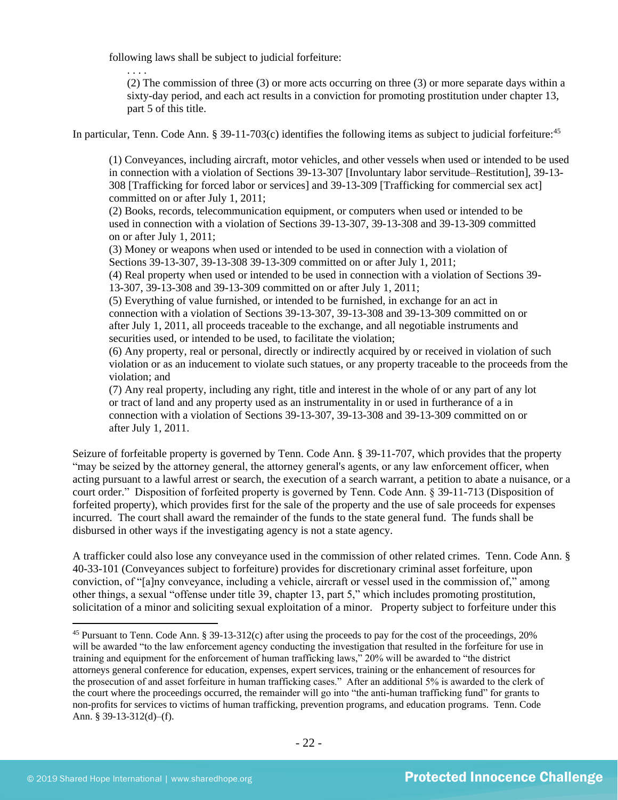following laws shall be subject to judicial forfeiture:

. . . .

(2) The commission of three (3) or more acts occurring on three (3) or more separate days within a sixty-day period, and each act results in a conviction for promoting prostitution under chapter 13, part 5 of this title.

In particular, Tenn. Code Ann. § 39-11-703(c) identifies the following items as subject to judicial forfeiture: $45$ 

(1) Conveyances, including aircraft, motor vehicles, and other vessels when used or intended to be used in connection with a violation of Sections 39-13-307 [Involuntary labor servitude–Restitution], 39-13- 308 [Trafficking for forced labor or services] and 39-13-309 [Trafficking for commercial sex act] committed on or after July 1, 2011;

(2) Books, records, telecommunication equipment, or computers when used or intended to be used in connection with a violation of Sections 39-13-307, 39-13-308 and 39-13-309 committed on or after July 1, 2011;

(3) Money or weapons when used or intended to be used in connection with a violation of Sections 39-13-307, 39-13-308 39-13-309 committed on or after July 1, 2011;

(4) Real property when used or intended to be used in connection with a violation of Sections 39- 13-307, 39-13-308 and 39-13-309 committed on or after July 1, 2011;

(5) Everything of value furnished, or intended to be furnished, in exchange for an act in connection with a violation of Sections 39-13-307, 39-13-308 and 39-13-309 committed on or after July 1, 2011, all proceeds traceable to the exchange, and all negotiable instruments and securities used, or intended to be used, to facilitate the violation;

(6) Any property, real or personal, directly or indirectly acquired by or received in violation of such violation or as an inducement to violate such statues, or any property traceable to the proceeds from the violation; and

(7) Any real property, including any right, title and interest in the whole of or any part of any lot or tract of land and any property used as an instrumentality in or used in furtherance of a in connection with a violation of Sections 39-13-307, 39-13-308 and 39-13-309 committed on or after July 1, 2011.

Seizure of forfeitable property is governed by Tenn. Code Ann. § 39-11-707, which provides that the property "may be seized by the attorney general, the attorney general's agents, or any law enforcement officer, when acting pursuant to a lawful arrest or search, the execution of a search warrant, a petition to abate a nuisance, or a court order." Disposition of forfeited property is governed by Tenn. Code Ann. § 39-11-713 (Disposition of forfeited property), which provides first for the sale of the property and the use of sale proceeds for expenses incurred. The court shall award the remainder of the funds to the state general fund. The funds shall be disbursed in other ways if the investigating agency is not a state agency.

A trafficker could also lose any conveyance used in the commission of other related crimes. Tenn. Code Ann. § 40-33-101 (Conveyances subject to forfeiture) provides for discretionary criminal asset forfeiture, upon conviction, of "[a]ny conveyance, including a vehicle, aircraft or vessel used in the commission of," among other things, a sexual "offense under title 39, chapter 13, part 5," which includes promoting prostitution, solicitation of a minor and soliciting sexual exploitation of a minor. Property subject to forfeiture under this

<sup>45</sup> Pursuant to Tenn. Code Ann. § 39-13-312(c) after using the proceeds to pay for the cost of the proceedings, 20% will be awarded "to the law enforcement agency conducting the investigation that resulted in the forfeiture for use in training and equipment for the enforcement of human trafficking laws," 20% will be awarded to "the district attorneys general conference for education, expenses, expert services, training or the enhancement of resources for the prosecution of and asset forfeiture in human trafficking cases." After an additional 5% is awarded to the clerk of the court where the proceedings occurred, the remainder will go into "the anti-human trafficking fund" for grants to non-profits for services to victims of human trafficking, prevention programs, and education programs. Tenn. Code Ann. § 39-13-312(d)–(f).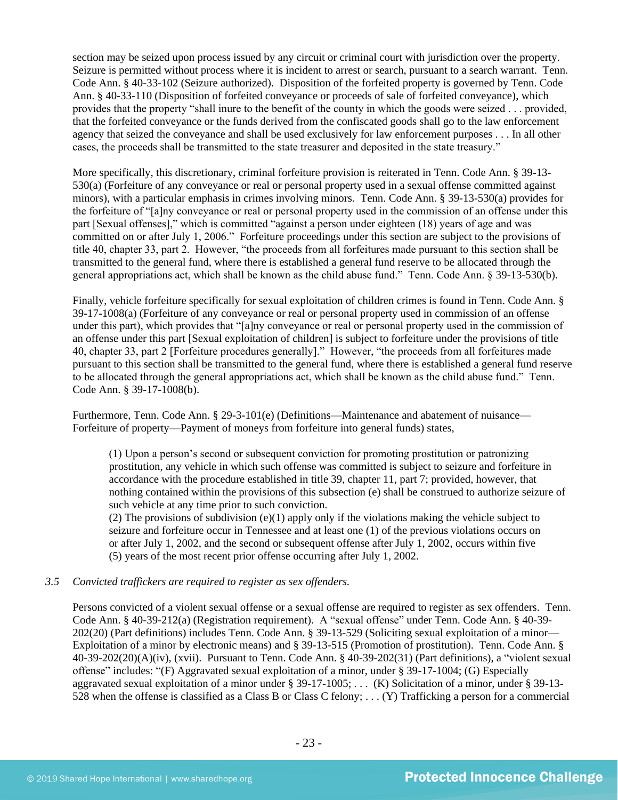section may be seized upon process issued by any circuit or criminal court with jurisdiction over the property. Seizure is permitted without process where it is incident to arrest or search, pursuant to a search warrant. Tenn. Code Ann. § 40-33-102 (Seizure authorized). Disposition of the forfeited property is governed by Tenn. Code Ann. § 40-33-110 (Disposition of forfeited conveyance or proceeds of sale of forfeited conveyance), which provides that the property "shall inure to the benefit of the county in which the goods were seized . . . provided, that the forfeited conveyance or the funds derived from the confiscated goods shall go to the law enforcement agency that seized the conveyance and shall be used exclusively for law enforcement purposes . . . In all other cases, the proceeds shall be transmitted to the state treasurer and deposited in the state treasury."

More specifically, this discretionary, criminal forfeiture provision is reiterated in Tenn. Code Ann. § 39-13- 530(a) (Forfeiture of any conveyance or real or personal property used in a sexual offense committed against minors), with a particular emphasis in crimes involving minors. Tenn. Code Ann. § 39-13-530(a) provides for the forfeiture of "[a]ny conveyance or real or personal property used in the commission of an offense under this part [Sexual offenses]," which is committed "against a person under eighteen (18) years of age and was committed on or after July 1, 2006." Forfeiture proceedings under this section are subject to the provisions of title 40, chapter 33, part 2. However, "the proceeds from all forfeitures made pursuant to this section shall be transmitted to the general fund, where there is established a general fund reserve to be allocated through the general appropriations act, which shall be known as the child abuse fund." Tenn. Code Ann. § 39-13-530(b).

Finally, vehicle forfeiture specifically for sexual exploitation of children crimes is found in Tenn. Code Ann. § 39-17-1008(a) (Forfeiture of any conveyance or real or personal property used in commission of an offense under this part), which provides that "[a]ny conveyance or real or personal property used in the commission of an offense under this part [Sexual exploitation of children] is subject to forfeiture under the provisions of title 40, chapter 33, part 2 [Forfeiture procedures generally]." However, "the proceeds from all forfeitures made pursuant to this section shall be transmitted to the general fund, where there is established a general fund reserve to be allocated through the general appropriations act, which shall be known as the child abuse fund." Tenn. Code Ann. § 39-17-1008(b).

Furthermore, Tenn. Code Ann. § 29-3-101(e) (Definitions—Maintenance and abatement of nuisance— Forfeiture of property—Payment of moneys from forfeiture into general funds) states,

(1) Upon a person's second or subsequent conviction for promoting prostitution or patronizing prostitution, any vehicle in which such offense was committed is subject to seizure and forfeiture in accordance with the procedure established in title 39, chapter 11, part 7; provided, however, that nothing contained within the provisions of this subsection (e) shall be construed to authorize seizure of such vehicle at any time prior to such conviction.

(2) The provisions of subdivision (e)(1) apply only if the violations making the vehicle subject to seizure and forfeiture occur in Tennessee and at least one (1) of the previous violations occurs on or after July 1, 2002, and the second or subsequent offense after July 1, 2002, occurs within five (5) years of the most recent prior offense occurring after July 1, 2002.

# *3.5 Convicted traffickers are required to register as sex offenders.*

Persons convicted of a violent sexual offense or a sexual offense are required to register as sex offenders. Tenn. Code Ann. § 40-39-212(a) (Registration requirement). A "sexual offense" under Tenn. Code Ann. § 40-39- 202(20) (Part definitions) includes Tenn. Code Ann. § 39-13-529 (Soliciting sexual exploitation of a minor— Exploitation of a minor by electronic means) and § 39-13-515 (Promotion of prostitution). Tenn. Code Ann. § 40-39-202(20)(A)(iv), (xvii). Pursuant to Tenn. Code Ann. § 40-39-202(31) (Part definitions), a "violent sexual offense" includes: "(F) Aggravated sexual exploitation of a minor, under § 39-17-1004; (G) Especially aggravated sexual exploitation of a minor under § 39-17-1005; . . . (K) Solicitation of a minor, under § 39-13- 528 when the offense is classified as a Class B or Class C felony; . . . (Y) Trafficking a person for a commercial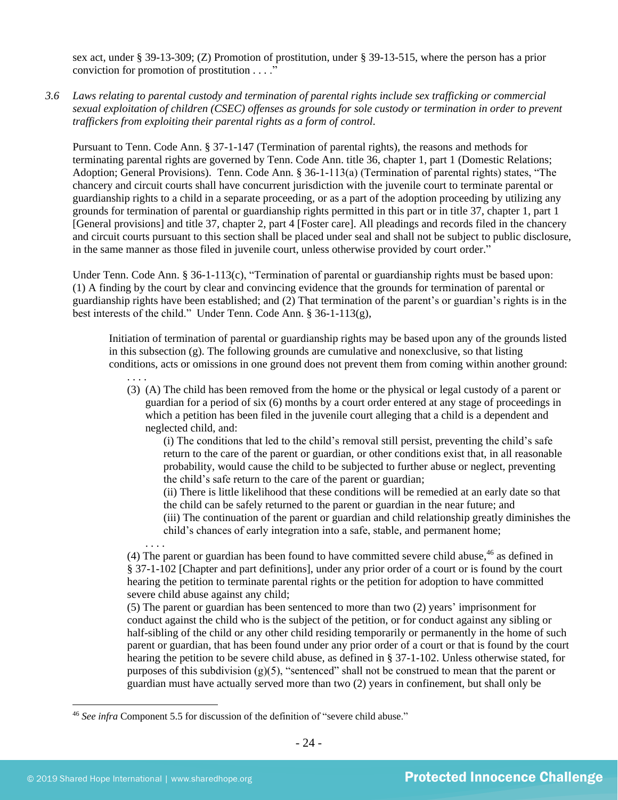sex act, under § 39-13-309; (Z) Promotion of prostitution, under § 39-13-515, where the person has a prior conviction for promotion of prostitution . . . ."

*3.6 Laws relating to parental custody and termination of parental rights include sex trafficking or commercial sexual exploitation of children (CSEC) offenses as grounds for sole custody or termination in order to prevent traffickers from exploiting their parental rights as a form of control.* 

Pursuant to Tenn. Code Ann. § 37-1-147 (Termination of parental rights), the reasons and methods for terminating parental rights are governed by Tenn. Code Ann. title 36, chapter 1, part 1 (Domestic Relations; Adoption; General Provisions). Tenn. Code Ann. § 36-1-113(a) (Termination of parental rights) states, "The chancery and circuit courts shall have concurrent jurisdiction with the juvenile court to terminate parental or guardianship rights to a child in a separate proceeding, or as a part of the adoption proceeding by utilizing any grounds for termination of parental or guardianship rights permitted in this part or in title 37, chapter 1, part 1 [General provisions] and title 37, chapter 2, part 4 [Foster care]. All pleadings and records filed in the chancery and circuit courts pursuant to this section shall be placed under seal and shall not be subject to public disclosure, in the same manner as those filed in juvenile court, unless otherwise provided by court order."

Under Tenn. Code Ann. § 36-1-113(c), "Termination of parental or guardianship rights must be based upon: (1) A finding by the court by clear and convincing evidence that the grounds for termination of parental or guardianship rights have been established; and (2) That termination of the parent's or guardian's rights is in the best interests of the child." Under Tenn. Code Ann. § 36-1-113(g),

Initiation of termination of parental or guardianship rights may be based upon any of the grounds listed in this subsection (g). The following grounds are cumulative and nonexclusive, so that listing conditions, acts or omissions in one ground does not prevent them from coming within another ground:

. . . . (3) (A) The child has been removed from the home or the physical or legal custody of a parent or guardian for a period of six (6) months by a court order entered at any stage of proceedings in which a petition has been filed in the juvenile court alleging that a child is a dependent and neglected child, and:

(i) The conditions that led to the child's removal still persist, preventing the child's safe return to the care of the parent or guardian, or other conditions exist that, in all reasonable probability, would cause the child to be subjected to further abuse or neglect, preventing the child's safe return to the care of the parent or guardian;

(ii) There is little likelihood that these conditions will be remedied at an early date so that the child can be safely returned to the parent or guardian in the near future; and

(iii) The continuation of the parent or guardian and child relationship greatly diminishes the child's chances of early integration into a safe, stable, and permanent home;

. . . . (4) The parent or guardian has been found to have committed severe child abuse, $46$  as defined in § 37-1-102 [Chapter and part definitions], under any prior order of a court or is found by the court hearing the petition to terminate parental rights or the petition for adoption to have committed severe child abuse against any child;

(5) The parent or guardian has been sentenced to more than two (2) years' imprisonment for conduct against the child who is the subject of the petition, or for conduct against any sibling or half-sibling of the child or any other child residing temporarily or permanently in the home of such parent or guardian, that has been found under any prior order of a court or that is found by the court hearing the petition to be severe child abuse, as defined in § 37-1-102. Unless otherwise stated, for purposes of this subdivision  $(g)(5)$ , "sentenced" shall not be construed to mean that the parent or guardian must have actually served more than two (2) years in confinement, but shall only be

<sup>46</sup> *See infra* Component 5.5 for discussion of the definition of "severe child abuse."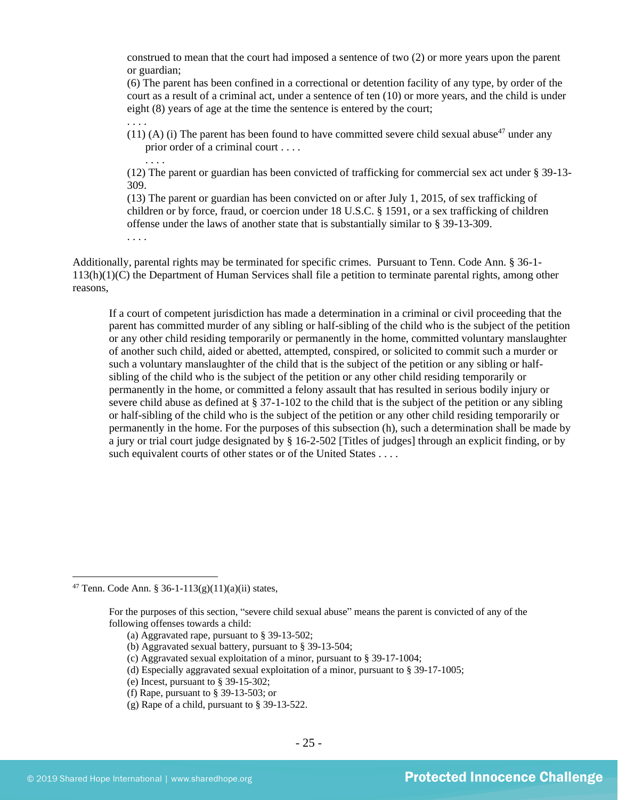construed to mean that the court had imposed a sentence of two (2) or more years upon the parent or guardian;

(6) The parent has been confined in a correctional or detention facility of any type, by order of the court as a result of a criminal act, under a sentence of ten (10) or more years, and the child is under eight (8) years of age at the time the sentence is entered by the court;

(11) (A) (i) The parent has been found to have committed severe child sexual abuse<sup>47</sup> under any prior order of a criminal court . . . .

(12) The parent or guardian has been convicted of trafficking for commercial sex act under § 39-13- 309.

(13) The parent or guardian has been convicted on or after July 1, 2015, of sex trafficking of children or by force, fraud, or coercion under 18 U.S.C. § 1591, or a sex trafficking of children offense under the laws of another state that is substantially similar to § 39-13-309.

. . . .

. . . .

. . . .

Additionally, parental rights may be terminated for specific crimes. Pursuant to Tenn. Code Ann. § 36-1- 113(h)(1)(C) the Department of Human Services shall file a petition to terminate parental rights, among other reasons,

If a court of competent jurisdiction has made a determination in a criminal or civil proceeding that the parent has committed murder of any sibling or half-sibling of the child who is the subject of the petition or any other child residing temporarily or permanently in the home, committed voluntary manslaughter of another such child, aided or abetted, attempted, conspired, or solicited to commit such a murder or such a voluntary manslaughter of the child that is the subject of the petition or any sibling or halfsibling of the child who is the subject of the petition or any other child residing temporarily or permanently in the home, or committed a felony assault that has resulted in serious bodily injury or severe child abuse as defined at § 37-1-102 to the child that is the subject of the petition or any sibling or half-sibling of the child who is the subject of the petition or any other child residing temporarily or permanently in the home. For the purposes of this subsection (h), such a determination shall be made by a jury or trial court judge designated by § 16-2-502 [Titles of judges] through an explicit finding, or by such equivalent courts of other states or of the United States . . . .

<sup>47</sup> Tenn. Code Ann. § 36-1-113(g)(11)(a)(ii) states,

For the purposes of this section, "severe child sexual abuse" means the parent is convicted of any of the following offenses towards a child:

<sup>(</sup>a) Aggravated rape, pursuant to § 39-13-502;

<sup>(</sup>b) Aggravated sexual battery, pursuant to § 39-13-504;

<sup>(</sup>c) Aggravated sexual exploitation of a minor, pursuant to § 39-17-1004;

<sup>(</sup>d) Especially aggravated sexual exploitation of a minor, pursuant to § 39-17-1005;

<sup>(</sup>e) Incest, pursuant to § 39-15-302;

<sup>(</sup>f) Rape, pursuant to § 39-13-503; or

<sup>(</sup>g) Rape of a child, pursuant to § 39-13-522.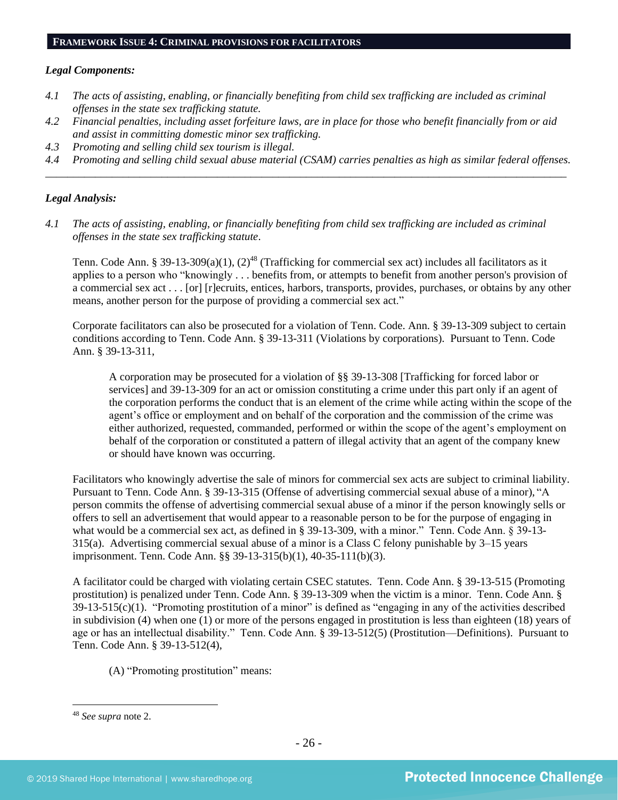# **FRAMEWORK ISSUE 4: CRIMINAL PROVISIONS FOR FACILITATORS**

#### *Legal Components:*

- *4.1 The acts of assisting, enabling, or financially benefiting from child sex trafficking are included as criminal offenses in the state sex trafficking statute.*
- *4.2 Financial penalties, including asset forfeiture laws, are in place for those who benefit financially from or aid and assist in committing domestic minor sex trafficking.*
- *4.3 Promoting and selling child sex tourism is illegal.*
- *4.4 Promoting and selling child sexual abuse material (CSAM) carries penalties as high as similar federal offenses. \_\_\_\_\_\_\_\_\_\_\_\_\_\_\_\_\_\_\_\_\_\_\_\_\_\_\_\_\_\_\_\_\_\_\_\_\_\_\_\_\_\_\_\_\_\_\_\_\_\_\_\_\_\_\_\_\_\_\_\_\_\_\_\_\_\_\_\_\_\_\_\_\_\_\_\_\_\_\_\_\_\_\_\_\_\_\_\_\_\_\_\_\_\_*

#### *Legal Analysis:*

*4.1 The acts of assisting, enabling, or financially benefiting from child sex trafficking are included as criminal offenses in the state sex trafficking statute*.

Tenn. Code Ann. § 39-13-309(a)(1),  $(2)^{48}$  (Trafficking for commercial sex act) includes all facilitators as it applies to a person who "knowingly . . . benefits from, or attempts to benefit from another person's provision of a commercial sex act . . . [or] [r]ecruits, entices, harbors, transports, provides, purchases, or obtains by any other means, another person for the purpose of providing a commercial sex act."

Corporate facilitators can also be prosecuted for a violation of Tenn. Code. Ann. § 39-13-309 subject to certain conditions according to Tenn. Code Ann. § 39-13-311 (Violations by corporations). Pursuant to Tenn. Code Ann. § 39-13-311,

A corporation may be prosecuted for a violation of §§ 39-13-308 [Trafficking for forced labor or services] and 39-13-309 for an act or omission constituting a crime under this part only if an agent of the corporation performs the conduct that is an element of the crime while acting within the scope of the agent's office or employment and on behalf of the corporation and the commission of the crime was either authorized, requested, commanded, performed or within the scope of the agent's employment on behalf of the corporation or constituted a pattern of illegal activity that an agent of the company knew or should have known was occurring.

Facilitators who knowingly advertise the sale of minors for commercial sex acts are subject to criminal liability. Pursuant to Tenn. Code Ann. § 39-13-315 (Offense of advertising commercial sexual abuse of a minor), "A person commits the offense of advertising commercial sexual abuse of a minor if the person knowingly sells or offers to sell an advertisement that would appear to a reasonable person to be for the purpose of engaging in what would be a commercial sex act, as defined in § 39-13-309, with a minor." Tenn. Code Ann. § 39-13- 315(a). Advertising commercial sexual abuse of a minor is a Class C felony punishable by 3–15 years imprisonment. Tenn. Code Ann. §§ 39-13-315(b)(1), 40-35-111(b)(3).

A facilitator could be charged with violating certain CSEC statutes. Tenn. Code Ann. § 39-13-515 (Promoting prostitution) is penalized under Tenn. Code Ann. § 39-13-309 when the victim is a minor. Tenn. Code Ann. §  $39-13-515(c)(1)$ . "Promoting prostitution of a minor" is defined as "engaging in any of the activities described in subdivision (4) when one (1) or more of the persons engaged in prostitution is less than eighteen (18) years of age or has an intellectual disability." Tenn. Code Ann. § 39-13-512(5) (Prostitution—Definitions). Pursuant to Tenn. Code Ann. § 39-13-512(4),

(A) "Promoting prostitution" means:

<sup>48</sup> *See supra* note [2.](#page-0-0)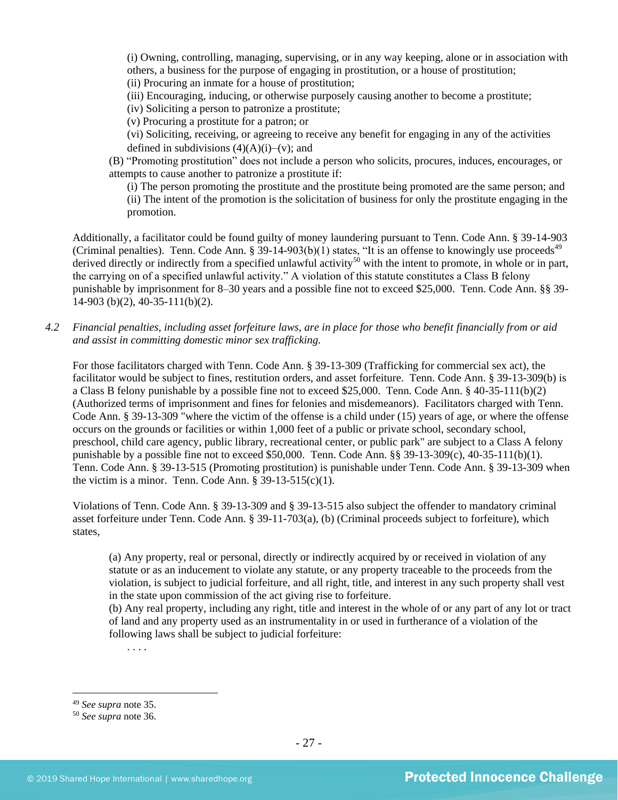(i) Owning, controlling, managing, supervising, or in any way keeping, alone or in association with others, a business for the purpose of engaging in prostitution, or a house of prostitution; (ii) Procuring an inmate for a house of prostitution;

(iii) Encouraging, inducing, or otherwise purposely causing another to become a prostitute;

(iv) Soliciting a person to patronize a prostitute;

(v) Procuring a prostitute for a patron; or

(vi) Soliciting, receiving, or agreeing to receive any benefit for engaging in any of the activities defined in subdivisions  $(4)(A)(i)$ –(v); and

(B) "Promoting prostitution" does not include a person who solicits, procures, induces, encourages, or attempts to cause another to patronize a prostitute if:

(i) The person promoting the prostitute and the prostitute being promoted are the same person; and (ii) The intent of the promotion is the solicitation of business for only the prostitute engaging in the promotion.

Additionally, a facilitator could be found guilty of money laundering pursuant to Tenn. Code Ann. § 39-14-903 (Criminal penalties). Tenn. Code Ann. § 39-14-903(b)(1) states, "It is an offense to knowingly use proceeds<sup>49</sup> derived directly or indirectly from a specified unlawful activity<sup>50</sup> with the intent to promote, in whole or in part, the carrying on of a specified unlawful activity." A violation of this statute constitutes a Class B felony punishable by imprisonment for 8–30 years and a possible fine not to exceed \$25,000. Tenn. Code Ann. §§ 39- 14-903 (b)(2), 40-35-111(b)(2).

*4.2 Financial penalties, including asset forfeiture laws, are in place for those who benefit financially from or aid and assist in committing domestic minor sex trafficking.*

For those facilitators charged with Tenn. Code Ann. § 39-13-309 (Trafficking for commercial sex act), the facilitator would be subject to fines, restitution orders, and asset forfeiture. Tenn. Code Ann. § 39-13-309(b) is a Class B felony punishable by a possible fine not to exceed \$25,000. Tenn. Code Ann. § 40-35-111(b)(2) (Authorized terms of imprisonment and fines for felonies and misdemeanors). Facilitators charged with Tenn. Code Ann. § 39-13-309 "where the victim of the offense is a child under (15) years of age, or where the offense occurs on the grounds or facilities or within 1,000 feet of a public or private school, secondary school, preschool, child care agency, public library, recreational center, or public park" are subject to a Class A felony punishable by a possible fine not to exceed \$50,000. Tenn. Code Ann. §§ 39-13-309(c), 40-35-111(b)(1). Tenn. Code Ann. § 39-13-515 (Promoting prostitution) is punishable under Tenn. Code Ann. § 39-13-309 when the victim is a minor. Tenn. Code Ann.  $\S 39-13-515(c)(1)$ .

Violations of Tenn. Code Ann. § 39-13-309 and § 39-13-515 also subject the offender to mandatory criminal asset forfeiture under Tenn. Code Ann. § 39-11-703(a), (b) (Criminal proceeds subject to forfeiture), which states,

(a) Any property, real or personal, directly or indirectly acquired by or received in violation of any statute or as an inducement to violate any statute, or any property traceable to the proceeds from the violation, is subject to judicial forfeiture, and all right, title, and interest in any such property shall vest in the state upon commission of the act giving rise to forfeiture.

(b) Any real property, including any right, title and interest in the whole of or any part of any lot or tract of land and any property used as an instrumentality in or used in furtherance of a violation of the following laws shall be subject to judicial forfeiture:

. . . .

<sup>49</sup> *See supra* note [35.](#page-17-0)

<sup>50</sup> *See supra* note [36.](#page-17-1)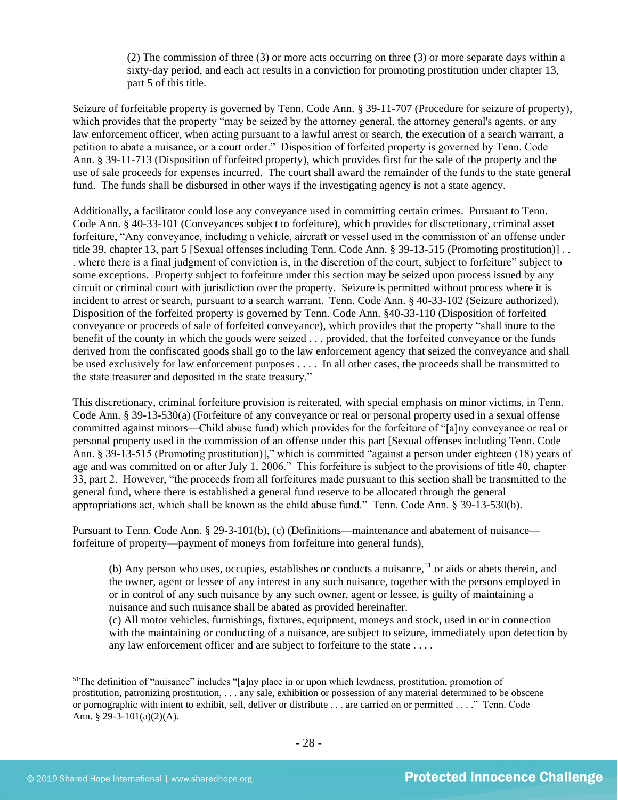(2) The commission of three (3) or more acts occurring on three (3) or more separate days within a sixty-day period, and each act results in a conviction for promoting prostitution under chapter 13, part 5 of this title.

Seizure of forfeitable property is governed by Tenn. Code Ann. § 39-11-707 (Procedure for seizure of property), which provides that the property "may be seized by the attorney general, the attorney general's agents, or any law enforcement officer, when acting pursuant to a lawful arrest or search, the execution of a search warrant, a petition to abate a nuisance, or a court order." Disposition of forfeited property is governed by Tenn. Code Ann. § 39-11-713 (Disposition of forfeited property), which provides first for the sale of the property and the use of sale proceeds for expenses incurred. The court shall award the remainder of the funds to the state general fund. The funds shall be disbursed in other ways if the investigating agency is not a state agency.

Additionally, a facilitator could lose any conveyance used in committing certain crimes. Pursuant to Tenn. Code Ann. § 40-33-101 (Conveyances subject to forfeiture), which provides for discretionary, criminal asset forfeiture, "Any conveyance, including a vehicle, aircraft or vessel used in the commission of an offense under title 39, chapter 13, part 5 [Sexual offenses including Tenn. Code Ann. § 39-13-515 (Promoting prostitution)] . . . where there is a final judgment of conviction is, in the discretion of the court, subject to forfeiture" subject to some exceptions. Property subject to forfeiture under this section may be seized upon process issued by any circuit or criminal court with jurisdiction over the property. Seizure is permitted without process where it is incident to arrest or search, pursuant to a search warrant. Tenn. Code Ann. § 40-33-102 (Seizure authorized). Disposition of the forfeited property is governed by Tenn. Code Ann. §40-33-110 (Disposition of forfeited conveyance or proceeds of sale of forfeited conveyance), which provides that the property "shall inure to the benefit of the county in which the goods were seized . . . provided, that the forfeited conveyance or the funds derived from the confiscated goods shall go to the law enforcement agency that seized the conveyance and shall be used exclusively for law enforcement purposes . . . . In all other cases, the proceeds shall be transmitted to the state treasurer and deposited in the state treasury."

This discretionary, criminal forfeiture provision is reiterated, with special emphasis on minor victims, in Tenn. Code Ann. § 39-13-530(a) (Forfeiture of any conveyance or real or personal property used in a sexual offense committed against minors—Child abuse fund) which provides for the forfeiture of "[a]ny conveyance or real or personal property used in the commission of an offense under this part [Sexual offenses including Tenn. Code Ann. § 39-13-515 (Promoting prostitution)]," which is committed "against a person under eighteen (18) years of age and was committed on or after July 1, 2006." This forfeiture is subject to the provisions of title 40, chapter 33, part 2. However, "the proceeds from all forfeitures made pursuant to this section shall be transmitted to the general fund, where there is established a general fund reserve to be allocated through the general appropriations act, which shall be known as the child abuse fund." Tenn. Code Ann. § 39-13-530(b).

Pursuant to Tenn. Code Ann. § 29-3-101(b), (c) (Definitions—maintenance and abatement of nuisance forfeiture of property—payment of moneys from forfeiture into general funds),

(b) Any person who uses, occupies, establishes or conducts a nuisance,  $51$  or aids or abets therein, and the owner, agent or lessee of any interest in any such nuisance, together with the persons employed in or in control of any such nuisance by any such owner, agent or lessee, is guilty of maintaining a nuisance and such nuisance shall be abated as provided hereinafter.

(c) All motor vehicles, furnishings, fixtures, equipment, moneys and stock, used in or in connection with the maintaining or conducting of a nuisance, are subject to seizure, immediately upon detection by any law enforcement officer and are subject to forfeiture to the state . . . .

<sup>&</sup>lt;sup>51</sup>The definition of "nuisance" includes "[a]ny place in or upon which lewdness, prostitution, promotion of prostitution, patronizing prostitution, . . . any sale, exhibition or possession of any material determined to be obscene or pornographic with intent to exhibit, sell, deliver or distribute . . . are carried on or permitted . . . ." Tenn. Code Ann. § 29-3-101(a)(2)(A).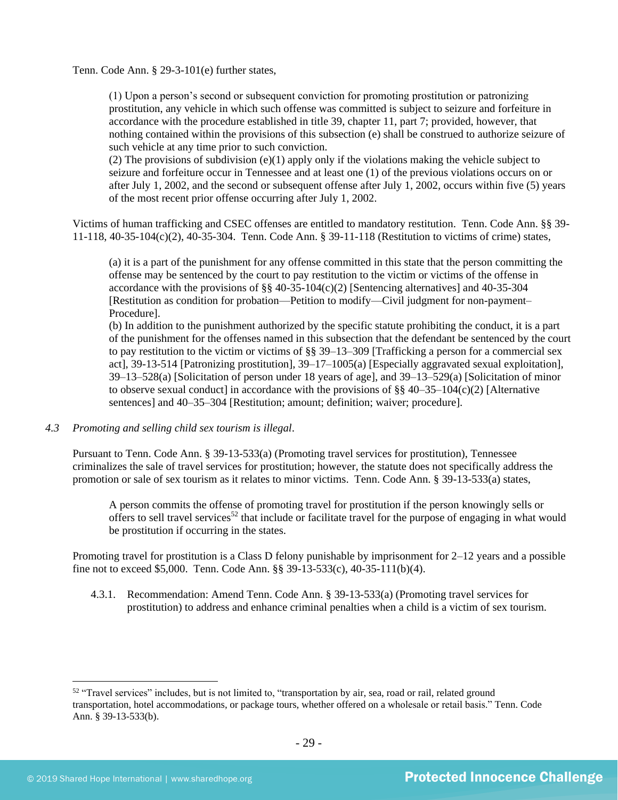Tenn. Code Ann. § 29-3-101(e) further states,

(1) Upon a person's second or subsequent conviction for promoting prostitution or patronizing prostitution, any vehicle in which such offense was committed is subject to seizure and forfeiture in accordance with the procedure established in title 39, chapter 11, part 7; provided, however, that nothing contained within the provisions of this subsection (e) shall be construed to authorize seizure of such vehicle at any time prior to such conviction.

(2) The provisions of subdivision  $(e)(1)$  apply only if the violations making the vehicle subject to seizure and forfeiture occur in Tennessee and at least one (1) of the previous violations occurs on or after July 1, 2002, and the second or subsequent offense after July 1, 2002, occurs within five (5) years of the most recent prior offense occurring after July 1, 2002.

Victims of human trafficking and CSEC offenses are entitled to mandatory restitution. Tenn. Code Ann. §§ 39- 11-118, 40-35-104(c)(2), 40-35-304. Tenn. Code Ann. § 39-11-118 (Restitution to victims of crime) states,

(a) it is a part of the punishment for any offense committed in this state that the person committing the offense may be sentenced by the court to pay restitution to the victim or victims of the offense in accordance with the provisions of §§ 40-35-104(c)(2) [Sentencing alternatives] and 40-35-304 [Restitution as condition for probation—Petition to modify—Civil judgment for non-payment– Procedure].

(b) In addition to the punishment authorized by the specific statute prohibiting the conduct, it is a part of the punishment for the offenses named in this subsection that the defendant be sentenced by the court to pay restitution to the victim or victims of §§ 39–13–309 [Trafficking a person for a commercial sex act], 39-13-514 [Patronizing prostitution], 39–17–1005(a) [Especially aggravated sexual exploitation], 39–13–528(a) [Solicitation of person under 18 years of age], and 39–13–529(a) [Solicitation of minor to observe sexual conduct] in accordance with the provisions of  $\S$ § 40–35–104(c)(2) [Alternative sentences] and 40–35–304 [Restitution; amount; definition; waiver; procedure].

#### *4.3 Promoting and selling child sex tourism is illegal*.

Pursuant to Tenn. Code Ann. § 39-13-533(a) (Promoting travel services for prostitution), Tennessee criminalizes the sale of travel services for prostitution; however, the statute does not specifically address the promotion or sale of sex tourism as it relates to minor victims. Tenn. Code Ann. § 39-13-533(a) states,

A person commits the offense of promoting travel for prostitution if the person knowingly sells or offers to sell travel services<sup>52</sup> that include or facilitate travel for the purpose of engaging in what would be prostitution if occurring in the states.

Promoting travel for prostitution is a Class D felony punishable by imprisonment for 2–12 years and a possible fine not to exceed \$5,000. Tenn. Code Ann. §§ 39-13-533(c), 40-35-111(b)(4).

4.3.1. Recommendation: Amend Tenn. Code Ann. § 39-13-533(a) (Promoting travel services for prostitution) to address and enhance criminal penalties when a child is a victim of sex tourism.

<sup>&</sup>lt;sup>52</sup> "Travel services" includes, but is not limited to, "transportation by air, sea, road or rail, related ground transportation, hotel accommodations, or package tours, whether offered on a wholesale or retail basis." Tenn. Code Ann. § 39-13-533(b).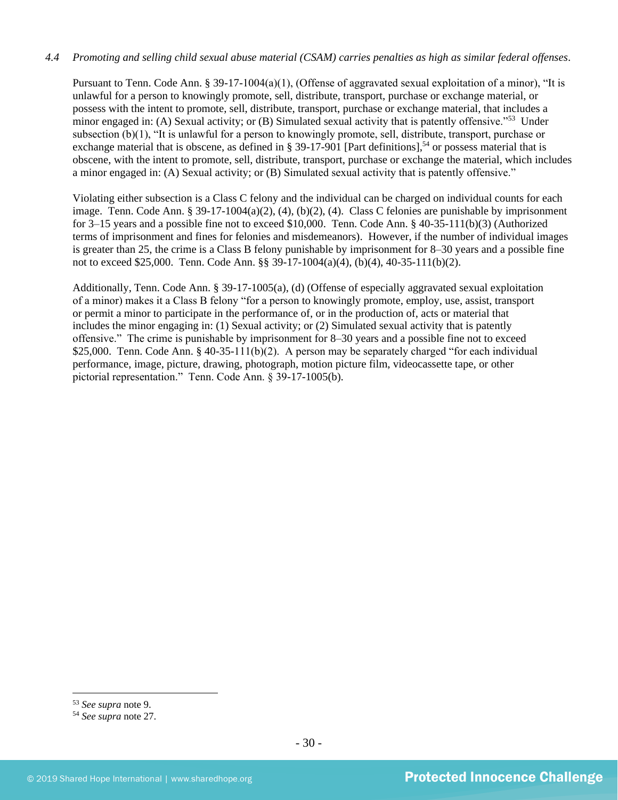# *4.4 Promoting and selling child sexual abuse material (CSAM) carries penalties as high as similar federal offenses*.

Pursuant to Tenn. Code Ann. § 39-17-1004(a)(1), (Offense of aggravated sexual exploitation of a minor), "It is unlawful for a person to knowingly promote, sell, distribute, transport, purchase or exchange material, or possess with the intent to promote, sell, distribute, transport, purchase or exchange material, that includes a minor engaged in: (A) Sexual activity; or (B) Simulated sexual activity that is patently offensive."<sup>53</sup> Under subsection (b)(1), "It is unlawful for a person to knowingly promote, sell, distribute, transport, purchase or exchange material that is obscene, as defined in § 39-17-901 [Part definitions],<sup>54</sup> or possess material that is obscene, with the intent to promote, sell, distribute, transport, purchase or exchange the material, which includes a minor engaged in: (A) Sexual activity; or (B) Simulated sexual activity that is patently offensive."

Violating either subsection is a Class C felony and the individual can be charged on individual counts for each image. Tenn. Code Ann. § 39-17-1004(a)(2), (4), (b)(2), (4). Class C felonies are punishable by imprisonment for 3–15 years and a possible fine not to exceed \$10,000. Tenn. Code Ann. § 40-35-111(b)(3) (Authorized terms of imprisonment and fines for felonies and misdemeanors). However, if the number of individual images is greater than 25, the crime is a Class B felony punishable by imprisonment for 8–30 years and a possible fine not to exceed \$25,000. Tenn. Code Ann. §§ 39-17-1004(a)(4), (b)(4), 40-35-111(b)(2).

Additionally, Tenn. Code Ann. § 39-17-1005(a), (d) (Offense of especially aggravated sexual exploitation of a minor) makes it a Class B felony "for a person to knowingly promote, employ, use, assist, transport or permit a minor to participate in the performance of, or in the production of, acts or material that includes the minor engaging in: (1) Sexual activity; or (2) Simulated sexual activity that is patently offensive." The crime is punishable by imprisonment for 8–30 years and a possible fine not to exceed \$25,000. Tenn. Code Ann. § 40-35-111(b)(2). A person may be separately charged "for each individual performance, image, picture, drawing, photograph, motion picture film, videocassette tape, or other pictorial representation." Tenn. Code Ann. § 39-17-1005(b).

<sup>53</sup> *See supra* note [9.](#page-4-0)

<sup>54</sup> *See supra* note [27.](#page-14-0)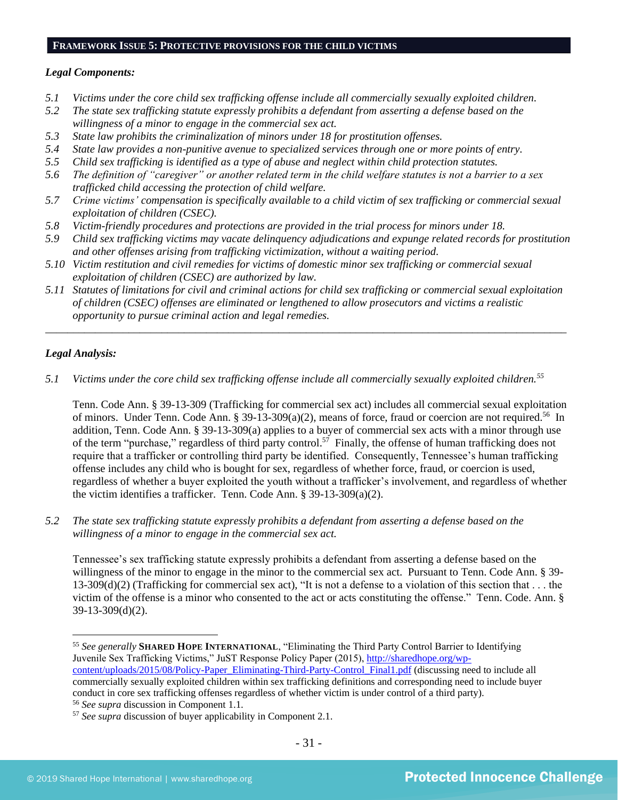# **FRAMEWORK ISSUE 5: PROTECTIVE PROVISIONS FOR THE CHILD VICTIMS**

#### *Legal Components:*

- *5.1 Victims under the core child sex trafficking offense include all commercially sexually exploited children.*
- *5.2 The state sex trafficking statute expressly prohibits a defendant from asserting a defense based on the willingness of a minor to engage in the commercial sex act.*
- *5.3 State law prohibits the criminalization of minors under 18 for prostitution offenses.*
- *5.4 State law provides a non-punitive avenue to specialized services through one or more points of entry.*
- *5.5 Child sex trafficking is identified as a type of abuse and neglect within child protection statutes.*
- *5.6 The definition of "caregiver" or another related term in the child welfare statutes is not a barrier to a sex trafficked child accessing the protection of child welfare.*
- *5.7 Crime victims' compensation is specifically available to a child victim of sex trafficking or commercial sexual exploitation of children (CSEC).*
- *5.8 Victim-friendly procedures and protections are provided in the trial process for minors under 18.*
- *5.9 Child sex trafficking victims may vacate delinquency adjudications and expunge related records for prostitution and other offenses arising from trafficking victimization, without a waiting period.*
- *5.10 Victim restitution and civil remedies for victims of domestic minor sex trafficking or commercial sexual exploitation of children (CSEC) are authorized by law.*
- *5.11 Statutes of limitations for civil and criminal actions for child sex trafficking or commercial sexual exploitation of children (CSEC) offenses are eliminated or lengthened to allow prosecutors and victims a realistic opportunity to pursue criminal action and legal remedies.*

*\_\_\_\_\_\_\_\_\_\_\_\_\_\_\_\_\_\_\_\_\_\_\_\_\_\_\_\_\_\_\_\_\_\_\_\_\_\_\_\_\_\_\_\_\_\_\_\_\_\_\_\_\_\_\_\_\_\_\_\_\_\_\_\_\_\_\_\_\_\_\_\_\_\_\_\_\_\_\_\_\_\_\_\_\_\_\_\_\_\_\_\_\_\_*

# *Legal Analysis:*

*5.1 Victims under the core child sex trafficking offense include all commercially sexually exploited children.<sup>55</sup>*

Tenn. Code Ann. § 39-13-309 (Trafficking for commercial sex act) includes all commercial sexual exploitation of minors. Under Tenn. Code Ann. § 39-13-309(a)(2), means of force, fraud or coercion are not required.<sup>56</sup> In addition, Tenn. Code Ann. § 39-13-309(a) applies to a buyer of commercial sex acts with a minor through use of the term "purchase," regardless of third party control.<sup>57</sup> Finally, the offense of human trafficking does not require that a trafficker or controlling third party be identified. Consequently, Tennessee's human trafficking offense includes any child who is bought for sex, regardless of whether force, fraud, or coercion is used, regardless of whether a buyer exploited the youth without a trafficker's involvement, and regardless of whether the victim identifies a trafficker. Tenn. Code Ann. § 39-13-309(a)(2).

*5.2 The state sex trafficking statute expressly prohibits a defendant from asserting a defense based on the willingness of a minor to engage in the commercial sex act.*

Tennessee's sex trafficking statute expressly prohibits a defendant from asserting a defense based on the willingness of the minor to engage in the minor to the commercial sex act. Pursuant to Tenn. Code Ann. § 39-  $13-309(d)(2)$  (Trafficking for commercial sex act), "It is not a defense to a violation of this section that . . . the victim of the offense is a minor who consented to the act or acts constituting the offense." Tenn. Code. Ann. § 39-13-309(d)(2).

<sup>55</sup> *See generally* **SHARED HOPE INTERNATIONAL**, "Eliminating the Third Party Control Barrier to Identifying Juvenile Sex Trafficking Victims," JuST Response Policy Paper (2015), [http://sharedhope.org/wp](http://sharedhope.org/wp-content/uploads/2015/08/Policy-Paper_Eliminating-Third-Party-Control_Final1.pdf)[content/uploads/2015/08/Policy-Paper\\_Eliminating-Third-Party-Control\\_Final1.pdf](http://sharedhope.org/wp-content/uploads/2015/08/Policy-Paper_Eliminating-Third-Party-Control_Final1.pdf) (discussing need to include all commercially sexually exploited children within sex trafficking definitions and corresponding need to include buyer conduct in core sex trafficking offenses regardless of whether victim is under control of a third party).

<sup>56</sup> *See supra* discussion in Component 1.1.

<sup>57</sup> *See supra* discussion of buyer applicability in Component 2.1.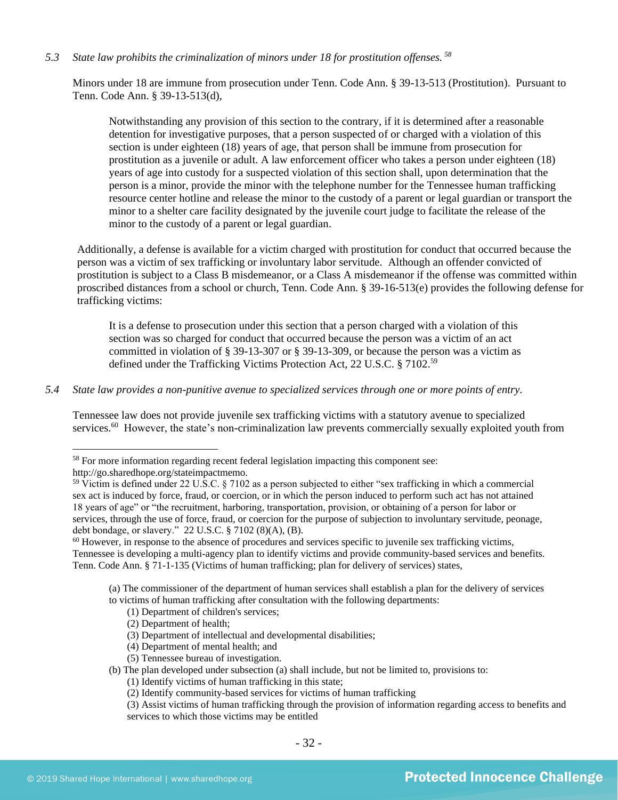*5.3 State law prohibits the criminalization of minors under 18 for prostitution offenses. <sup>58</sup>*

Minors under 18 are immune from prosecution under Tenn. Code Ann. § 39-13-513 (Prostitution). Pursuant to Tenn. Code Ann. § 39-13-513(d),

Notwithstanding any provision of this section to the contrary, if it is determined after a reasonable detention for investigative purposes, that a person suspected of or charged with a violation of this section is under eighteen (18) years of age, that person shall be immune from prosecution for prostitution as a juvenile or adult. A law enforcement officer who takes a person under eighteen (18) years of age into custody for a suspected violation of this section shall, upon determination that the person is a minor, provide the minor with the telephone number for the Tennessee human trafficking resource center hotline and release the minor to the custody of a parent or legal guardian or transport the minor to a shelter care facility designated by the juvenile court judge to facilitate the release of the minor to the custody of a parent or legal guardian.

Additionally, a defense is available for a victim charged with prostitution for conduct that occurred because the person was a victim of sex trafficking or involuntary labor servitude. Although an offender convicted of prostitution is subject to a Class B misdemeanor, or a Class A misdemeanor if the offense was committed within proscribed distances from a school or church, Tenn. Code Ann. § 39-16-513(e) provides the following defense for trafficking victims:

It is a defense to prosecution under this section that a person charged with a violation of this section was so charged for conduct that occurred because the person was a victim of an act committed in violation of § 39-13-307 or § 39-13-309, or because the person was a victim as defined under the Trafficking Victims Protection Act, 22 U.S.C. § 7102.<sup>59</sup>

# *5.4 State law provides a non-punitive avenue to specialized services through one or more points of entry.*

Tennessee law does not provide juvenile sex trafficking victims with a statutory avenue to specialized services.<sup>60</sup> However, the state's non-criminalization law prevents commercially sexually exploited youth from

(a) The commissioner of the department of human services shall establish a plan for the delivery of services to victims of human trafficking after consultation with the following departments:

- (1) Department of children's services;
- (2) Department of health;
- (3) Department of intellectual and developmental disabilities;
- (4) Department of mental health; and
- (5) Tennessee bureau of investigation.
- (b) The plan developed under subsection (a) shall include, but not be limited to, provisions to:
	- (1) Identify victims of human trafficking in this state;
	- (2) Identify community-based services for victims of human trafficking

<sup>58</sup> For more information regarding recent federal legislation impacting this component see: http://go.sharedhope.org/stateimpactmemo.

<sup>&</sup>lt;sup>59</sup> Victim is defined under 22 U.S.C. § 7102 as a person subjected to either "sex trafficking in which a commercial sex act is induced by force, fraud, or coercion, or in which the person induced to perform such act has not attained 18 years of age" or "the recruitment, harboring, transportation, provision, or obtaining of a person for labor or services, through the use of force, fraud, or coercion for the purpose of subjection to involuntary servitude, peonage, debt bondage, or slavery." 22 U.S.C. § 7102 (8)(A), (B).

 $60$  However, in response to the absence of procedures and services specific to juvenile sex trafficking victims, Tennessee is developing a multi-agency plan to identify victims and provide community-based services and benefits. Tenn. Code Ann. § 71-1-135 (Victims of human trafficking; plan for delivery of services) states,

<sup>(3)</sup> Assist victims of human trafficking through the provision of information regarding access to benefits and services to which those victims may be entitled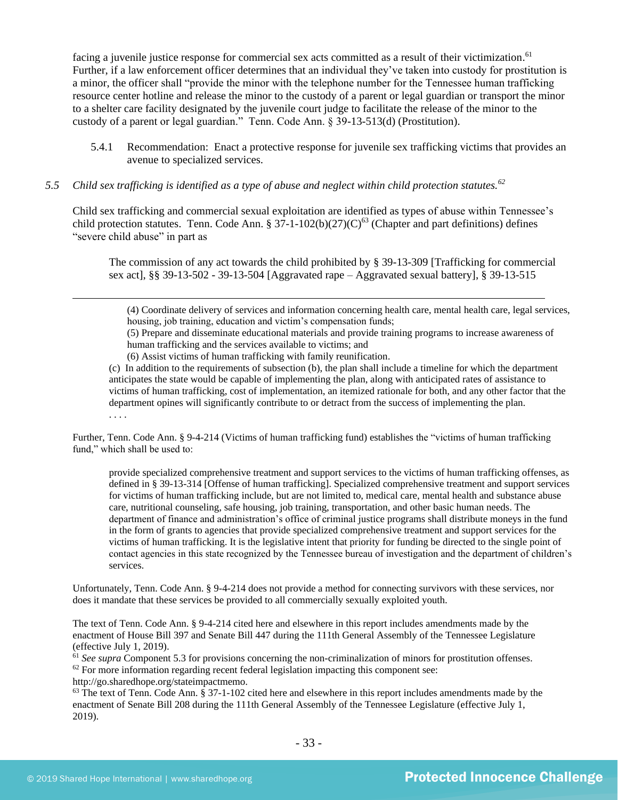facing a juvenile justice response for commercial sex acts committed as a result of their victimization.<sup>61</sup> Further, if a law enforcement officer determines that an individual they've taken into custody for prostitution is a minor, the officer shall "provide the minor with the telephone number for the Tennessee human trafficking resource center hotline and release the minor to the custody of a parent or legal guardian or transport the minor to a shelter care facility designated by the juvenile court judge to facilitate the release of the minor to the custody of a parent or legal guardian." Tenn. Code Ann. § 39-13-513(d) (Prostitution).

- 5.4.1 Recommendation: Enact a protective response for juvenile sex trafficking victims that provides an avenue to specialized services.
- *5.5 Child sex trafficking is identified as a type of abuse and neglect within child protection statutes.<sup>62</sup>*

Child sex trafficking and commercial sexual exploitation are identified as types of abuse within Tennessee's child protection statutes. Tenn. Code Ann. §  $37-1-102(b)(27)(C)^{63}$  (Chapter and part definitions) defines "severe child abuse" in part as

The commission of any act towards the child prohibited by § 39-13-309 [Trafficking for commercial sex act], §§ 39-13-502 - 39-13-504 [Aggravated rape – Aggravated sexual battery], § 39-13-515

(4) Coordinate delivery of services and information concerning health care, mental health care, legal services, housing, job training, education and victim's compensation funds;

(5) Prepare and disseminate educational materials and provide training programs to increase awareness of human trafficking and the services available to victims; and

(6) Assist victims of human trafficking with family reunification.

(c) In addition to the requirements of subsection (b), the plan shall include a timeline for which the department anticipates the state would be capable of implementing the plan, along with anticipated rates of assistance to victims of human trafficking, cost of implementation, an itemized rationale for both, and any other factor that the department opines will significantly contribute to or detract from the success of implementing the plan. . . . .

Further, Tenn. Code Ann. § 9-4-214 (Victims of human trafficking fund) establishes the "victims of human trafficking fund," which shall be used to:

provide specialized comprehensive treatment and support services to the victims of human trafficking offenses, as defined in § 39-13-314 [Offense of human trafficking]. Specialized comprehensive treatment and support services for victims of human trafficking include, but are not limited to, medical care, mental health and substance abuse care, nutritional counseling, safe housing, job training, transportation, and other basic human needs. The department of finance and administration's office of criminal justice programs shall distribute moneys in the fund in the form of grants to agencies that provide specialized comprehensive treatment and support services for the victims of human trafficking. It is the legislative intent that priority for funding be directed to the single point of contact agencies in this state recognized by the Tennessee bureau of investigation and the department of children's services.

Unfortunately, Tenn. Code Ann. § 9-4-214 does not provide a method for connecting survivors with these services, nor does it mandate that these services be provided to all commercially sexually exploited youth.

The text of Tenn. Code Ann. § 9-4-214 cited here and elsewhere in this report includes amendments made by the enactment of House Bill 397 and Senate Bill 447 during the 111th General Assembly of the Tennessee Legislature (effective July 1, 2019).

<sup>61</sup> *See supra* Component 5.3 for provisions concerning the non-criminalization of minors for prostitution offenses.  $62$  For more information regarding recent federal legislation impacting this component see:

http://go.sharedhope.org/stateimpactmemo.

 $63$  The text of Tenn. Code Ann. § 37-1-102 cited here and elsewhere in this report includes amendments made by the enactment of Senate Bill 208 during the 111th General Assembly of the Tennessee Legislature (effective July 1, 2019).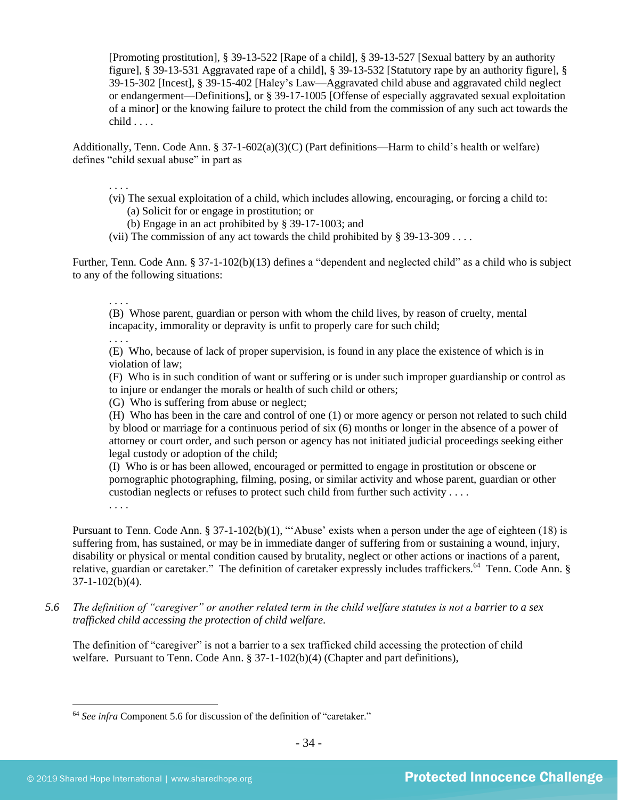[Promoting prostitution], § 39-13-522 [Rape of a child], § 39-13-527 [Sexual battery by an authority figure], § 39-13-531 Aggravated rape of a child], § 39-13-532 [Statutory rape by an authority figure], § 39-15-302 [Incest], § 39-15-402 [Haley's Law—Aggravated child abuse and aggravated child neglect or endangerment—Definitions], or § 39-17-1005 [Offense of especially aggravated sexual exploitation of a minor] or the knowing failure to protect the child from the commission of any such act towards the  $child...$ .

Additionally, Tenn. Code Ann. § 37-1-602(a)(3)(C) (Part definitions—Harm to child's health or welfare) defines "child sexual abuse" in part as

. . . .

- (vi) The sexual exploitation of a child, which includes allowing, encouraging, or forcing a child to: (a) Solicit for or engage in prostitution; or
	- (b) Engage in an act prohibited by § 39-17-1003; and
- (vii) The commission of any act towards the child prohibited by  $\S 39-13-309...$

Further, Tenn. Code Ann. § 37-1-102(b)(13) defines a "dependent and neglected child" as a child who is subject to any of the following situations:

. . . .

(B) Whose parent, guardian or person with whom the child lives, by reason of cruelty, mental incapacity, immorality or depravity is unfit to properly care for such child;

. . . .

(E) Who, because of lack of proper supervision, is found in any place the existence of which is in violation of law;

(F) Who is in such condition of want or suffering or is under such improper guardianship or control as to injure or endanger the morals or health of such child or others;

(G) Who is suffering from abuse or neglect;

(H) Who has been in the care and control of one (1) or more agency or person not related to such child by blood or marriage for a continuous period of six (6) months or longer in the absence of a power of attorney or court order, and such person or agency has not initiated judicial proceedings seeking either legal custody or adoption of the child;

(I) Who is or has been allowed, encouraged or permitted to engage in prostitution or obscene or pornographic photographing, filming, posing, or similar activity and whose parent, guardian or other custodian neglects or refuses to protect such child from further such activity . . . .

. . . .

Pursuant to Tenn. Code Ann. § 37-1-102(b)(1), "'Abuse' exists when a person under the age of eighteen (18) is suffering from, has sustained, or may be in immediate danger of suffering from or sustaining a wound, injury, disability or physical or mental condition caused by brutality, neglect or other actions or inactions of a parent, relative, guardian or caretaker." The definition of caretaker expressly includes traffickers.<sup>64</sup> Tenn. Code Ann. §  $37-1-102(b)(4)$ .

*5.6 The definition of "caregiver" or another related term in the child welfare statutes is not a barrier to a sex trafficked child accessing the protection of child welfare.*

The definition of "caregiver" is not a barrier to a sex trafficked child accessing the protection of child welfare. Pursuant to Tenn. Code Ann. § 37-1-102(b)(4) (Chapter and part definitions),

<sup>64</sup> *See infra* Component 5.6 for discussion of the definition of "caretaker."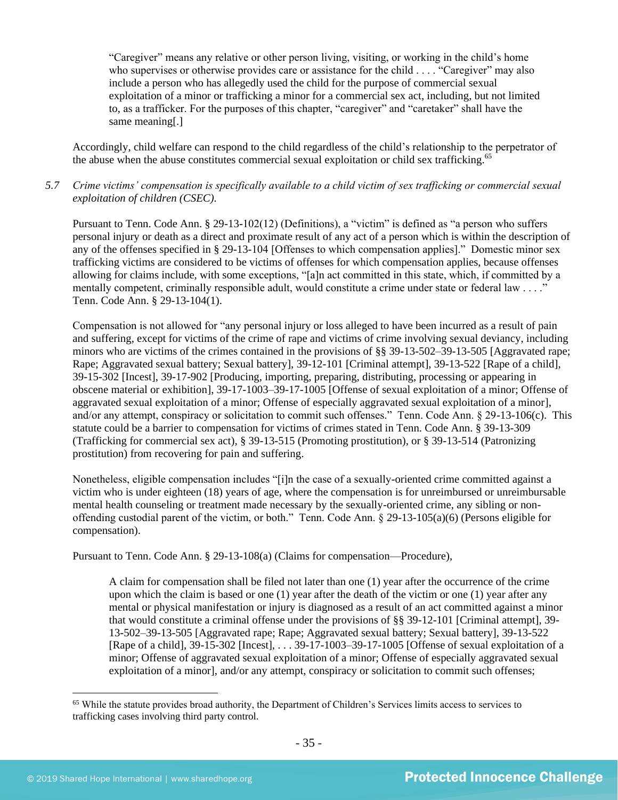"Caregiver" means any relative or other person living, visiting, or working in the child's home who supervises or otherwise provides care or assistance for the child . . . . "Caregiver" may also include a person who has allegedly used the child for the purpose of commercial sexual exploitation of a minor or trafficking a minor for a commercial sex act, including, but not limited to, as a trafficker. For the purposes of this chapter, "caregiver" and "caretaker" shall have the same meaning[.]

Accordingly, child welfare can respond to the child regardless of the child's relationship to the perpetrator of the abuse when the abuse constitutes commercial sexual exploitation or child sex trafficking.<sup>65</sup>

# *5.7 Crime victims' compensation is specifically available to a child victim of sex trafficking or commercial sexual exploitation of children (CSEC).*

Pursuant to Tenn. Code Ann. § 29-13-102(12) (Definitions), a "victim" is defined as "a person who suffers personal injury or death as a direct and proximate result of any act of a person which is within the description of any of the offenses specified in § 29-13-104 [Offenses to which compensation applies]." Domestic minor sex trafficking victims are considered to be victims of offenses for which compensation applies, because offenses allowing for claims include, with some exceptions, "[a]n act committed in this state, which, if committed by a mentally competent, criminally responsible adult, would constitute a crime under state or federal law . . . ." Tenn. Code Ann. § 29-13-104(1).

Compensation is not allowed for "any personal injury or loss alleged to have been incurred as a result of pain and suffering, except for victims of the crime of rape and victims of crime involving sexual deviancy, including minors who are victims of the crimes contained in the provisions of [§§ 39-13-502–](https://www.lexis.com/research/buttonTFLink?_m=174cb59fee180dee8938bb262f35ccec&_xfercite=%3ccite%20cc%3d%22USA%22%3e%3c%21%5bCDATA%5bTenn.%20Code%20Ann.%20%a7%2029-13-106%5d%5d%3e%3c%2fcite%3e&_butType=4&_butStat=0&_butNum=9&_butInline=1&_butinfo=TNCODE%2039-13-502&_fmtstr=FULL&docnum=1&_startdoc=1&wchp=dGLbVtb-zSkAB&_md5=822f63069e8581703def8e50c6be8a64)[39-13-505](https://www.lexis.com/research/buttonTFLink?_m=174cb59fee180dee8938bb262f35ccec&_xfercite=%3ccite%20cc%3d%22USA%22%3e%3c%21%5bCDATA%5bTenn.%20Code%20Ann.%20%a7%2029-13-106%5d%5d%3e%3c%2fcite%3e&_butType=4&_butStat=0&_butNum=10&_butInline=1&_butinfo=TNCODE%2039-13-505&_fmtstr=FULL&docnum=1&_startdoc=1&wchp=dGLbVtb-zSkAB&_md5=e6b50a15afcc6c5caf1761c0438604f5) [Aggravated rape; Rape; Aggravated sexual battery; Sexual battery], [39-12-101](https://www.lexis.com/research/buttonTFLink?_m=174cb59fee180dee8938bb262f35ccec&_xfercite=%3ccite%20cc%3d%22USA%22%3e%3c%21%5bCDATA%5bTenn.%20Code%20Ann.%20%a7%2029-13-106%5d%5d%3e%3c%2fcite%3e&_butType=4&_butStat=0&_butNum=11&_butInline=1&_butinfo=TNCODE%2039-12-101&_fmtstr=FULL&docnum=1&_startdoc=1&wchp=dGLbVtb-zSkAB&_md5=c388863aa00a8704be3c3e6f2bba9d97) [Criminal attempt], [39-13-522](https://www.lexis.com/research/buttonTFLink?_m=174cb59fee180dee8938bb262f35ccec&_xfercite=%3ccite%20cc%3d%22USA%22%3e%3c%21%5bCDATA%5bTenn.%20Code%20Ann.%20%a7%2029-13-106%5d%5d%3e%3c%2fcite%3e&_butType=4&_butStat=0&_butNum=12&_butInline=1&_butinfo=TNCODE%2039-13-522&_fmtstr=FULL&docnum=1&_startdoc=1&wchp=dGLbVtb-zSkAB&_md5=ddc0f926bb8561bee115d8941fd4db91) [Rape of a child], [39-15-302](https://www.lexis.com/research/buttonTFLink?_m=174cb59fee180dee8938bb262f35ccec&_xfercite=%3ccite%20cc%3d%22USA%22%3e%3c%21%5bCDATA%5bTenn.%20Code%20Ann.%20%a7%2029-13-106%5d%5d%3e%3c%2fcite%3e&_butType=4&_butStat=0&_butNum=13&_butInline=1&_butinfo=TNCODE%2039-15-302&_fmtstr=FULL&docnum=1&_startdoc=1&wchp=dGLbVtb-zSkAB&_md5=6a0a3156019470fbfcf965f209085587) [Incest], [39-17-902](https://www.lexis.com/research/buttonTFLink?_m=174cb59fee180dee8938bb262f35ccec&_xfercite=%3ccite%20cc%3d%22USA%22%3e%3c%21%5bCDATA%5bTenn.%20Code%20Ann.%20%a7%2029-13-106%5d%5d%3e%3c%2fcite%3e&_butType=4&_butStat=0&_butNum=14&_butInline=1&_butinfo=TNCODE%2039-17-902&_fmtstr=FULL&docnum=1&_startdoc=1&wchp=dGLbVtb-zSkAB&_md5=8ab46b53a7aa30ce7485bda5c67048d5) [Producing, importing, [preparing, distributing, processing or appearing in](javascript:void(pToc.tc2dc()  [obscene material or exhibition\]](javascript:void(pToc.tc2dc(), [39-17-1003](https://www.lexis.com/research/buttonTFLink?_m=174cb59fee180dee8938bb262f35ccec&_xfercite=%3ccite%20cc%3d%22USA%22%3e%3c%21%5bCDATA%5bTenn.%20Code%20Ann.%20%a7%2029-13-106%5d%5d%3e%3c%2fcite%3e&_butType=4&_butStat=0&_butNum=15&_butInline=1&_butinfo=TNCODE%2039-17-1003&_fmtstr=FULL&docnum=1&_startdoc=1&wchp=dGLbVtb-zSkAB&_md5=cc33b3b535dd36db2504ecdc624cf830)[–39-17-1005](https://www.lexis.com/research/buttonTFLink?_m=174cb59fee180dee8938bb262f35ccec&_xfercite=%3ccite%20cc%3d%22USA%22%3e%3c%21%5bCDATA%5bTenn.%20Code%20Ann.%20%a7%2029-13-106%5d%5d%3e%3c%2fcite%3e&_butType=4&_butStat=0&_butNum=16&_butInline=1&_butinfo=TNCODE%2039-17-1005&_fmtstr=FULL&docnum=1&_startdoc=1&wchp=dGLbVtb-zSkAB&_md5=e50f25fa5f94ebdb7720727fc9c04bd1) [Offense of sexual exploitation of a minor; Offense of aggravated sexual exploitation of a minor; Offense of especially aggravated sexual exploitation of a minor], and/or any attempt, conspiracy or solicitation to commit such offenses." Tenn. Code Ann. § 29-13-106(c). This statute could be a barrier to compensation for victims of crimes stated in Tenn. Code Ann. § 39-13-309 (Trafficking for commercial sex act), § 39-13-515 (Promoting prostitution), or § 39-13-514 (Patronizing prostitution) from recovering for pain and suffering.

Nonetheless, eligible compensation includes "[i]n the case of a sexually-oriented crime committed against a victim who is under eighteen (18) years of age, where the compensation is for unreimbursed or unreimbursable mental health counseling or treatment made necessary by the sexually-oriented crime, any sibling or nonoffending custodial parent of the victim, or both." Tenn. Code Ann. § 29-13-105(a)(6) (Persons eligible for compensation).

Pursuant to Tenn. Code Ann. § 29-13-108(a) (Claims for compensation—Procedure),

A claim for compensation shall be filed not later than one (1) year after the occurrence of the crime upon which the claim is based or one (1) year after the death of the victim or one (1) year after any mental or physical manifestation or injury is diagnosed as a result of an act committed against a minor that would constitute a criminal offense under the provisions of §§ 39-12-101 [Criminal attempt], 39- 13-502–39-13-505 [Aggravated rape; Rape; Aggravated sexual battery; Sexual battery], 39-13-522 [Rape of a child], 39-15-302 [Incest], . . . 39-17-1003–39-17-1005 [Offense of sexual exploitation of a minor; Offense of aggravated sexual exploitation of a minor; Offense of especially aggravated sexual exploitation of a minor], and/or any attempt, conspiracy or solicitation to commit such offenses;

<sup>&</sup>lt;sup>65</sup> While the statute provides broad authority, the Department of Children's Services limits access to services to trafficking cases involving third party control.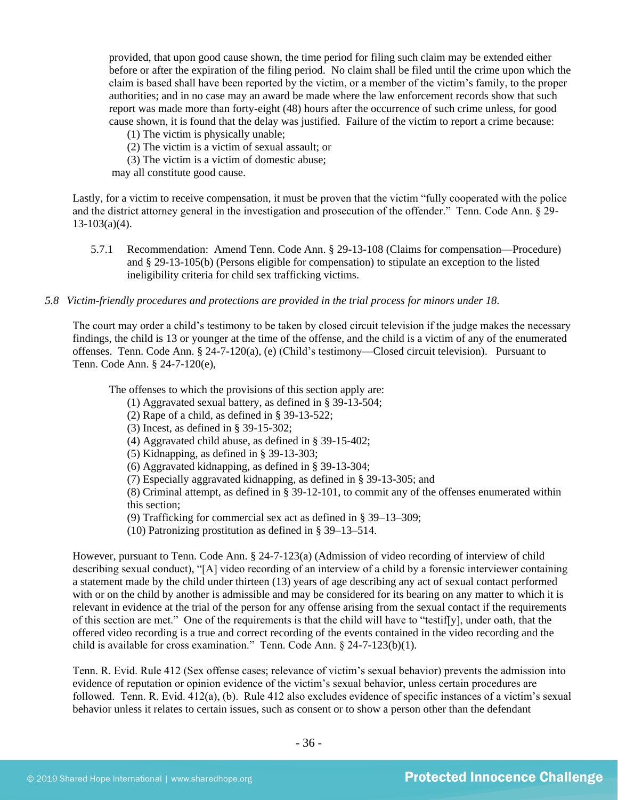provided, that upon good cause shown, the time period for filing such claim may be extended either before or after the expiration of the filing period. No claim shall be filed until the crime upon which the claim is based shall have been reported by the victim, or a member of the victim's family, to the proper authorities; and in no case may an award be made where the law enforcement records show that such report was made more than forty-eight (48) hours after the occurrence of such crime unless, for good cause shown, it is found that the delay was justified. Failure of the victim to report a crime because:

- (1) The victim is physically unable;
- (2) The victim is a victim of sexual assault; or
- (3) The victim is a victim of domestic abuse;

may all constitute good cause.

Lastly, for a victim to receive compensation, it must be proven that the victim "fully cooperated with the police and the district attorney general in the investigation and prosecution of the offender." Tenn. Code Ann. § 29-  $13-103(a)(4)$ .

5.7.1 Recommendation: Amend Tenn. Code Ann. § 29-13-108 (Claims for compensation—Procedure) and § 29-13-105(b) (Persons eligible for compensation) to stipulate an exception to the listed ineligibility criteria for child sex trafficking victims.

#### *5.8 Victim-friendly procedures and protections are provided in the trial process for minors under 18.*

The court may order a child's testimony to be taken by closed circuit television if the judge makes the necessary findings, the child is 13 or younger at the time of the offense, and the child is a victim of any of the enumerated offenses. Tenn. Code Ann. § 24-7-120(a), (e) (Child's testimony—Closed circuit television). Pursuant to Tenn. Code Ann. § 24-7-120(e),

The offenses to which the provisions of this section apply are:

- (1) Aggravated sexual battery, as defined in § 39-13-504;
- (2) Rape of a child, as defined in § 39-13-522;
- (3) Incest, as defined in § 39-15-302;
- (4) Aggravated child abuse, as defined in § 39-15-402;
- (5) Kidnapping, as defined in § 39-13-303;
- (6) Aggravated kidnapping, as defined in § 39-13-304;
- (7) Especially aggravated kidnapping, as defined in § 39-13-305; and

(8) Criminal attempt, as defined in § 39-12-101, to commit any of the offenses enumerated within this section;

(9) Trafficking for commercial sex act as defined in § 39–13–309;

(10) Patronizing prostitution as defined in § 39–13–514.

However, pursuant to Tenn. Code Ann. § 24-7-123(a) (Admission of video recording of interview of child describing sexual conduct), "[A] video recording of an interview of a child by a forensic interviewer containing a statement made by the child under thirteen (13) years of age describing any act of sexual contact performed with or on the child by another is admissible and may be considered for its bearing on any matter to which it is relevant in evidence at the trial of the person for any offense arising from the sexual contact if the requirements of this section are met." One of the requirements is that the child will have to "testif[y], under oath, that the offered video recording is a true and correct recording of the events contained in the video recording and the child is available for cross examination." Tenn. Code Ann. § 24-7-123(b)(1).

Tenn. R. Evid. Rule 412 (Sex offense cases; relevance of victim's sexual behavior) prevents the admission into evidence of reputation or opinion evidence of the victim's sexual behavior, unless certain procedures are followed. Tenn. R. Evid. 412(a), (b). Rule 412 also excludes evidence of specific instances of a victim's sexual behavior unless it relates to certain issues, such as consent or to show a person other than the defendant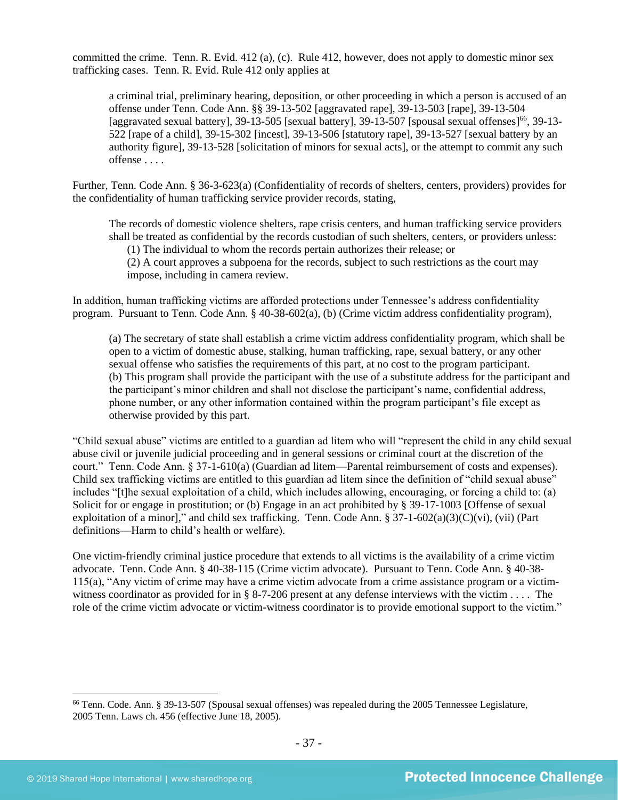committed the crime. Tenn. R. Evid. 412 (a), (c). Rule 412, however, does not apply to domestic minor sex trafficking cases. Tenn. R. Evid. Rule 412 only applies at

a criminal trial, preliminary hearing, deposition, or other proceeding in which a person is accused of an offense under Tenn. Code Ann. §§ 39-13-502 [aggravated rape], 39-13-503 [rape], 39-13-504 [aggravated sexual battery], 39-13-505 [sexual battery], 39-13-507 [spousal sexual offenses]<sup>66</sup>, 39-13-522 [rape of a child], 39-15-302 [incest], 39-13-506 [statutory rape], 39-13-527 [sexual battery by an authority figure], 39-13-528 [solicitation of minors for sexual acts], or the attempt to commit any such offense . . . .

Further, Tenn. Code Ann. § 36-3-623(a) (Confidentiality of records of shelters, centers, providers) provides for the confidentiality of human trafficking service provider records, stating,

The records of domestic violence shelters, rape crisis centers, and human trafficking service providers shall be treated as confidential by the records custodian of such shelters, centers, or providers unless:

(1) The individual to whom the records pertain authorizes their release; or

(2) A court approves a subpoena for the records, subject to such restrictions as the court may impose, including in camera review.

In addition, human trafficking victims are afforded protections under Tennessee's address confidentiality program. Pursuant to Tenn. Code Ann. § 40-38-602(a), (b) (Crime victim address confidentiality program),

(a) The secretary of state shall establish a crime victim address confidentiality program, which shall be open to a victim of domestic abuse, stalking, human trafficking, rape, sexual battery, or any other sexual offense who satisfies the requirements of this part, at no cost to the program participant. (b) This program shall provide the participant with the use of a substitute address for the participant and the participant's minor children and shall not disclose the participant's name, confidential address, phone number, or any other information contained within the program participant's file except as otherwise provided by this part.

"Child sexual abuse" victims are entitled to a guardian ad litem who will "represent the child in any child sexual abuse civil or juvenile judicial proceeding and in general sessions or criminal court at the discretion of the court." Tenn. Code Ann. § 37-1-610(a) (Guardian ad litem—Parental reimbursement of costs and expenses). Child sex trafficking victims are entitled to this guardian ad litem since the definition of "child sexual abuse" includes "[t]he sexual exploitation of a child, which includes allowing, encouraging, or forcing a child to: (a) Solicit for or engage in prostitution; or (b) Engage in an act prohibited by § 39-17-1003 [Offense of sexual exploitation of a minor]," and child sex trafficking. Tenn. Code Ann. § 37-1-602(a)(3)(C)(vi), (vii) (Part definitions—Harm to child's health or welfare).

One victim-friendly criminal justice procedure that extends to all victims is the availability of a crime victim advocate. Tenn. Code Ann. § 40-38-115 (Crime victim advocate). Pursuant to Tenn. Code Ann. § 40-38- 115(a), "Any victim of crime may have a crime victim advocate from a crime assistance program or a victimwitness coordinator as provided for in § 8-7-206 present at any defense interviews with the victim . . . . The role of the crime victim advocate or victim-witness coordinator is to provide emotional support to the victim."

<sup>66</sup> Tenn. Code. Ann. § 39-13-507 (Spousal sexual offenses) was repealed during the 2005 Tennessee Legislature, 2005 Tenn. Laws ch. 456 (effective June 18, 2005).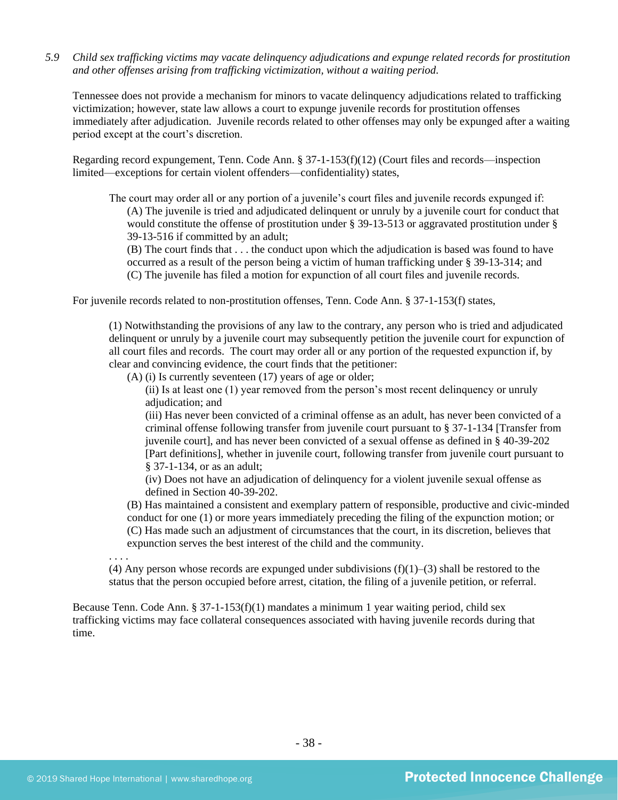*5.9 Child sex trafficking victims may vacate delinquency adjudications and expunge related records for prostitution and other offenses arising from trafficking victimization, without a waiting period.*

Tennessee does not provide a mechanism for minors to vacate delinquency adjudications related to trafficking victimization; however, state law allows a court to expunge juvenile records for prostitution offenses immediately after adjudication. Juvenile records related to other offenses may only be expunged after a waiting period except at the court's discretion.

Regarding record expungement, Tenn. Code Ann. § 37-1-153(f)(12) (Court files and records—inspection limited—exceptions for certain violent offenders—confidentiality) states,

The court may order all or any portion of a juvenile's court files and juvenile records expunged if: (A) The juvenile is tried and adjudicated delinquent or unruly by a juvenile court for conduct that would constitute the offense of prostitution under § 39-13-513 or aggravated prostitution under § 39-13-516 if committed by an adult;

(B) The court finds that . . . the conduct upon which the adjudication is based was found to have occurred as a result of the person being a victim of human trafficking under § 39-13-314; and (C) The juvenile has filed a motion for expunction of all court files and juvenile records.

For juvenile records related to non-prostitution offenses, Tenn. Code Ann. § 37-1-153(f) states,

(1) Notwithstanding the provisions of any law to the contrary, any person who is tried and adjudicated delinquent or unruly by a juvenile court may subsequently petition the juvenile court for expunction of all court files and records. The court may order all or any portion of the requested expunction if, by clear and convincing evidence, the court finds that the petitioner:

(A) (i) Is currently seventeen (17) years of age or older;

(ii) Is at least one (1) year removed from the person's most recent delinquency or unruly adjudication; and

(iii) Has never been convicted of a criminal offense as an adult, has never been convicted of a criminal offense following transfer from juvenile court pursuant to § 37-1-134 [Transfer from juvenile court], and has never been convicted of a sexual offense as defined in § 40-39-202 [Part definitions], whether in juvenile court, following transfer from juvenile court pursuant to § 37-1-134, or as an adult;

(iv) Does not have an adjudication of delinquency for a violent juvenile sexual offense as defined in Section 40-39-202.

(B) Has maintained a consistent and exemplary pattern of responsible, productive and civic-minded conduct for one (1) or more years immediately preceding the filing of the expunction motion; or (C) Has made such an adjustment of circumstances that the court, in its discretion, believes that expunction serves the best interest of the child and the community.

. . . . (4) Any person whose records are expunged under subdivisions  $(f)(1)$ –(3) shall be restored to the status that the person occupied before arrest, citation, the filing of a juvenile petition, or referral.

Because Tenn. Code Ann.  $\S 37$ -1-153(f)(1) mandates a minimum 1 year waiting period, child sex trafficking victims may face collateral consequences associated with having juvenile records during that time.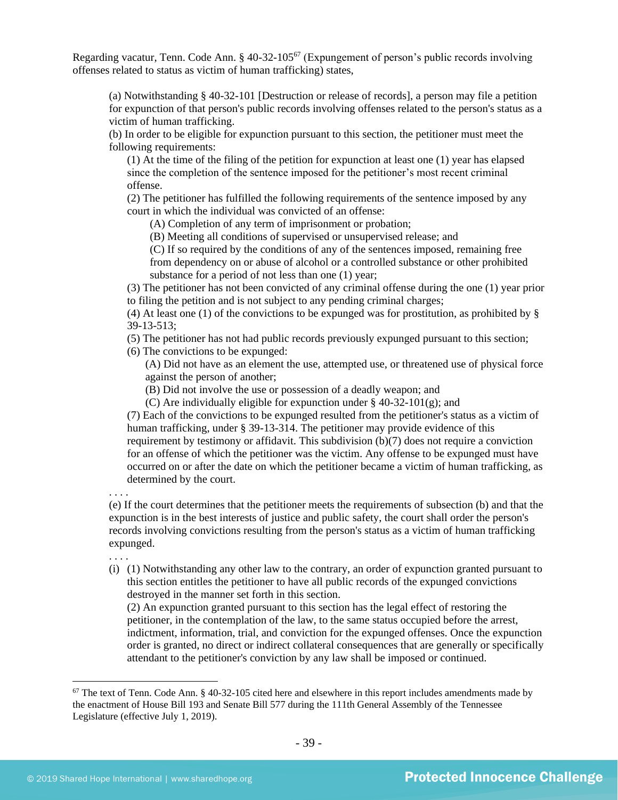Regarding vacatur, Tenn. Code Ann. § 40-32-105<sup>67</sup> (Expungement of person's public records involving offenses related to status as victim of human trafficking) states,

(a) Notwithstanding § 40-32-101 [Destruction or release of records], a person may file a petition for expunction of that person's public records involving offenses related to the person's status as a victim of human trafficking.

(b) In order to be eligible for expunction pursuant to this section, the petitioner must meet the following requirements:

(1) At the time of the filing of the petition for expunction at least one (1) year has elapsed since the completion of the sentence imposed for the petitioner's most recent criminal offense.

(2) The petitioner has fulfilled the following requirements of the sentence imposed by any court in which the individual was convicted of an offense:

(A) Completion of any term of imprisonment or probation;

(B) Meeting all conditions of supervised or unsupervised release; and

(C) If so required by the conditions of any of the sentences imposed, remaining free from dependency on or abuse of alcohol or a controlled substance or other prohibited substance for a period of not less than one (1) year;

(3) The petitioner has not been convicted of any criminal offense during the one (1) year prior to filing the petition and is not subject to any pending criminal charges;

(4) At least one (1) of the convictions to be expunged was for prostitution, as prohibited by  $\S$ 39-13-513;

(5) The petitioner has not had public records previously expunged pursuant to this section;

(6) The convictions to be expunged:

(A) Did not have as an element the use, attempted use, or threatened use of physical force against the person of another;

(B) Did not involve the use or possession of a deadly weapon; and

(C) Are individually eligible for expunction under  $\S$  40-32-101(g); and

(7) Each of the convictions to be expunged resulted from the petitioner's status as a victim of human trafficking, under § 39-13-314. The petitioner may provide evidence of this requirement by testimony or affidavit. This subdivision (b)(7) does not require a conviction for an offense of which the petitioner was the victim. Any offense to be expunged must have occurred on or after the date on which the petitioner became a victim of human trafficking, as determined by the court.

. . . . (e) If the court determines that the petitioner meets the requirements of subsection (b) and that the expunction is in the best interests of justice and public safety, the court shall order the person's records involving convictions resulting from the person's status as a victim of human trafficking expunged.

. . . .

(i) (1) Notwithstanding any other law to the contrary, an order of expunction granted pursuant to this section entitles the petitioner to have all public records of the expunged convictions destroyed in the manner set forth in this section.

(2) An expunction granted pursuant to this section has the legal effect of restoring the petitioner, in the contemplation of the law, to the same status occupied before the arrest, indictment, information, trial, and conviction for the expunged offenses. Once the expunction order is granted, no direct or indirect collateral consequences that are generally or specifically attendant to the petitioner's conviction by any law shall be imposed or continued.

 $67$  The text of Tenn. Code Ann. § 40-32-105 cited here and elsewhere in this report includes amendments made by the enactment of House Bill 193 and Senate Bill 577 during the 111th General Assembly of the Tennessee Legislature (effective July 1, 2019).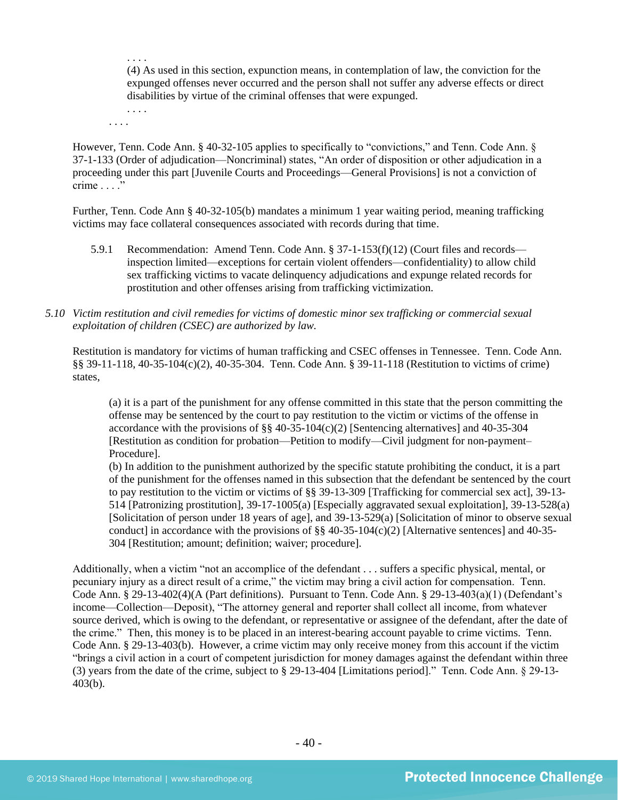(4) As used in this section, expunction means, in contemplation of law, the conviction for the expunged offenses never occurred and the person shall not suffer any adverse effects or direct disabilities by virtue of the criminal offenses that were expunged.

. . . . . . . .

. . . .

However, Tenn. Code Ann. § 40-32-105 applies to specifically to "convictions," and Tenn. Code Ann. § 37-1-133 (Order of adjudication—Noncriminal) states, "An order of disposition or other adjudication in a proceeding under this part [Juvenile Courts and Proceedings—General Provisions] is not a conviction of crime . . . ."

Further, Tenn. Code Ann § 40-32-105(b) mandates a minimum 1 year waiting period, meaning trafficking victims may face collateral consequences associated with records during that time.

- 5.9.1 Recommendation: Amend Tenn. Code Ann. § 37-1-153(f)(12) (Court files and records inspection limited—exceptions for certain violent offenders—confidentiality) to allow child sex trafficking victims to vacate delinquency adjudications and expunge related records for prostitution and other offenses arising from trafficking victimization.
- *5.10 Victim restitution and civil remedies for victims of domestic minor sex trafficking or commercial sexual exploitation of children (CSEC) are authorized by law.*

Restitution is mandatory for victims of human trafficking and CSEC offenses in Tennessee. Tenn. Code Ann. §§ 39-11-118, 40-35-104(c)(2), 40-35-304. Tenn. Code Ann. § 39-11-118 (Restitution to victims of crime) states,

(a) it is a part of the punishment for any offense committed in this state that the person committing the offense may be sentenced by the court to pay restitution to the victim or victims of the offense in accordance with the provisions of  $\S § 40-35-104(c)(2)$  [Sentencing alternatives] and 40-35-304 [Restitution as condition for probation—Petition to modify—Civil judgment for non-payment– Procedure].

(b) In addition to the punishment authorized by the specific statute prohibiting the conduct, it is a part of the punishment for the offenses named in this subsection that the defendant be sentenced by the court to pay restitution to the victim or victims of §§ 39-13-309 [Trafficking for commercial sex act], 39-13- 514 [Patronizing prostitution], 39-17-1005(a) [Especially aggravated sexual exploitation], 39-13-528(a) [Solicitation of person under 18 years of age], and 39-13-529(a) [Solicitation of minor to observe sexual conduct] in accordance with the provisions of  $\S$ § 40-35-104(c)(2) [Alternative sentences] and 40-35-304 [Restitution; amount; definition; waiver; procedure].

Additionally, when a victim "not an accomplice of the defendant . . . suffers a specific physical, mental, or pecuniary injury as a direct result of a crime," the victim may bring a civil action for compensation. Tenn. Code Ann. § 29-13-402(4)(A (Part definitions). Pursuant to Tenn. Code Ann. § 29-13-403(a)(1) (Defendant's income—Collection—Deposit), "The attorney general and reporter shall collect all income, from whatever source derived, which is owing to the defendant, or representative or assignee of the defendant, after the date of the crime." Then, this money is to be placed in an interest-bearing account payable to crime victims. Tenn. Code Ann. § 29-13-403(b). However, a crime victim may only receive money from this account if the victim "brings a civil action in a court of competent jurisdiction for money damages against the defendant within three (3) years from the date of the crime, subject to § 29-13-404 [Limitations period]." Tenn. Code Ann. § 29-13- 403(b).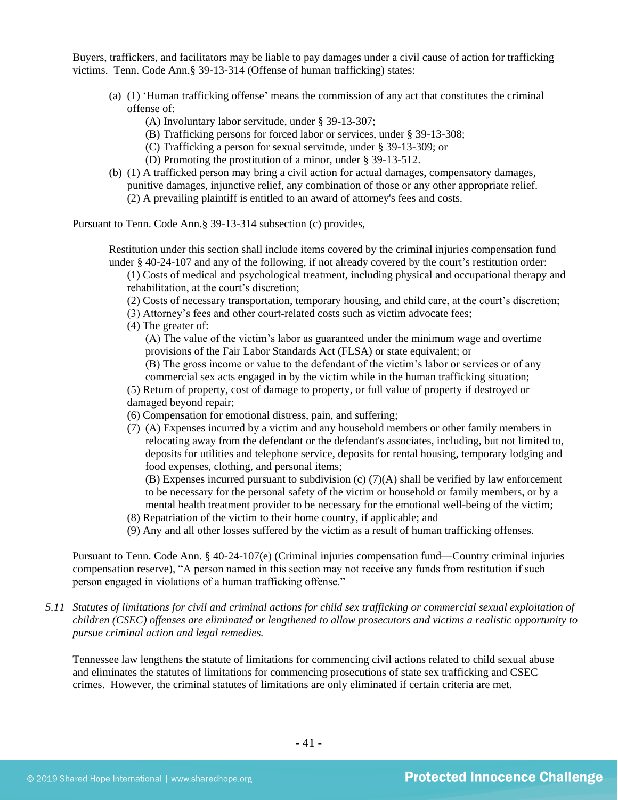Buyers, traffickers, and facilitators may be liable to pay damages under a civil cause of action for trafficking victims. Tenn. Code Ann.§ 39-13-314 (Offense of human trafficking) states:

- (a) (1) 'Human trafficking offense' means the commission of any act that constitutes the criminal offense of:
	- (A) Involuntary labor servitude, under § 39-13-307;
	- (B) Trafficking persons for forced labor or services, under § 39-13-308;
	- (C) Trafficking a person for sexual servitude, under § 39-13-309; or
	- (D) Promoting the prostitution of a minor, under § 39-13-512.
- (b) (1) A trafficked person may bring a civil action for actual damages, compensatory damages, punitive damages, injunctive relief, any combination of those or any other appropriate relief. (2) A prevailing plaintiff is entitled to an award of attorney's fees and costs.

Pursuant to Tenn. Code Ann.§ 39-13-314 subsection (c) provides,

Restitution under this section shall include items covered by the criminal injuries compensation fund under § 40-24-107 and any of the following, if not already covered by the court's restitution order:

(1) Costs of medical and psychological treatment, including physical and occupational therapy and rehabilitation, at the court's discretion;

(2) Costs of necessary transportation, temporary housing, and child care, at the court's discretion;

- (3) Attorney's fees and other court-related costs such as victim advocate fees;
- (4) The greater of:

(A) The value of the victim's labor as guaranteed under the minimum wage and overtime provisions of the Fair Labor Standards Act (FLSA) or state equivalent; or

(B) The gross income or value to the defendant of the victim's labor or services or of any commercial sex acts engaged in by the victim while in the human trafficking situation;

(5) Return of property, cost of damage to property, or full value of property if destroyed or damaged beyond repair;

- (6) Compensation for emotional distress, pain, and suffering;
- (7) (A) Expenses incurred by a victim and any household members or other family members in relocating away from the defendant or the defendant's associates, including, but not limited to, deposits for utilities and telephone service, deposits for rental housing, temporary lodging and food expenses, clothing, and personal items;

(B) Expenses incurred pursuant to subdivision (c) (7)(A) shall be verified by law enforcement to be necessary for the personal safety of the victim or household or family members, or by a mental health treatment provider to be necessary for the emotional well-being of the victim;

- (8) Repatriation of the victim to their home country, if applicable; and
- (9) Any and all other losses suffered by the victim as a result of human trafficking offenses.

Pursuant to Tenn. Code Ann. § 40-24-107(e) (Criminal injuries compensation fund—Country criminal injuries compensation reserve), "A person named in this section may not receive any funds from restitution if such person engaged in violations of a human trafficking offense."

*5.11 Statutes of limitations for civil and criminal actions for child sex trafficking or commercial sexual exploitation of children (CSEC) offenses are eliminated or lengthened to allow prosecutors and victims a realistic opportunity to pursue criminal action and legal remedies.*

Tennessee law lengthens the statute of limitations for commencing civil actions related to child sexual abuse and eliminates the statutes of limitations for commencing prosecutions of state sex trafficking and CSEC crimes. However, the criminal statutes of limitations are only eliminated if certain criteria are met.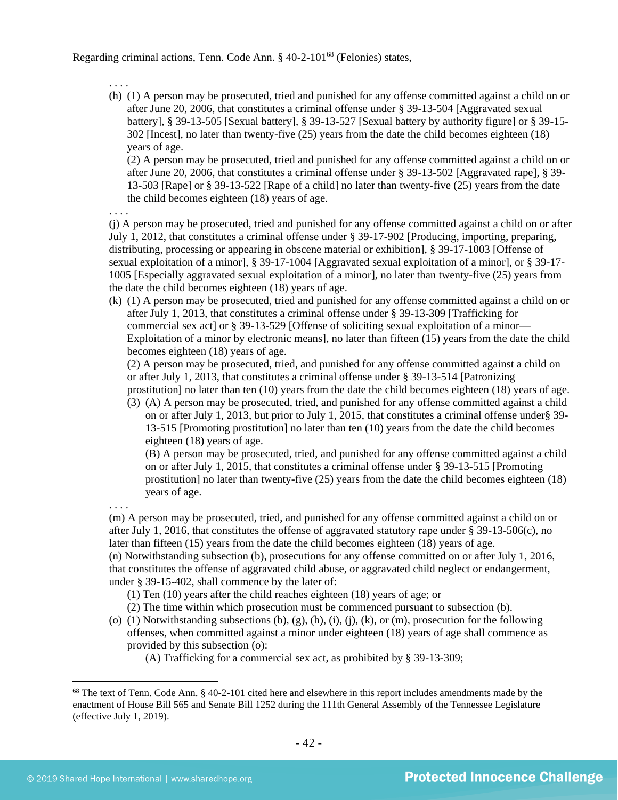Regarding criminal actions, Tenn. Code Ann. § 40-2-101<sup>68</sup> (Felonies) states,

. . . .

(h) (1) A person may be prosecuted, tried and punished for any offense committed against a child on or after June 20, 2006, that constitutes a criminal offense under § 39-13-504 [Aggravated sexual battery], § 39-13-505 [Sexual battery], § 39-13-527 [Sexual battery by authority figure] or § 39-15- 302 [Incest], no later than twenty-five (25) years from the date the child becomes eighteen (18) years of age.

(2) A person may be prosecuted, tried and punished for any offense committed against a child on or after June 20, 2006, that constitutes a criminal offense under § 39-13-502 [Aggravated rape], § 39- 13-503 [Rape] or § 39-13-522 [Rape of a child] no later than twenty-five (25) years from the date the child becomes eighteen (18) years of age.

. . . .

(j) A person may be prosecuted, tried and punished for any offense committed against a child on or after July 1, 2012, that constitutes a criminal offense under § 39-17-902 [\[Producing, importing, preparing,](javascript:void(pToc.tc2dc()  [distributing, processing or appearing in obscene material or exhibition\]](javascript:void(pToc.tc2dc(), § 39-17-1003 [Offense of sexual exploitation of a minor], § 39-17-1004 [Aggravated sexual exploitation of a minor], or § 39-17- 1005 [Especially aggravated sexual exploitation of a minor], no later than twenty-five (25) years from the date the child becomes eighteen (18) years of age.

(k) (1) A person may be prosecuted, tried and punished for any offense committed against a child on or after July 1, 2013, that constitutes a criminal offense under § 39-13-309 [Trafficking for commercial sex act] or [§ 39-13-529](https://a.next.westlaw.com/Link/Document/FullText?findType=L&pubNum=1000039&cite=TNSTS39-13-529&originatingDoc=NB303EA80FD9C11E2B5E0FF4CCFAB5723&refType=LQ&originationContext=document&transitionType=DocumentItem&contextData=(sc.UserEnteredCitation)) [Offense of soliciting sexual exploitation of a minor— Exploitation of a minor by electronic means], no later than fifteen (15) years from the date the child becomes eighteen (18) years of age.

(2) A person may be prosecuted, tried, and punished for any offense committed against a child on or after July 1, 2013, that constitutes a criminal offense under § 39-13-514 [Patronizing prostitution] no later than ten (10) years from the date the child becomes eighteen (18) years of age.

(3) (A) A person may be prosecuted, tried, and punished for any offense committed against a child on or after July 1, 2013, but prior to July 1, 2015, that constitutes a criminal offense under§ 39- 13-515 [Promoting prostitution] no later than ten (10) years from the date the child becomes eighteen (18) years of age.

(B) A person may be prosecuted, tried, and punished for any offense committed against a child on or after July 1, 2015, that constitutes a criminal offense under § 39-13-515 [Promoting prostitution] no later than twenty-five (25) years from the date the child becomes eighteen (18) years of age.

. . . .

(m) A person may be prosecuted, tried, and punished for any offense committed against a child on or after July 1, 2016, that constitutes the offense of aggravated statutory rape under § 39-13-506(c), no later than fifteen (15) years from the date the child becomes eighteen (18) years of age. (n) Notwithstanding subsection (b), prosecutions for any offense committed on or after July 1, 2016,

that constitutes the offense of aggravated child abuse, or aggravated child neglect or endangerment, under § 39-15-402, shall commence by the later of:

(1) Ten (10) years after the child reaches eighteen (18) years of age; or

(2) The time within which prosecution must be commenced pursuant to subsection (b).

(o) (1) Notwithstanding subsections (b), (g), (h), (i), (j), (k), or (m), prosecution for the following offenses, when committed against a minor under eighteen (18) years of age shall commence as provided by this subsection (o):

(A) Trafficking for a commercial sex act, as prohibited by § 39-13-309;

 $68$  The text of Tenn. Code Ann. § 40-2-101 cited here and elsewhere in this report includes amendments made by the enactment of House Bill 565 and Senate Bill 1252 during the 111th General Assembly of the Tennessee Legislature (effective July 1, 2019).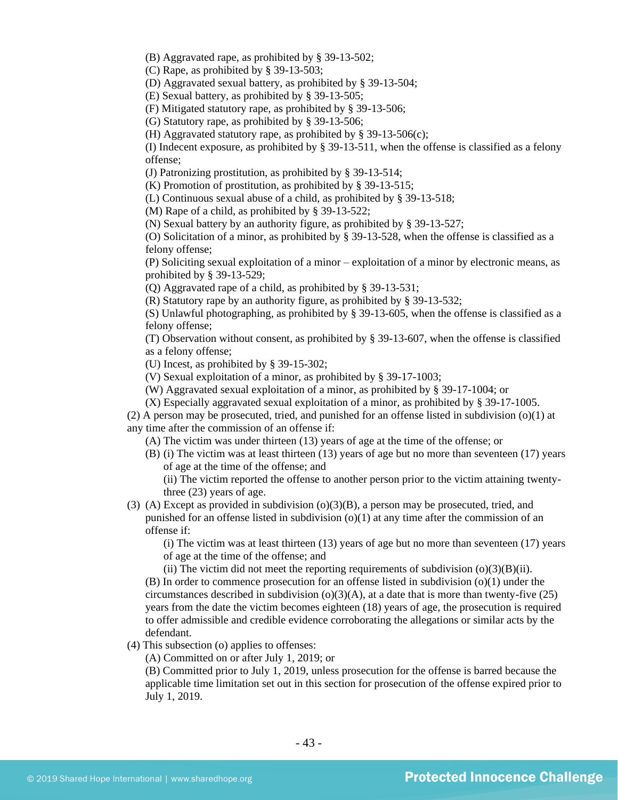(B) Aggravated rape, as prohibited by § 39-13-502;

(C) Rape, as prohibited by § 39-13-503;

(D) Aggravated sexual battery, as prohibited by § 39-13-504;

(E) Sexual battery, as prohibited by § 39-13-505;

(F) Mitigated statutory rape, as prohibited by § 39-13-506;

(G) Statutory rape, as prohibited by § 39-13-506;

(H) Aggravated statutory rape, as prohibited by § 39-13-506(c);

(I) Indecent exposure, as prohibited by § 39-13-511, when the offense is classified as a felony offense;

(J) Patronizing prostitution, as prohibited by § 39-13-514;

(K) Promotion of prostitution, as prohibited by § 39-13-515;

(L) Continuous sexual abuse of a child, as prohibited by § 39-13-518;

(M) Rape of a child, as prohibited by § 39-13-522;

(N) Sexual battery by an authority figure, as prohibited by § 39-13-527;

(O) Solicitation of a minor, as prohibited by § 39-13-528, when the offense is classified as a felony offense;

(P) Soliciting sexual exploitation of a minor – exploitation of a minor by electronic means, as prohibited by § 39-13-529;

(Q) Aggravated rape of a child, as prohibited by § 39-13-531;

(R) Statutory rape by an authority figure, as prohibited by § 39-13-532;

(S) Unlawful photographing, as prohibited by § 39-13-605, when the offense is classified as a felony offense;

(T) Observation without consent, as prohibited by § 39-13-607, when the offense is classified as a felony offense;

(U) Incest, as prohibited by § 39-15-302;

(V) Sexual exploitation of a minor, as prohibited by § 39-17-1003;

(W) Aggravated sexual exploitation of a minor, as prohibited by § 39-17-1004; or

(X) Especially aggravated sexual exploitation of a minor, as prohibited by § 39-17-1005.

(2) A person may be prosecuted, tried, and punished for an offense listed in subdivision (o)(1) at any time after the commission of an offense if:

(A) The victim was under thirteen (13) years of age at the time of the offense; or

(B) (i) The victim was at least thirteen (13) years of age but no more than seventeen (17) years of age at the time of the offense; and

(ii) The victim reported the offense to another person prior to the victim attaining twentythree (23) years of age.

(3) (A) Except as provided in subdivision  $(o)(3)(B)$ , a person may be prosecuted, tried, and punished for an offense listed in subdivision  $(o)(1)$  at any time after the commission of an offense if:

(i) The victim was at least thirteen (13) years of age but no more than seventeen (17) years of age at the time of the offense; and

(ii) The victim did not meet the reporting requirements of subdivision  $(o)(3)(B)(ii)$ . (B) In order to commence prosecution for an offense listed in subdivision (o)(1) under the circumstances described in subdivision  $(o)(3)(A)$ , at a date that is more than twenty-five (25) years from the date the victim becomes eighteen (18) years of age, the prosecution is required to offer admissible and credible evidence corroborating the allegations or similar acts by the defendant.

(4) This subsection (o) applies to offenses:

(A) Committed on or after July 1, 2019; or

(B) Committed prior to July 1, 2019, unless prosecution for the offense is barred because the applicable time limitation set out in this section for prosecution of the offense expired prior to July 1, 2019.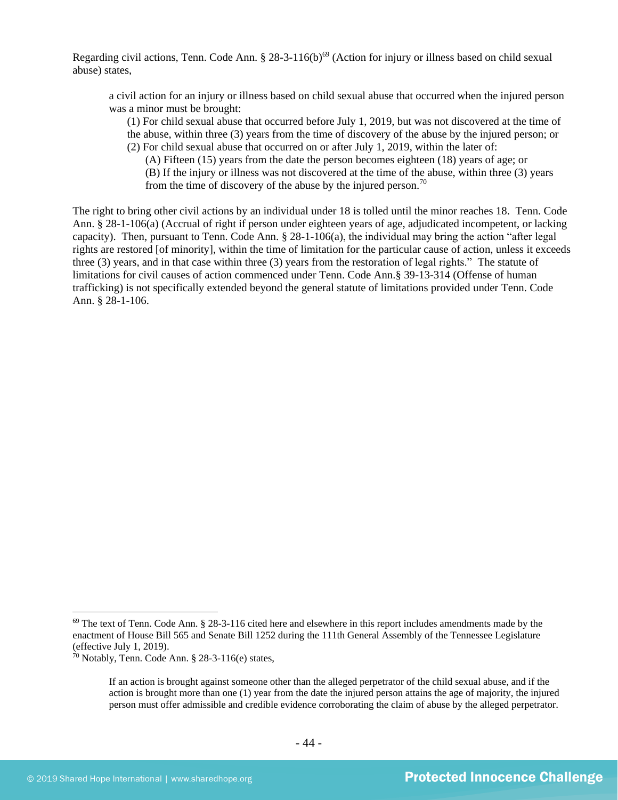Regarding civil actions, Tenn. Code Ann. § 28-3-116(b)<sup>69</sup> (Action for injury or illness based on child sexual abuse) states,

a civil action for an injury or illness based on child sexual abuse that occurred when the injured person was a minor must be brought:

(1) For child sexual abuse that occurred before July 1, 2019, but was not discovered at the time of the abuse, within three (3) years from the time of discovery of the abuse by the injured person; or (2) For child sexual abuse that occurred on or after July 1, 2019, within the later of:

(A) Fifteen (15) years from the date the person becomes eighteen (18) years of age; or (B) If the injury or illness was not discovered at the time of the abuse, within three (3) years from the time of discovery of the abuse by the injured person.<sup>70</sup>

The right to bring other civil actions by an individual under 18 is tolled until the minor reaches 18. Tenn. Code Ann. § 28-1-106(a) (Accrual of right if person under eighteen years of age, adjudicated incompetent, or lacking capacity). Then, pursuant to Tenn. Code Ann. § 28-1-106(a), the individual may bring the action "after legal rights are restored [of minority], within the time of limitation for the particular cause of action, unless it exceeds three (3) years, and in that case within three (3) years from the restoration of legal rights." The statute of limitations for civil causes of action commenced under Tenn. Code Ann.§ 39-13-314 (Offense of human trafficking) is not specifically extended beyond the general statute of limitations provided under Tenn. Code Ann. § 28-1-106.

<sup>&</sup>lt;sup>69</sup> The text of Tenn. Code Ann. § 28-3-116 cited here and elsewhere in this report includes amendments made by the enactment of House Bill 565 and Senate Bill 1252 during the 111th General Assembly of the Tennessee Legislature (effective July 1, 2019).

<sup>&</sup>lt;sup>70</sup> Notably, Tenn. Code Ann.  $§$  28-3-116(e) states,

If an action is brought against someone other than the alleged perpetrator of the child sexual abuse, and if the action is brought more than one (1) year from the date the injured person attains the age of majority, the injured person must offer admissible and credible evidence corroborating the claim of abuse by the alleged perpetrator.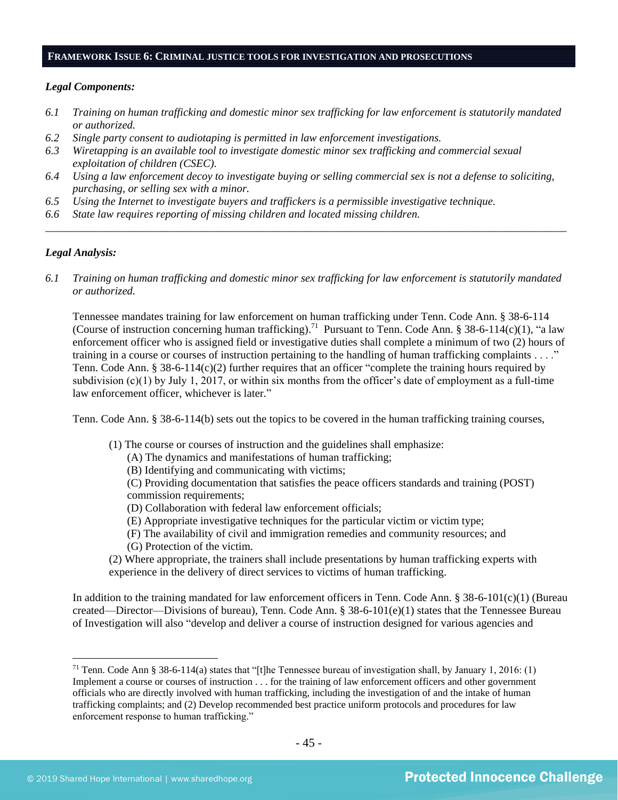#### **FRAMEWORK ISSUE 6: CRIMINAL JUSTICE TOOLS FOR INVESTIGATION AND PROSECUTIONS**

#### *Legal Components:*

- *6.1 Training on human trafficking and domestic minor sex trafficking for law enforcement is statutorily mandated or authorized.*
- *6.2 Single party consent to audiotaping is permitted in law enforcement investigations.*
- *6.3 Wiretapping is an available tool to investigate domestic minor sex trafficking and commercial sexual exploitation of children (CSEC).*
- *6.4 Using a law enforcement decoy to investigate buying or selling commercial sex is not a defense to soliciting, purchasing, or selling sex with a minor.*
- *6.5 Using the Internet to investigate buyers and traffickers is a permissible investigative technique.*
- *6.6 State law requires reporting of missing children and located missing children.*

# *Legal Analysis:*

*6.1 Training on human trafficking and domestic minor sex trafficking for law enforcement is statutorily mandated or authorized.*

*\_\_\_\_\_\_\_\_\_\_\_\_\_\_\_\_\_\_\_\_\_\_\_\_\_\_\_\_\_\_\_\_\_\_\_\_\_\_\_\_\_\_\_\_\_\_\_\_\_\_\_\_\_\_\_\_\_\_\_\_\_\_\_\_\_\_\_\_\_\_\_\_\_\_\_\_\_\_\_\_\_\_\_\_\_\_\_\_\_\_\_\_\_\_*

Tennessee mandates training for law enforcement on human trafficking under Tenn. Code Ann. § 38-6-114 (Course of instruction concerning human trafficking).<sup>71</sup> Pursuant to Tenn. Code Ann. § 38-6-114(c)(1), "a law enforcement officer who is assigned field or investigative duties shall complete a minimum of two (2) hours of training in a course or courses of instruction pertaining to the handling of human trafficking complaints . . . ." Tenn. Code Ann. § 38-6-114(c)(2) further requires that an officer "complete the training hours required by subdivision (c)(1) by July 1, 2017, or within six months from the officer's date of employment as a full-time law enforcement officer, whichever is later."

Tenn. Code Ann. § 38-6-114(b) sets out the topics to be covered in the human trafficking training courses,

- (1) The course or courses of instruction and the guidelines shall emphasize:
	- (A) The dynamics and manifestations of human trafficking;
	- (B) Identifying and communicating with victims;

(C) Providing documentation that satisfies the peace officers standards and training (POST) commission requirements;

- (D) Collaboration with federal law enforcement officials;
- (E) Appropriate investigative techniques for the particular victim or victim type;
- (F) The availability of civil and immigration remedies and community resources; and
- (G) Protection of the victim.
- (2) Where appropriate, the trainers shall include presentations by human trafficking experts with experience in the delivery of direct services to victims of human trafficking.

In addition to the training mandated for law enforcement officers in Tenn. Code Ann.  $\S 38-6-101(c)(1)$  (Bureau created—Director—Divisions of bureau), Tenn. Code Ann. § 38-6-101(e)(1) states that the Tennessee Bureau of Investigation will also "develop and deliver a course of instruction designed for various agencies and

<sup>&</sup>lt;sup>71</sup> Tenn. Code Ann § 38-6-114(a) states that "[t]he Tennessee bureau of investigation shall, by January 1, 2016: (1) Implement a course or courses of instruction . . . for the training of law enforcement officers and other government officials who are directly involved with human trafficking, including the investigation of and the intake of human trafficking complaints; and (2) Develop recommended best practice uniform protocols and procedures for law enforcement response to human trafficking."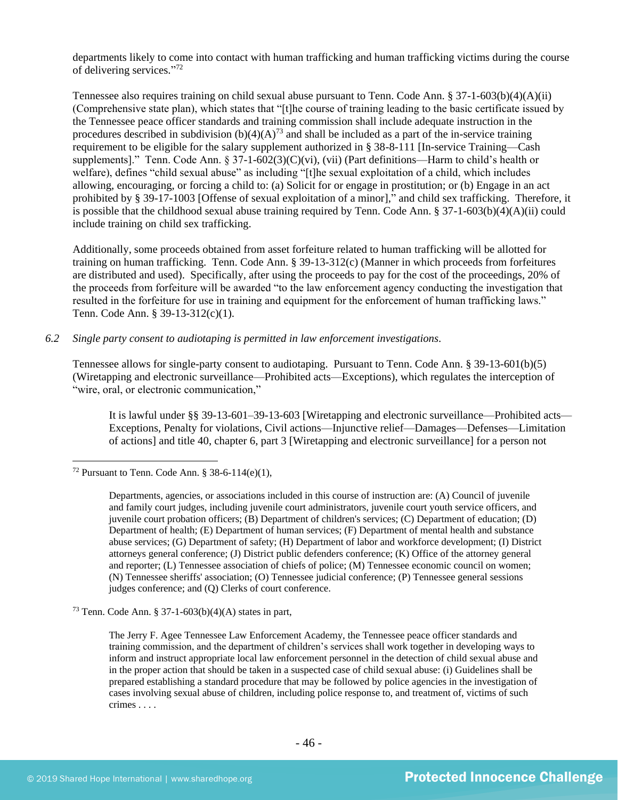departments likely to come into contact with human trafficking and human trafficking victims during the course of delivering services."<sup>72</sup>

Tennessee also requires training on child sexual abuse pursuant to Tenn. Code Ann. § 37-1-603(b)(4)(A)(ii) (Comprehensive state plan), which states that "[t]he course of training leading to the basic certificate issued by the Tennessee peace officer standards and training commission shall include adequate instruction in the procedures described in subdivision  $(b)(4)(A)^{73}$  and shall be included as a part of the in-service training requirement to be eligible for the salary supplement authorized in § 38-8-111 [In-service Training—Cash supplements]." Tenn. Code Ann. § 37-1-602(3)(C)(vi), (vii) (Part definitions—Harm to child's health or welfare), defines "child sexual abuse" as including "[t]he sexual exploitation of a child, which includes allowing, encouraging, or forcing a child to: (a) Solicit for or engage in prostitution; or (b) Engage in an act prohibited by § 39-17-1003 [Offense of sexual exploitation of a minor]," and child sex trafficking. Therefore, it is possible that the childhood sexual abuse training required by Tenn. Code Ann. § 37-1-603(b)(4)(A)(ii) could include training on child sex trafficking.

Additionally, some proceeds obtained from asset forfeiture related to human trafficking will be allotted for training on human trafficking. Tenn. Code Ann. § 39-13-312(c) (Manner in which proceeds from forfeitures are distributed and used). Specifically, after using the proceeds to pay for the cost of the proceedings, 20% of the proceeds from forfeiture will be awarded "to the law enforcement agency conducting the investigation that resulted in the forfeiture for use in training and equipment for the enforcement of human trafficking laws." Tenn. Code Ann. § 39-13-312(c)(1).

#### *6.2 Single party consent to audiotaping is permitted in law enforcement investigations.*

Tennessee allows for single-party consent to audiotaping. Pursuant to Tenn. Code Ann. § 39-13-601(b)(5) (Wiretapping and electronic surveillance—Prohibited acts—Exceptions), which regulates the interception of "wire, oral, or electronic communication,"

It is lawful under §§ 39-13-601–39-13-603 [Wiretapping and electronic surveillance—Prohibited acts— Exceptions, Penalty for violations, Civil actions—Injunctive relief—Damages—Defenses—Limitation of actions] and title 40, chapter 6, part 3 [Wiretapping and electronic surveillance] for a person not

<sup>&</sup>lt;sup>72</sup> Pursuant to Tenn. Code Ann. § 38-6-114(e)(1),

Departments, agencies, or associations included in this course of instruction are: (A) Council of juvenile and family court judges, including juvenile court administrators, juvenile court youth service officers, and juvenile court probation officers; (B) Department of children's services; (C) Department of education; (D) Department of health; (E) Department of human services; (F) Department of mental health and substance abuse services; (G) Department of safety; (H) Department of labor and workforce development; (I) District attorneys general conference; (J) District public defenders conference; (K) Office of the attorney general and reporter; (L) Tennessee association of chiefs of police; (M) Tennessee economic council on women; (N) Tennessee sheriffs' association; (O) Tennessee judicial conference; (P) Tennessee general sessions judges conference; and (Q) Clerks of court conference.

<sup>73</sup> Tenn. Code Ann. § 37-1-603(b)(4)(A) states in part,

The Jerry F. Agee Tennessee Law Enforcement Academy, the Tennessee peace officer standards and training commission, and the department of children's services shall work together in developing ways to inform and instruct appropriate local law enforcement personnel in the detection of child sexual abuse and in the proper action that should be taken in a suspected case of child sexual abuse: (i) Guidelines shall be prepared establishing a standard procedure that may be followed by police agencies in the investigation of cases involving sexual abuse of children, including police response to, and treatment of, victims of such crimes . . . .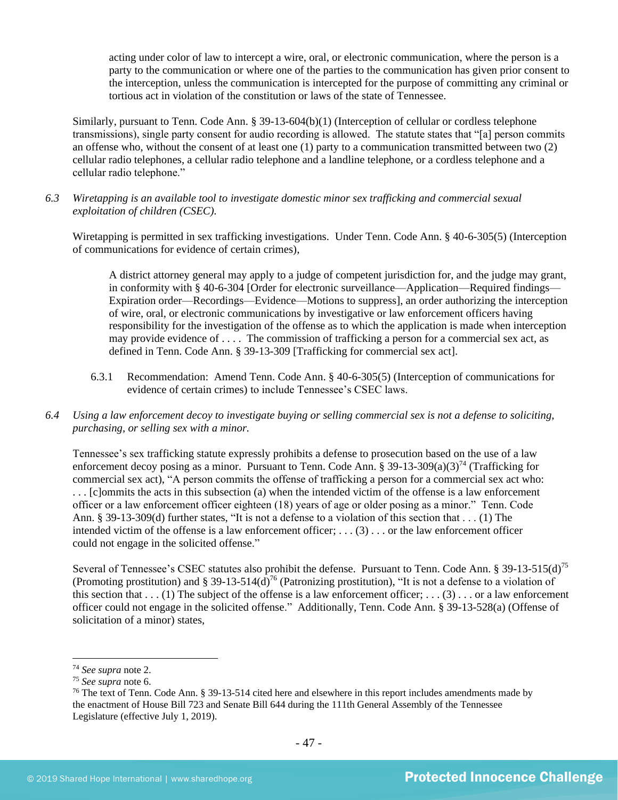acting under color of law to intercept a wire, oral, or electronic communication, where the person is a party to the communication or where one of the parties to the communication has given prior consent to the interception, unless the communication is intercepted for the purpose of committing any criminal or tortious act in violation of the constitution or laws of the state of Tennessee.

Similarly, pursuant to Tenn. Code Ann. § 39-13-604(b)(1) (Interception of cellular or cordless telephone transmissions), single party consent for audio recording is allowed. The statute states that "[a] person commits an offense who, without the consent of at least one (1) party to a communication transmitted between two (2) cellular radio telephones, a cellular radio telephone and a landline telephone, or a cordless telephone and a cellular radio telephone."

*6.3 Wiretapping is an available tool to investigate domestic minor sex trafficking and commercial sexual exploitation of children (CSEC).* 

Wiretapping is permitted in sex trafficking investigations. Under Tenn. Code Ann. § 40-6-305(5) (Interception of communications for evidence of certain crimes),

A district attorney general may apply to a judge of competent jurisdiction for, and the judge may grant, in conformity with § 40-6-304 [Order for electronic surveillance—Application—Required findings— Expiration order—Recordings—Evidence—Motions to suppress], an order authorizing the interception of wire, oral, or electronic communications by investigative or law enforcement officers having responsibility for the investigation of the offense as to which the application is made when interception may provide evidence of . . . . The commission of trafficking a person for a commercial sex act, as defined in Tenn. Code Ann. § 39-13-309 [Trafficking for commercial sex act].

- 6.3.1 Recommendation: Amend Tenn. Code Ann. § 40-6-305(5) (Interception of communications for evidence of certain crimes) to include Tennessee's CSEC laws.
- *6.4 Using a law enforcement decoy to investigate buying or selling commercial sex is not a defense to soliciting, purchasing, or selling sex with a minor.*

Tennessee's sex trafficking statute expressly prohibits a defense to prosecution based on the use of a law enforcement decoy posing as a minor. Pursuant to Tenn. Code Ann. § 39-13-309(a)(3)<sup>74</sup> (Trafficking for commercial sex act), "A person commits the offense of trafficking a person for a commercial sex act who: . . . [c]ommits the acts in this subsection (a) when the intended victim of the offense is a law enforcement officer or a law enforcement officer eighteen (18) years of age or older posing as a minor." Tenn. Code Ann. § 39-13-309(d) further states, "It is not a defense to a violation of this section that . . . (1) The intended victim of the offense is a law enforcement officer;  $\dots$  (3)  $\dots$  or the law enforcement officer could not engage in the solicited offense."

Several of Tennessee's CSEC statutes also prohibit the defense. Pursuant to Tenn. Code Ann. § 39-13-515(d)<sup>75</sup> (Promoting prostitution) and § 39-13-514( $\overline{d}$ )<sup>76</sup> (Patronizing prostitution), "It is not a defense to a violation of this section that  $\dots$  (1) The subject of the offense is a law enforcement officer;  $\dots$  (3)  $\dots$  or a law enforcement officer could not engage in the solicited offense." Additionally, Tenn. Code Ann. § 39-13-528(a) (Offense of solicitation of a minor) states,

<sup>74</sup> *See supra* note [2.](#page-0-0)

<sup>75</sup> *See supra* note [6.](#page-2-0)

<sup>&</sup>lt;sup>76</sup> The text of Tenn. Code Ann. § 39-13-514 cited here and elsewhere in this report includes amendments made by the enactment of House Bill 723 and Senate Bill 644 during the 111th General Assembly of the Tennessee Legislature (effective July 1, 2019).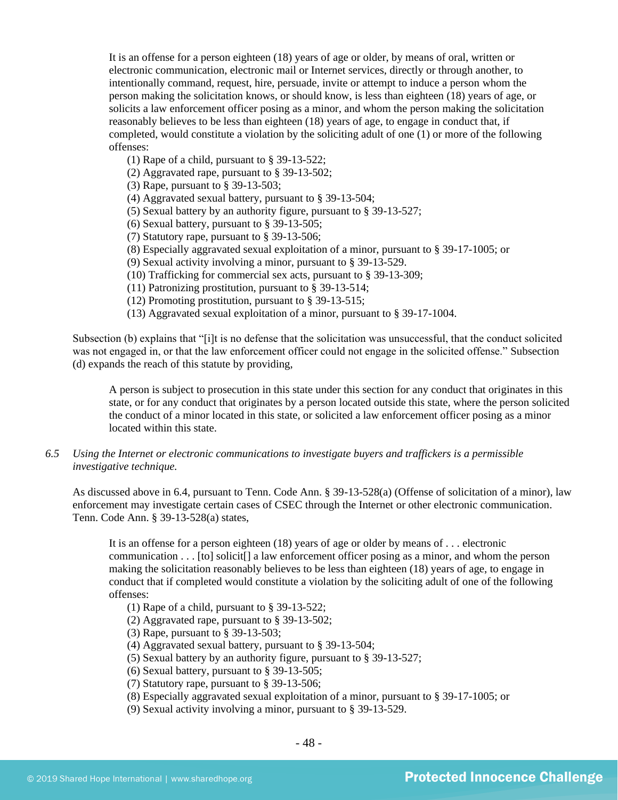It is an offense for a person eighteen (18) years of age or older, by means of oral, written or electronic communication, electronic mail or Internet services, directly or through another, to intentionally command, request, hire, persuade, invite or attempt to induce a person whom the person making the solicitation knows, or should know, is less than eighteen (18) years of age, or solicits a law enforcement officer posing as a minor, and whom the person making the solicitation reasonably believes to be less than eighteen (18) years of age, to engage in conduct that, if completed, would constitute a violation by the soliciting adult of one (1) or more of the following offenses:

- (1) Rape of a child, pursuant to § 39-13-522;
- (2) Aggravated rape, pursuant to § 39-13-502;
- (3) Rape, pursuant to § 39-13-503;
- (4) Aggravated sexual battery, pursuant to § 39-13-504;
- (5) Sexual battery by an authority figure, pursuant to § 39-13-527;
- (6) Sexual battery, pursuant to § 39-13-505;
- (7) Statutory rape, pursuant to § 39-13-506;
- (8) Especially aggravated sexual exploitation of a minor, pursuant to § 39-17-1005; or
- (9) Sexual activity involving a minor, pursuant to § 39-13-529.
- (10) Trafficking for commercial sex acts, pursuant to § 39-13-309;
- (11) Patronizing prostitution, pursuant to § 39-13-514;
- (12) Promoting prostitution, pursuant to § 39-13-515;
- (13) Aggravated sexual exploitation of a minor, pursuant to § 39-17-1004.

Subsection (b) explains that "[i]t is no defense that the solicitation was unsuccessful, that the conduct solicited was not engaged in, or that the law enforcement officer could not engage in the solicited offense." Subsection (d) expands the reach of this statute by providing,

A person is subject to prosecution in this state under this section for any conduct that originates in this state, or for any conduct that originates by a person located outside this state, where the person solicited the conduct of a minor located in this state, or solicited a law enforcement officer posing as a minor located within this state.

*6.5 Using the Internet or electronic communications to investigate buyers and traffickers is a permissible investigative technique.*

As discussed above in 6.4, pursuant to Tenn. Code Ann. § 39-13-528(a) (Offense of solicitation of a minor), law enforcement may investigate certain cases of CSEC through the Internet or other electronic communication. Tenn. Code Ann. § 39-13-528(a) states,

It is an offense for a person eighteen (18) years of age or older by means of . . . electronic communication . . . [to] solicit[] a law enforcement officer posing as a minor, and whom the person making the solicitation reasonably believes to be less than eighteen (18) years of age, to engage in conduct that if completed would constitute a violation by the soliciting adult of one of the following offenses:

- (1) Rape of a child, pursuant to § 39-13-522;
- (2) Aggravated rape, pursuant to § 39-13-502;
- (3) Rape, pursuant to § 39-13-503;
- (4) Aggravated sexual battery, pursuant to § 39-13-504;
- (5) Sexual battery by an authority figure, pursuant to § 39-13-527;
- (6) Sexual battery, pursuant to § 39-13-505;
- (7) Statutory rape, pursuant to § 39-13-506;
- (8) Especially aggravated sexual exploitation of a minor, pursuant to § 39-17-1005; or
- (9) Sexual activity involving a minor, pursuant to § 39-13-529.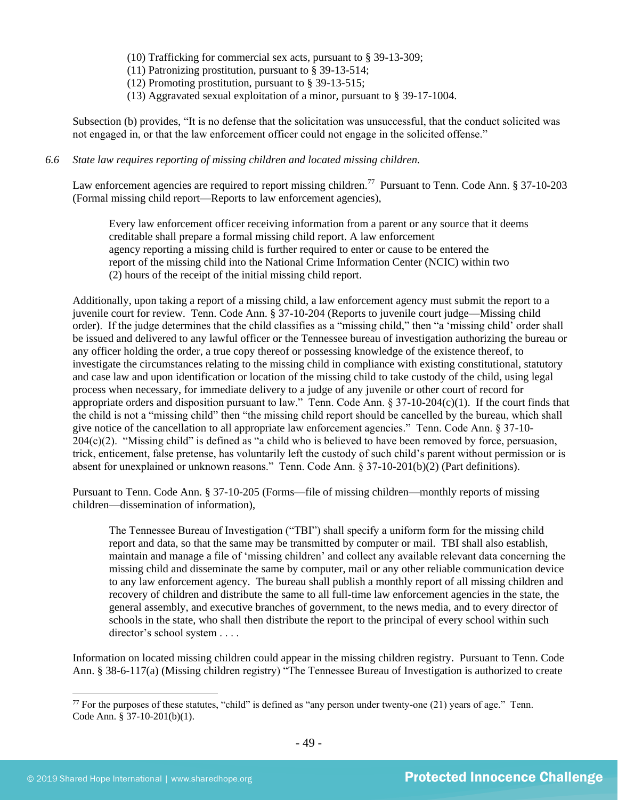(10) Trafficking for commercial sex acts, pursuant to § 39-13-309;

(11) Patronizing prostitution, pursuant to § 39-13-514;

(12) Promoting prostitution, pursuant to § 39-13-515;

(13) Aggravated sexual exploitation of a minor, pursuant to § 39-17-1004.

Subsection (b) provides, "It is no defense that the solicitation was unsuccessful, that the conduct solicited was not engaged in, or that the law enforcement officer could not engage in the solicited offense."

#### *6.6 State law requires reporting of missing children and located missing children.*

Law enforcement agencies are required to report missing children.<sup>77</sup> Pursuant to Tenn. Code Ann. § 37-10-203 (Formal missing child report—Reports to law enforcement agencies),

Every law enforcement officer receiving information from a parent or any source that it deems creditable shall prepare a formal missing child report. A law enforcement agency reporting a missing child is further required to enter or cause to be entered the report of the missing child into the National Crime Information Center (NCIC) within two (2) hours of the receipt of the initial missing child report.

Additionally, upon taking a report of a missing child, a law enforcement agency must submit the report to a juvenile court for review. Tenn. Code Ann. § 37-10-204 (Reports to juvenile court judge—Missing child order). If the judge determines that the child classifies as a "missing child," then "a 'missing child' order shall be issued and delivered to any lawful officer or the Tennessee bureau of investigation authorizing the bureau or any officer holding the order, a true copy thereof or possessing knowledge of the existence thereof, to investigate the circumstances relating to the missing child in compliance with existing constitutional, statutory and case law and upon identification or location of the missing child to take custody of the child, using legal process when necessary, for immediate delivery to a judge of any juvenile or other court of record for appropriate orders and disposition pursuant to law." Tenn. Code Ann.  $\S 37-10-204(c)(1)$ . If the court finds that the child is not a "missing child" then "the missing child report should be cancelled by the bureau, which shall give notice of the cancellation to all appropriate law enforcement agencies." Tenn. Code Ann. § 37-10- 204(c)(2). "Missing child" is defined as "a child who is believed to have been removed by force, persuasion, trick, enticement, false pretense, has voluntarily left the custody of such child's parent without permission or is absent for unexplained or unknown reasons." Tenn. Code Ann. § 37-10-201(b)(2) (Part definitions).

Pursuant to Tenn. Code Ann. § 37-10-205 (Forms—file of missing children—monthly reports of missing children—dissemination of information),

The Tennessee Bureau of Investigation ("TBI") shall specify a uniform form for the missing child report and data, so that the same may be transmitted by computer or mail. TBI shall also establish, maintain and manage a file of 'missing children' and collect any available relevant data concerning the missing child and disseminate the same by computer, mail or any other reliable communication device to any law enforcement agency. The bureau shall publish a monthly report of all missing children and recovery of children and distribute the same to all full-time law enforcement agencies in the state, the general assembly, and executive branches of government, to the news media, and to every director of schools in the state, who shall then distribute the report to the principal of every school within such director's school system . . . .

Information on located missing children could appear in the missing children registry. Pursuant to Tenn. Code Ann. § 38-6-117(a) (Missing children registry) "The Tennessee Bureau of Investigation is authorized to create

 $77$  For the purposes of these statutes, "child" is defined as "any person under twenty-one (21) years of age." Tenn. Code Ann. § 37-10-201(b)(1).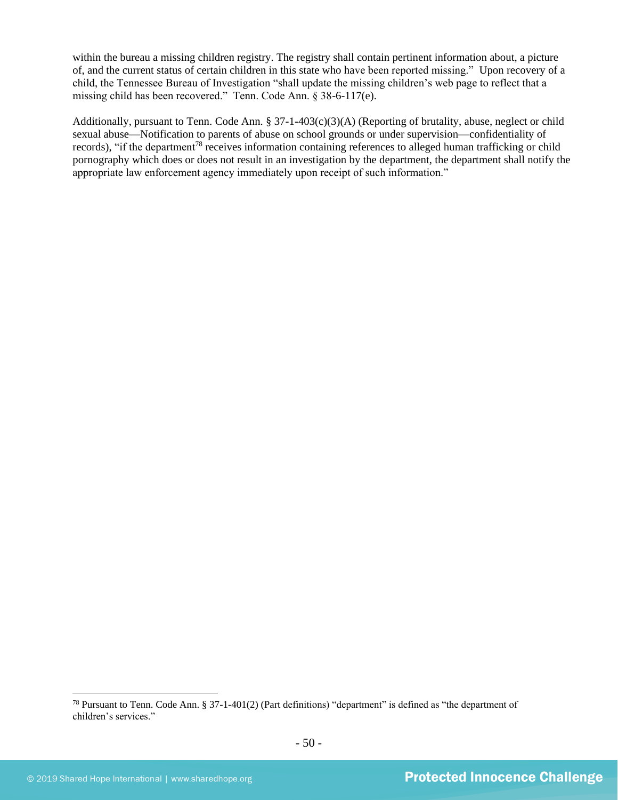within the bureau a missing children registry. The registry shall contain pertinent information about, a picture of, and the current status of certain children in this state who have been reported missing." Upon recovery of a child, the Tennessee Bureau of Investigation "shall update the missing children's web page to reflect that a missing child has been recovered." Tenn. Code Ann. § 38-6-117(e).

Additionally, pursuant to Tenn. Code Ann. § 37-1-403(c)(3)(A) (Reporting of brutality, abuse, neglect or child sexual abuse—Notification to parents of abuse on school grounds or under supervision—confidentiality of records), "if the department<sup>78</sup> receives information containing references to alleged human trafficking or child pornography which does or does not result in an investigation by the department, the department shall notify the appropriate law enforcement agency immediately upon receipt of such information."

<sup>78</sup> Pursuant to Tenn. Code Ann. § 37-1-401(2) (Part definitions) "department" is defined as "the department of children's services."